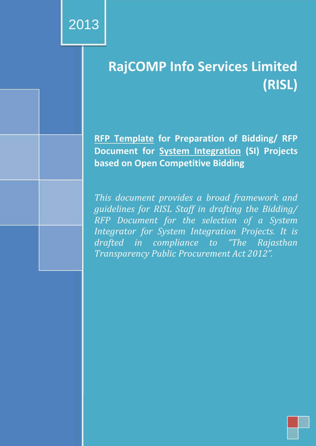*Document Publication History*

*Version Name Location*

*Final MD RajComp Info Services*

*Limited*

**cument History** 

**Title**

**Document Status** 

# **Cover Adic Policy Manual Formula Formula Formula Formula Formula Formula Formula Formula Formula Formula Formula Formula Formula Formula Formula Formula Formula Formula Formula Formula Formula Formula Formula Formula Form** RajCOMP Info Services Limited- Manual on Policies and Procedures for **(RISL)**

**Absorberal RFP Template** for Preparation of Bidding/ RFP In  $\overline{\phantom{a}}$  in carrying out various processes  $\overline{\phantom{a}}$ **Document for System Integration (SI) Projects based on Open Competitive Bidding**

**Date** *RISL Staff in drafting the Bidding/* **17***IRFP Document for the selection of a System Distribution This document provides a broad framework and Integrator for System Integration Projects. It is drafted in compliance to "The Rajasthan Transparency Public Procurement Act 2012".*

*Secretary (IT) RajComp Info Services Limited office, Jaipur*

**Document History {to be deleted by the POIC while drafting the bidding document}**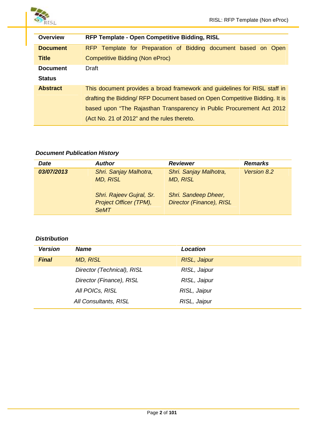

| <b>Overview</b> | RFP Template - Open Competitive Bidding, RISL                              |
|-----------------|----------------------------------------------------------------------------|
| <b>Document</b> | RFP Template for Preparation of Bidding document based on Open             |
| <b>Title</b>    | Competitive Bidding (Non eProc)                                            |
| <b>Document</b> | Draft                                                                      |
| <b>Status</b>   |                                                                            |
| <b>Abstract</b> | This document provides a broad framework and guidelines for RISL staff in  |
|                 | drafting the Bidding/RFP Document based on Open Competitive Bidding. It is |
|                 | based upon "The Rajasthan Transparency in Public Procurement Act 2012      |
|                 | (Act No. 21 of 2012" and the rules thereto.                                |

#### *Document Publication History*

| <b>Date</b> | <b>Author</b>                                                     | <b>Reviewer</b>                                  | <b>Remarks</b> |
|-------------|-------------------------------------------------------------------|--------------------------------------------------|----------------|
| 03/07/2013  | Shri. Sanjay Malhotra,<br><b>MD, RISL</b>                         | Shri. Sanjay Malhotra,<br><b>MD, RISL</b>        | Version 8.2    |
|             | Shri. Rajeev Gujral, Sr.<br>Project Officer (TPM),<br><b>SeMT</b> | Shri. Sandeep Dheer,<br>Director (Finance), RISL |                |

#### *Distribution*

| <b>Version</b> | <b>Name</b>                | <b>Location</b> |
|----------------|----------------------------|-----------------|
| <b>Final</b>   | <b>MD, RISL</b>            | RISL, Jaipur    |
|                | Director (Technical), RISL | RISL, Jaipur    |
|                | Director (Finance), RISL   | RISL, Jaipur    |
|                | All POICs, RISL            | RISL, Jaipur    |
|                | All Consultants, RISL      | RISL, Jaipur    |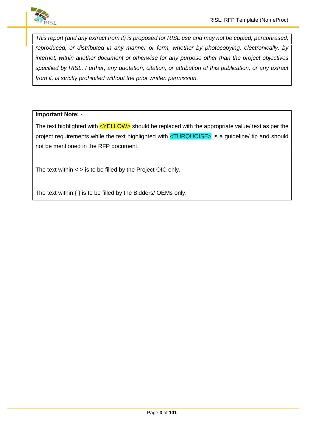

*This report (and any extract from it) is proposed for RISL use and may not be copied, paraphrased, reproduced, or distributed in any manner or form, whether by photocopying, electronically, by internet, within another document or otherwise for any purpose other than the project objectives specified by RISL. Further, any quotation, citation, or attribution of this publication, or any extract from it, is strictly prohibited without the prior written permission.*

#### **Important Note: -**

The text highlighted with  $\leq$ YELLOW $>$  should be replaced with the appropriate value/ text as per the project requirements while the text highlighted with <TURQUOISE> is a guideline/ tip and should not be mentioned in the RFP document.

The text within  $\lt$  > is to be filled by the Project OIC only.

The text within { } is to be filled by the Bidders/ OEMs only.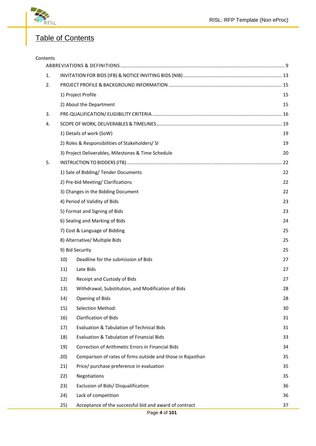

## Table of Contents

| Contents |                                                                    |    |
|----------|--------------------------------------------------------------------|----|
| 1.       |                                                                    |    |
| 2.       |                                                                    |    |
|          | 1) Project Profile                                                 | 15 |
|          | 2) About the Department                                            | 15 |
| 3.       |                                                                    |    |
| 4.       |                                                                    |    |
|          | 1) Details of work (SoW)                                           | 19 |
|          | 2) Roles & Responsibilities of Stakeholders/ SI                    | 19 |
|          | 3) Project Deliverables, Milestones & Time Schedule                | 20 |
| 5.       |                                                                    |    |
|          | 1) Sale of Bidding/ Tender Documents                               | 22 |
|          | 2) Pre-bid Meeting/ Clarifications                                 | 22 |
|          | 3) Changes in the Bidding Document                                 | 22 |
|          | 4) Period of Validity of Bids                                      | 23 |
|          | 5) Format and Signing of Bids                                      | 23 |
|          | 6) Sealing and Marking of Bids                                     | 24 |
|          | 7) Cost & Language of Bidding                                      | 25 |
|          | 8) Alternative/ Multiple Bids                                      | 25 |
|          | 9) Bid Security                                                    | 25 |
|          | 10)<br>Deadline for the submission of Bids                         | 27 |
|          | 11)<br>Late Bids                                                   | 27 |
|          | Receipt and Custody of Bids<br>12)                                 | 27 |
|          | Withdrawal, Substitution, and Modification of Bids<br>13)          | 28 |
|          | 14)<br>Opening of Bids                                             | 28 |
|          | 15)<br><b>Selection Method:</b>                                    | 30 |
|          | <b>Clarification of Bids</b><br>16)                                | 31 |
|          | Evaluation & Tabulation of Technical Bids<br>17)                   | 31 |
|          | Evaluation & Tabulation of Financial Bids<br>18)                   | 33 |
|          | 19)<br>Correction of Arithmetic Errors in Financial Bids           | 34 |
|          | Comparison of rates of firms outside and those in Rajasthan<br>20) | 35 |
|          | 21)<br>Price/ purchase preference in evaluation                    | 35 |
|          | 22)<br>Negotiations                                                | 35 |
|          | 23)<br>Exclusion of Bids/ Disqualification                         | 36 |
|          | Lack of competition<br>24)                                         | 36 |
|          | Acceptance of the successful bid and award of contract<br>25)      | 37 |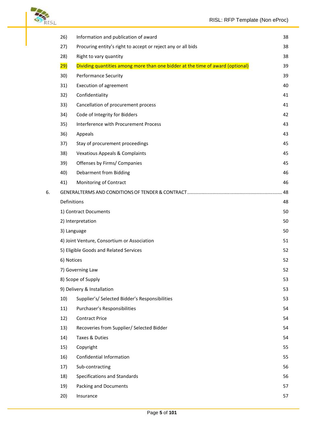

|    | 26)              | Information and publication of award                                           | 38 |
|----|------------------|--------------------------------------------------------------------------------|----|
|    | 27)              | Procuring entity's right to accept or reject any or all bids                   | 38 |
|    | 28)              | Right to vary quantity                                                         | 38 |
|    | <mark>29)</mark> | Dividing quantities among more than one bidder at the time of award (optional) | 39 |
|    | 30)              | <b>Performance Security</b>                                                    | 39 |
|    | 31)              | Execution of agreement                                                         | 40 |
|    | 32)              | Confidentiality                                                                | 41 |
|    | 33)              | Cancellation of procurement process                                            | 41 |
|    | 34)              | Code of Integrity for Bidders                                                  | 42 |
|    | 35)              | Interference with Procurement Process                                          | 43 |
|    | 36)              | Appeals                                                                        | 43 |
|    | 37)              | Stay of procurement proceedings                                                | 45 |
|    | 38)              | <b>Vexatious Appeals &amp; Complaints</b>                                      | 45 |
|    | 39)              | Offenses by Firms/ Companies                                                   | 45 |
|    | 40)              | Debarment from Bidding                                                         | 46 |
|    | 41)              | Monitoring of Contract                                                         | 46 |
| 6. |                  |                                                                                |    |
|    | Definitions      |                                                                                | 48 |
|    |                  | 1) Contract Documents                                                          | 50 |
|    |                  | 2) Interpretation                                                              | 50 |
|    |                  | 3) Language                                                                    | 50 |
|    |                  | 4) Joint Venture, Consortium or Association                                    | 51 |
|    |                  | 5) Eligible Goods and Related Services                                         | 52 |
|    | 6) Notices       |                                                                                | 52 |
|    |                  | 7) Governing Law                                                               | 52 |
|    |                  | 8) Scope of Supply                                                             | 53 |
|    |                  | 9) Delivery & Installation                                                     | 53 |
|    | 10)              | Supplier's/ Selected Bidder's Responsibilities                                 | 53 |
|    | 11)              | Purchaser's Responsibilities                                                   | 54 |
|    | 12)              | <b>Contract Price</b>                                                          | 54 |
|    | 13)              | Recoveries from Supplier/ Selected Bidder                                      | 54 |
|    | 14)              | Taxes & Duties                                                                 | 54 |
|    | 15)              | Copyright                                                                      | 55 |
|    | 16)              | Confidential Information                                                       | 55 |
|    | 17)              | Sub-contracting                                                                | 56 |
|    | 18)              | Specifications and Standards                                                   | 56 |
|    | 19)              | Packing and Documents                                                          | 57 |
|    | 20)              | Insurance                                                                      | 57 |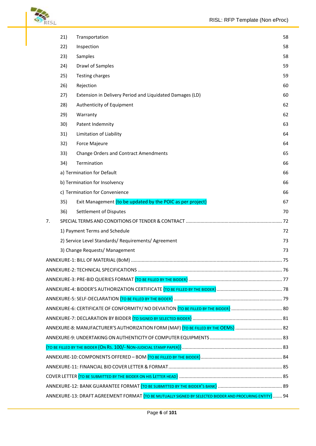

|    | 21) | Transportation                                                                                                          | 58 |
|----|-----|-------------------------------------------------------------------------------------------------------------------------|----|
|    | 22) | Inspection                                                                                                              | 58 |
|    | 23) | Samples                                                                                                                 | 58 |
|    | 24) | Drawl of Samples                                                                                                        | 59 |
|    | 25) | Testing charges                                                                                                         | 59 |
|    | 26) | Rejection                                                                                                               | 60 |
|    | 27) | Extension in Delivery Period and Liquidated Damages (LD)                                                                | 60 |
|    | 28) | Authenticity of Equipment                                                                                               | 62 |
|    | 29) | Warranty                                                                                                                | 62 |
|    | 30) | Patent Indemnity                                                                                                        | 63 |
|    | 31) | Limitation of Liability                                                                                                 | 64 |
|    | 32) | Force Majeure                                                                                                           | 64 |
|    | 33) | <b>Change Orders and Contract Amendments</b>                                                                            | 65 |
|    | 34) | Termination                                                                                                             | 66 |
|    |     | a) Termination for Default                                                                                              | 66 |
|    |     | b) Termination for Insolvency                                                                                           | 66 |
|    |     | c) Termination for Convenience                                                                                          | 66 |
|    | 35) | Exit Management {to be updated by the POIC as per project}                                                              | 67 |
|    | 36) | Settlement of Disputes                                                                                                  | 70 |
| 7. |     |                                                                                                                         |    |
|    |     | 1) Payment Terms and Schedule                                                                                           | 72 |
|    |     | 2) Service Level Standards/ Requirements/ Agreement                                                                     | 73 |
|    |     | 3) Change Requests/ Management                                                                                          | 73 |
|    |     |                                                                                                                         |    |
|    |     |                                                                                                                         |    |
|    |     | ANNEXURE-3: PRE-BID QUERIES FORMAT <mark>{to be filled by the bidder}</mark> …………………………………………………………………………………………         |    |
|    |     | ANNEXURE-4: BIDDER'S AUTHORIZATION CERTIFICATE <mark>{to be filled by the bidder}</mark> …………………………………………………… 78        |    |
|    |     |                                                                                                                         |    |
|    |     | ANNEXURE-6: CERTIFICATE OF CONFORMITY/ NO DEVIATION <mark>{to be filled by the bidder}</mark> ……………………………………… 80        |    |
|    |     | ANNEXURE-7: DECLARATION BY BIDDER <mark>{to signed by selected bidder}</mark> …………………………………………………………… 81                |    |
|    |     | ANNEXURE-8: MANUFACTURER'S AUTHORIZATION FORM (MAF) <mark>{to be filled by the OEMs}</mark> ………………………………… 82            |    |
|    |     |                                                                                                                         |    |
|    |     |                                                                                                                         |    |
|    |     |                                                                                                                         |    |
|    |     |                                                                                                                         |    |
|    |     | COVER LETTER <mark>{to be submitted by the bidder on his Letter head}</mark> …………………………………………………………………… 85              |    |
|    |     |                                                                                                                         |    |
|    |     | ANNEXURE-13: DRAFT AGREEMENT FORMAT <mark>{to be mutually signed by selected bidder and procuring entity}</mark> ……. 94 |    |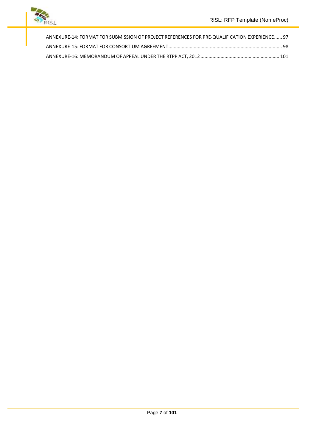

| ANNEXURE-14: FORMAT FOR SUBMISSION OF PROJECT REFERENCES FOR PRE-QUALIFICATION EXPERIENCE 97 |  |
|----------------------------------------------------------------------------------------------|--|
|                                                                                              |  |
|                                                                                              |  |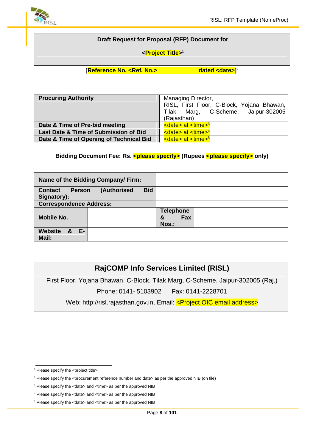

#### **Draft Request for Proposal (RFP) Document for**

#### **<Project Title> 1**

#### **[Reference No. <Ref. No.>**

dated  $\leq$ date>]<sup>2</sup>

| <b>Procuring Authority</b>              | Managing Director,<br>RISL, First Floor, C-Block, Yojana Bhawan,<br>Tilak Marg, C-Scheme, Jaipur-302005<br>(Rajasthan) |
|-----------------------------------------|------------------------------------------------------------------------------------------------------------------------|
| Date & Time of Pre-bid meeting          | $\leq$ date> at $\leq$ time> $^3$                                                                                      |
| Last Date & Time of Submission of Bid   | $\leq$ date> at $\leq$ time> <sup>4</sup>                                                                              |
| Date & Time of Opening of Technical Bid | $\leq$ date> at $\leq$ time> <sup>5</sup>                                                                              |

#### **Bidding Document Fee: Rs. < please specify> (Rupees < please specify > only)**

| Name of the Bidding Company/Firm:                             |            |                                       |
|---------------------------------------------------------------|------------|---------------------------------------|
| (Authorised<br><b>Contact</b><br><b>Person</b><br>Signatory): | <b>Bid</b> |                                       |
| <b>Correspondence Address:</b>                                |            |                                       |
| <b>Mobile No.</b>                                             |            | <b>Telephone</b><br>Fax<br>&<br>Nos.: |
| E-<br><b>Website</b><br>- &<br>Mail:                          |            |                                       |

## **RajCOMP Info Services Limited (RISL)**

First Floor, Yojana Bhawan, C-Block, Tilak Marg, C-Scheme, Jaipur-302005 (Raj.) Phone: 0141- 5103902 Fax: 0141-2228701

Web: http://risl.rajasthan.gov.in, Email: <**Project OIC email address>** 

<sup>&</sup>lt;sup>1</sup> Please specify the <project title>

 $2$  Please specify the <procurement reference number and date> as per the approved NIB (on file)

<sup>&</sup>lt;sup>3</sup> Please specify the <date> and <time> as per the approved NIB

<sup>4</sup> Please specify the <date> and <time> as per the approved NIB

 $<sup>5</sup>$  Please specify the <date> and <time> as per the approved NIB</sup>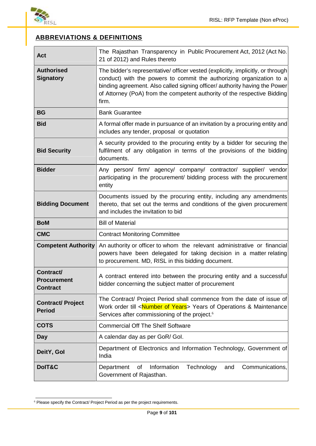

## **ABBREVIATIONS & DEFINITIONS**

| <b>Act</b>                                         | The Rajasthan Transparency in Public Procurement Act, 2012 (Act No.<br>21 of 2012) and Rules thereto                                                                                                                                                                                                                       |  |  |
|----------------------------------------------------|----------------------------------------------------------------------------------------------------------------------------------------------------------------------------------------------------------------------------------------------------------------------------------------------------------------------------|--|--|
| <b>Authorised</b><br><b>Signatory</b>              | The bidder's representative/ officer vested (explicitly, implicitly, or through<br>conduct) with the powers to commit the authorizing organization to a<br>binding agreement. Also called signing officer/ authority having the Power<br>of Attorney (PoA) from the competent authority of the respective Bidding<br>firm. |  |  |
| <b>BG</b>                                          | <b>Bank Guarantee</b>                                                                                                                                                                                                                                                                                                      |  |  |
| <b>Bid</b>                                         | A formal offer made in pursuance of an invitation by a procuring entity and<br>includes any tender, proposal or quotation                                                                                                                                                                                                  |  |  |
| <b>Bid Security</b>                                | A security provided to the procuring entity by a bidder for securing the<br>fulfilment of any obligation in terms of the provisions of the bidding<br>documents.                                                                                                                                                           |  |  |
| <b>Bidder</b>                                      | Any person/ firm/ agency/ company/ contractor/ supplier/ vendor<br>participating in the procurement/ bidding process with the procurement<br>entity                                                                                                                                                                        |  |  |
| <b>Bidding Document</b>                            | Documents issued by the procuring entity, including any amendments<br>thereto, that set out the terms and conditions of the given procurement<br>and includes the invitation to bid                                                                                                                                        |  |  |
| <b>BoM</b>                                         | <b>Bill of Material</b>                                                                                                                                                                                                                                                                                                    |  |  |
| <b>CMC</b>                                         | <b>Contract Monitoring Committee</b>                                                                                                                                                                                                                                                                                       |  |  |
| <b>Competent Authority</b>                         | An authority or officer to whom the relevant administrative or financial<br>powers have been delegated for taking decision in a matter relating<br>to procurement. MD, RISL in this bidding document.                                                                                                                      |  |  |
| Contract/<br><b>Procurement</b><br><b>Contract</b> | A contract entered into between the procuring entity and a successful<br>bidder concerning the subject matter of procurement                                                                                                                                                                                               |  |  |
| <b>Contract/ Project</b><br><b>Period</b>          | The Contract/ Project Period shall commence from the date of issue of<br>Work order till <number of="" years=""> Years of Operations &amp; Maintenance<br/>Services after commissioning of the project.<sup>6</sup></number>                                                                                               |  |  |
| <b>COTS</b>                                        | <b>Commercial Off The Shelf Software</b>                                                                                                                                                                                                                                                                                   |  |  |
| Day                                                | A calendar day as per GoR/ Gol.                                                                                                                                                                                                                                                                                            |  |  |
| DeitY, Gol                                         | Department of Electronics and Information Technology, Government of<br>India                                                                                                                                                                                                                                               |  |  |
| DoIT&C                                             | Technology<br>Information<br>Communications,<br>Department<br>of<br>and<br>Government of Rajasthan.                                                                                                                                                                                                                        |  |  |

<sup>6</sup> Please specify the Contract/ Project Period as per the project requirements.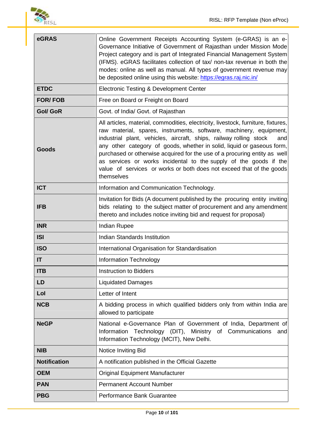

| eGRAS               | Online Government Receipts Accounting System (e-GRAS) is an e-<br>Governance Initiative of Government of Rajasthan under Mission Mode<br>Project category and is part of Integrated Financial Management System<br>(IFMS). eGRAS facilitates collection of tax/ non-tax revenue in both the<br>modes: online as well as manual. All types of government revenue may<br>be deposited online using this website: https://egras.raj.nic.in/                                                                                                               |
|---------------------|--------------------------------------------------------------------------------------------------------------------------------------------------------------------------------------------------------------------------------------------------------------------------------------------------------------------------------------------------------------------------------------------------------------------------------------------------------------------------------------------------------------------------------------------------------|
| <b>ETDC</b>         | Electronic Testing & Development Center                                                                                                                                                                                                                                                                                                                                                                                                                                                                                                                |
| <b>FOR/FOB</b>      | Free on Board or Freight on Board                                                                                                                                                                                                                                                                                                                                                                                                                                                                                                                      |
| <b>Gol/ GoR</b>     | Govt. of India/ Govt. of Rajasthan                                                                                                                                                                                                                                                                                                                                                                                                                                                                                                                     |
| Goods               | All articles, material, commodities, electricity, livestock, furniture, fixtures,<br>raw material, spares, instruments, software, machinery, equipment,<br>industrial plant, vehicles, aircraft, ships, railway rolling stock<br>and<br>any other category of goods, whether in solid, liquid or gaseous form,<br>purchased or otherwise acquired for the use of a procuring entity as well<br>as services or works incidental to the supply of the goods if the<br>value of services or works or both does not exceed that of the goods<br>themselves |
| <b>ICT</b>          | Information and Communication Technology.                                                                                                                                                                                                                                                                                                                                                                                                                                                                                                              |
| <b>IFB</b>          | Invitation for Bids (A document published by the procuring entity inviting<br>bids relating to the subject matter of procurement and any amendment<br>thereto and includes notice inviting bid and request for proposal)                                                                                                                                                                                                                                                                                                                               |
| <b>INR</b>          | <b>Indian Rupee</b>                                                                                                                                                                                                                                                                                                                                                                                                                                                                                                                                    |
| <b>ISI</b>          | Indian Standards Institution                                                                                                                                                                                                                                                                                                                                                                                                                                                                                                                           |
| <b>ISO</b>          | International Organisation for Standardisation                                                                                                                                                                                                                                                                                                                                                                                                                                                                                                         |
| IT                  | <b>Information Technology</b>                                                                                                                                                                                                                                                                                                                                                                                                                                                                                                                          |
| <b>ITB</b>          | <b>Instruction to Bidders</b>                                                                                                                                                                                                                                                                                                                                                                                                                                                                                                                          |
| <b>LD</b>           | <b>Liquidated Damages</b>                                                                                                                                                                                                                                                                                                                                                                                                                                                                                                                              |
| Lol                 | Letter of Intent                                                                                                                                                                                                                                                                                                                                                                                                                                                                                                                                       |
| <b>NCB</b>          | A bidding process in which qualified bidders only from within India are<br>allowed to participate                                                                                                                                                                                                                                                                                                                                                                                                                                                      |
| <b>NeGP</b>         | National e-Governance Plan of Government of India, Department of<br>Information Technology (DIT), Ministry of Communications and<br>Information Technology (MCIT), New Delhi.                                                                                                                                                                                                                                                                                                                                                                          |
| <b>NIB</b>          | Notice Inviting Bid                                                                                                                                                                                                                                                                                                                                                                                                                                                                                                                                    |
| <b>Notification</b> | A notification published in the Official Gazette                                                                                                                                                                                                                                                                                                                                                                                                                                                                                                       |
| <b>OEM</b>          | <b>Original Equipment Manufacturer</b>                                                                                                                                                                                                                                                                                                                                                                                                                                                                                                                 |
| <b>PAN</b>          | <b>Permanent Account Number</b>                                                                                                                                                                                                                                                                                                                                                                                                                                                                                                                        |
| <b>PBG</b>          | Performance Bank Guarantee                                                                                                                                                                                                                                                                                                                                                                                                                                                                                                                             |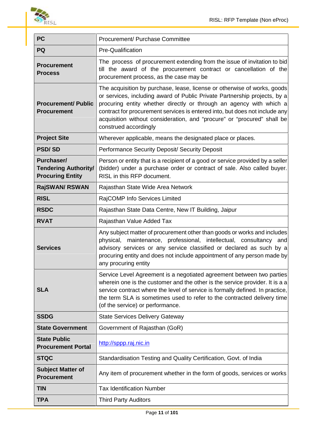

| <b>PC</b>                                                                                                                                                                                                                                                                                                                                    | Procurement/ Purchase Committee                                                                                                                                                                                                                                                                                                                                                                                 |  |  |
|----------------------------------------------------------------------------------------------------------------------------------------------------------------------------------------------------------------------------------------------------------------------------------------------------------------------------------------------|-----------------------------------------------------------------------------------------------------------------------------------------------------------------------------------------------------------------------------------------------------------------------------------------------------------------------------------------------------------------------------------------------------------------|--|--|
| PQ                                                                                                                                                                                                                                                                                                                                           | Pre-Qualification                                                                                                                                                                                                                                                                                                                                                                                               |  |  |
| <b>Procurement</b><br><b>Process</b>                                                                                                                                                                                                                                                                                                         | The process of procurement extending from the issue of invitation to bid<br>till the award of the procurement contract or cancellation of the<br>procurement process, as the case may be                                                                                                                                                                                                                        |  |  |
| <b>Procurement/ Public</b><br><b>Procurement</b>                                                                                                                                                                                                                                                                                             | The acquisition by purchase, lease, license or otherwise of works, goods<br>or services, including award of Public Private Partnership projects, by a<br>procuring entity whether directly or through an agency with which a<br>contract for procurement services is entered into, but does not include any<br>acquisition without consideration, and "procure" or "procured" shall be<br>construed accordingly |  |  |
| <b>Project Site</b>                                                                                                                                                                                                                                                                                                                          | Wherever applicable, means the designated place or places.                                                                                                                                                                                                                                                                                                                                                      |  |  |
| <b>PSD/SD</b>                                                                                                                                                                                                                                                                                                                                | Performance Security Deposit/ Security Deposit                                                                                                                                                                                                                                                                                                                                                                  |  |  |
| Purchaser/<br><b>Tendering Authority/</b><br><b>Procuring Entity</b>                                                                                                                                                                                                                                                                         | Person or entity that is a recipient of a good or service provided by a seller<br>(bidder) under a purchase order or contract of sale. Also called buyer.<br>RISL in this RFP document.                                                                                                                                                                                                                         |  |  |
| <b>RajSWAN/ RSWAN</b>                                                                                                                                                                                                                                                                                                                        | Rajasthan State Wide Area Network                                                                                                                                                                                                                                                                                                                                                                               |  |  |
| <b>RISL</b>                                                                                                                                                                                                                                                                                                                                  | RajCOMP Info Services Limited                                                                                                                                                                                                                                                                                                                                                                                   |  |  |
| <b>RSDC</b>                                                                                                                                                                                                                                                                                                                                  | Rajasthan State Data Centre, New IT Building, Jaipur                                                                                                                                                                                                                                                                                                                                                            |  |  |
| <b>RVAT</b>                                                                                                                                                                                                                                                                                                                                  | Rajasthan Value Added Tax                                                                                                                                                                                                                                                                                                                                                                                       |  |  |
| Any subject matter of procurement other than goods or works and includes<br>physical, maintenance, professional, intellectual, consultancy and<br>advisory services or any service classified or declared as such by a<br><b>Services</b><br>procuring entity and does not include appointment of any person made by<br>any procuring entity |                                                                                                                                                                                                                                                                                                                                                                                                                 |  |  |
| <b>SLA</b>                                                                                                                                                                                                                                                                                                                                   | Service Level Agreement is a negotiated agreement between two parties<br>wherein one is the customer and the other is the service provider. It is a a<br>service contract where the level of service is formally defined. In practice,<br>the term SLA is sometimes used to refer to the contracted delivery time<br>(of the service) or performance.                                                           |  |  |
| <b>SSDG</b>                                                                                                                                                                                                                                                                                                                                  | <b>State Services Delivery Gateway</b>                                                                                                                                                                                                                                                                                                                                                                          |  |  |
| <b>State Government</b>                                                                                                                                                                                                                                                                                                                      | Government of Rajasthan (GoR)                                                                                                                                                                                                                                                                                                                                                                                   |  |  |
| <b>State Public</b><br><b>Procurement Portal</b>                                                                                                                                                                                                                                                                                             | http://sppp.raj.nic.in                                                                                                                                                                                                                                                                                                                                                                                          |  |  |
| <b>STQC</b>                                                                                                                                                                                                                                                                                                                                  | Standardisation Testing and Quality Certification, Govt. of India                                                                                                                                                                                                                                                                                                                                               |  |  |
| <b>Subject Matter of</b><br><b>Procurement</b>                                                                                                                                                                                                                                                                                               | Any item of procurement whether in the form of goods, services or works                                                                                                                                                                                                                                                                                                                                         |  |  |
| <b>TIN</b>                                                                                                                                                                                                                                                                                                                                   | <b>Tax Identification Number</b>                                                                                                                                                                                                                                                                                                                                                                                |  |  |
| <b>TPA</b>                                                                                                                                                                                                                                                                                                                                   | <b>Third Party Auditors</b>                                                                                                                                                                                                                                                                                                                                                                                     |  |  |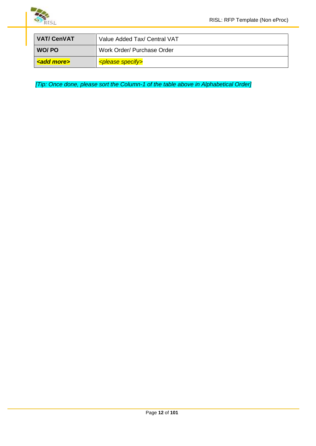

| <b>VAT/CenVAT</b> | Value Added Tax/ Central VAT        |
|-------------------|-------------------------------------|
| WO/ PO            | Work Order/ Purchase Order          |
| <b>kadd mores</b> | <b><please specify=""></please></b> |

*[Tip: Once done, please sort the Column-1 of the table above in Alphabetical Order]*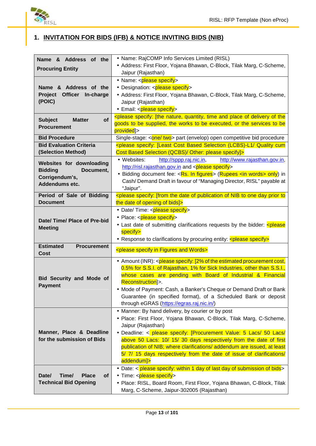

# **1. INVITATION FOR BIDS (IFB) & NOTICE INVITING BIDS (NIB)**

| Name & Address of the                                                                                                                            | • Name: RajCOMP Info Services Limited (RISL)                                                                          |  |
|--------------------------------------------------------------------------------------------------------------------------------------------------|-----------------------------------------------------------------------------------------------------------------------|--|
| <b>Procuring Entity</b>                                                                                                                          | • Address: First Floor, Yojana Bhawan, C-Block, Tilak Marg, C-Scheme,                                                 |  |
|                                                                                                                                                  | Jaipur (Rajasthan)                                                                                                    |  |
|                                                                                                                                                  | • Name: <please specify=""></please>                                                                                  |  |
| Name & Address of the                                                                                                                            | • Designation: < <b>please specify</b> >                                                                              |  |
| Project Officer In-charge                                                                                                                        | • Address: First Floor, Yojana Bhawan, C-Block, Tilak Marg, C-Scheme,                                                 |  |
| (POIC)                                                                                                                                           | Jaipur (Rajasthan)                                                                                                    |  |
|                                                                                                                                                  | • Email: < please specify>                                                                                            |  |
|                                                                                                                                                  | <please [the="" and="" delivery="" nature,="" of="" place="" quantity,="" specify:="" th="" the<="" time=""></please> |  |
| <b>of</b><br><b>Subject</b><br><b>Matter</b>                                                                                                     | goods to be supplied, the works to be executed, or the services to be                                                 |  |
| <b>Procurement</b>                                                                                                                               | provided]>                                                                                                            |  |
| <b>Bid Procedure</b>                                                                                                                             | Single-stage: < <b>one/ two</b> > part (envelop) open competitive bid procedure                                       |  |
| <b>Bid Evaluation Criteria</b>                                                                                                                   | <please (lcbs)-l1="" [least="" based="" cost="" cum<="" quality="" selection="" specify:="" th=""></please>           |  |
| (Selection Method)                                                                                                                               | Cost Based Selection (QCBS)/ Other: please specify]>                                                                  |  |
|                                                                                                                                                  |                                                                                                                       |  |
| Websites for downloading                                                                                                                         | • Websites:<br>http://sppp.raj.nic.in,<br>http://www.rajasthan.gov.in,                                                |  |
| <b>Bidding</b><br>Document,                                                                                                                      | http://risl.rajasthan.gov.in and <please specify=""></please>                                                         |  |
| Corrigendum's,                                                                                                                                   | • Bidding document fee: <rs. figures="" in=""> (Rupees <in words=""> only) in</in></rs.>                              |  |
| Addendums etc.                                                                                                                                   | Cash/ Demand Draft in favour of "Managing Director, RISL" payable at                                                  |  |
|                                                                                                                                                  | "Jaipur".                                                                                                             |  |
| <please [from="" date="" day="" nib="" of="" one="" prior="" publication="" specify:="" the="" to="" to<br="">Period of Sale of Bidding</please> |                                                                                                                       |  |
| <b>Document</b>                                                                                                                                  | the date of opening of bids]>                                                                                         |  |
|                                                                                                                                                  | • Date/ Time: <please specify=""></please>                                                                            |  |
|                                                                                                                                                  | • Place: <please specify=""></please>                                                                                 |  |
| Date/ Time/ Place of Pre-bid                                                                                                                     | • Last date of submitting clarifications requests by the bidder: < please                                             |  |
| <b>Meeting</b>                                                                                                                                   | specify>                                                                                                              |  |
|                                                                                                                                                  | • Response to clarifications by procuring entity: < please specify>                                                   |  |
| <b>Estimated</b><br><b>Procurement</b>                                                                                                           |                                                                                                                       |  |
| Cost                                                                                                                                             | <please and="" figures="" in="" specify="" words=""></please>                                                         |  |
|                                                                                                                                                  | • Amount (INR): <please [2%="" cost,<="" estimated="" of="" procurement="" specify:="" th="" the=""></please>         |  |
|                                                                                                                                                  | 0.5% for S.S.I. of Rajasthan, 1% for Sick Industries, other than S.S.I.,                                              |  |
|                                                                                                                                                  | whose cases are pending with Board of Industrial & Financial                                                          |  |
| <b>Bid Security and Mode of</b>                                                                                                                  | Reconstruction]>.                                                                                                     |  |
| <b>Payment</b>                                                                                                                                   | • Mode of Payment: Cash, a Banker's Cheque or Demand Draft or Bank                                                    |  |
|                                                                                                                                                  |                                                                                                                       |  |
|                                                                                                                                                  | Guarantee (in specified format), of a Scheduled Bank or deposit                                                       |  |
|                                                                                                                                                  | through eGRAS (https://egras.raj.nic.in/)                                                                             |  |
|                                                                                                                                                  | • Manner: By hand delivery, by courier or by post                                                                     |  |
|                                                                                                                                                  | · Place: First Floor, Yojana Bhawan, C-Block, Tilak Marg, C-Scheme,                                                   |  |
|                                                                                                                                                  | Jaipur (Rajasthan)                                                                                                    |  |
| Manner, Place & Deadline                                                                                                                         | • Deadline: < please specify: [Procurement Value: 5 Lacs/ 50 Lacs/                                                    |  |
| for the submission of Bids                                                                                                                       | above 50 Lacs: 10/ 15/ 30 days respectively from the date of first                                                    |  |
|                                                                                                                                                  | publication of NIB; where clarifications/ addendum are issued, at least                                               |  |
|                                                                                                                                                  | 5/ 7/ 15 days respectively from the date of issue of clarifications/                                                  |  |
|                                                                                                                                                  | addendum]>                                                                                                            |  |
|                                                                                                                                                  | • Date: < please specify: within 1 day of last day of submission of bids>                                             |  |
| Time/<br>Date/<br><b>Place</b><br><b>of</b>                                                                                                      | • Time: <please specify=""></please>                                                                                  |  |
| <b>Technical Bid Opening</b>                                                                                                                     | · Place: RISL, Board Room, First Floor, Yojana Bhawan, C-Block, Tilak                                                 |  |
|                                                                                                                                                  |                                                                                                                       |  |
|                                                                                                                                                  | Marg, C-Scheme, Jaipur-302005 (Rajasthan)                                                                             |  |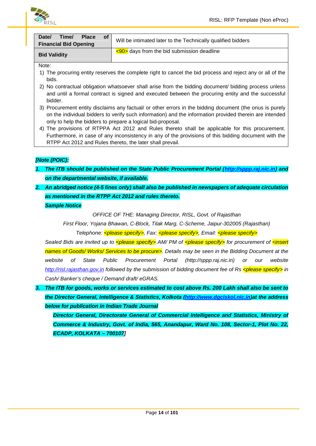

| Time/<br>Date/<br><b>Place</b><br><b>of</b><br><b>Financial Bid Opening</b> | Will be intimated later to the Technically qualified bidders |
|-----------------------------------------------------------------------------|--------------------------------------------------------------|
| <b>Bid Validity</b>                                                         | $\leq$ 90> days from the bid submission deadline             |

Note:

- 1) The procuring entity reserves the complete right to cancel the bid process and reject any or all of the bids.
- 2) No contractual obligation whatsoever shall arise from the bidding document/ bidding process unless and until a formal contract is signed and executed between the procuring entity and the successful bidder.
- 3) Procurement entity disclaims any factual/ or other errors in the bidding document (the onus is purely on the individual bidders to verify such information) and the information provided therein are intended only to help the bidders to prepare a logical bid-proposal.
- 4) The provisions of RTPPA Act 2012 and Rules thereto shall be applicable for this procurement. Furthermore, in case of any inconsistency in any of the provisions of this bidding document with the RTPP Act 2012 and Rules thereto, the later shall prevail.

#### *[Note (POIC):*

- *1. The ITB should be published on the State Public Procurement Portal (http://sppp.raj.nic.in) and on the departmental website, if available.*
- *2. An abridged notice (4-5 lines only) shall also be published in newspapers of adequate circulation as mentioned in the RTPP Act 2012 and rules thereto.*

*Sample Notice*

*OFFICE OF THE: Managing Director, RISL, Govt. of Rajasthan*

*First Floor, Yojana Bhawan, C-Block, Tilak Marg, C-Scheme, Jaipur-302005 (Rajasthan)*

*Telephone: <please specify>, Fax: <please specify>, Email: <please specify>*

*Sealed Bids are invited up to <please specify> AM/ PM of <please specify> for procurement of <insert names of Goods/ Works/ Services to be procure>. Details may be seen in the Bidding Document at the website of State Public Procurement Portal (http://sppp.raj.nic.in) or our website http://risl.rajasthan.gov.in followed by the submission of bidding document fee of Rs <please specify> in Cash/ Banker's cheque / Demand draft/ eGRAS.*

*3. The ITB for goods, works or services estimated to cost above Rs. 200 Lakh shall also be sent to the Director General, Intelligence & Statistics, Kolkota (http://www.dgciskol.nic.in)at the address below for publication in Indian Trade Journal*

*Director General, Directorate General of Commercial Intelligence and Statistics, Ministry of Commerce & Industry, Govt. of India, 565, Anandapur, Ward No. 108, Sector-1, Plot No. 22, ECADP, KOLKATA – 700107]*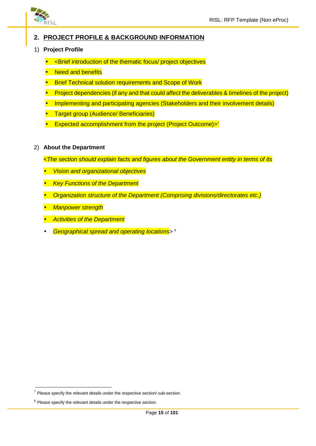

#### **2. PROJECT PROFILE & BACKGROUND INFORMATION**

- 1) **Project Profile**
	- <Brief introduction of the thematic focus/ project objectives
	- **Need and benefits**
	- Brief Technical solution requirements and Scope of Work
	- Project dependencies (if any and that could affect the deliverables & timelines of the project)
	- Implementing and participating agencies (Stakeholders and their involvement details)
	- Target group (Audience/ Beneficiaries)
	- Expected accomplishment from the project (Project Outcome)><sup>7</sup>
- 2) **About the Department**
	- *<The section should explain facts and figures about the Government entity in terms of its*
	- *Vision and organizational objectives*
	- *Key Functions of the Department*
	- *Organization structure of the Department (Comprising divisions/directorates etc.)*
	- *Manpower strength*
	- *Activities of the Department*
	- *Geographical spread and operating locations>* 8

 $7$  Please specify the relevant details under the respective section/ sub-section.

 $8$  Please specify the relevant details under the respective section.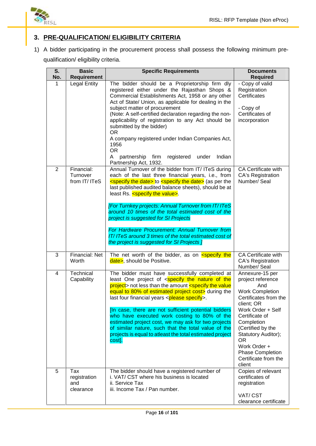

### **3. PRE-QUALIFICATION/ ELIGIBILITY CRITERIA**

1) A bidder participating in the procurement process shall possess the following minimum pre qualification/ eligibility criteria.

| S.<br>No.      | <b>Basic</b>                            | <b>Specific Requirements</b><br><b>Documents</b><br><b>Requirement</b><br><b>Required</b>                                                                                                                                                                                                                                                                                                                                                                                                                                                                                                                                 |                                                                                                                                                                                                                                                                                                   |
|----------------|-----------------------------------------|---------------------------------------------------------------------------------------------------------------------------------------------------------------------------------------------------------------------------------------------------------------------------------------------------------------------------------------------------------------------------------------------------------------------------------------------------------------------------------------------------------------------------------------------------------------------------------------------------------------------------|---------------------------------------------------------------------------------------------------------------------------------------------------------------------------------------------------------------------------------------------------------------------------------------------------|
| 1              | <b>Legal Entity</b>                     | The bidder should be a Proprietorship firm dly<br>registered either under the Rajasthan Shops &<br>Commercial Establishments Act, 1958 or any other<br>Act of State/ Union, as applicable for dealing in the<br>subject matter of procurement<br>(Note: A self-certified declaration regarding the non-<br>applicability of registration to any Act should be<br>submitted by the bidder)<br><b>OR</b><br>A company registered under Indian Companies Act,<br>1956<br>OR<br>partnership<br>firm<br>registered<br>under<br>Indian<br>A<br>Partnership Act, 1932.                                                           | - Copy of valid<br>Registration<br>Certificates<br>- Copy of<br>Certificates of<br>incorporation                                                                                                                                                                                                  |
| $\overline{2}$ | Financial:<br>Turnover<br>from IT/ ITeS | Annual Turnover of the bidder from IT/ ITeS during<br>each of the last three financial years, i.e., from<br>specify the date> to specify the date> (as per the<br>last published audited balance sheets), should be at<br>least Rs. <specify the="" value="">.<br/><b>[For Turnkey projects: Annual Turnover from IT/ITeS</b><br/>around 10 times of the total estimated cost of the<br/>project is suggested for SI Projects<br/>For Hardware Procurement: Annual Turnover from<br/>IT/ITeS around 3 times of the total estimated cost of<br/>the project is suggested for SI Projects ]</specify>                       | <b>CA Certificate with</b><br><b>CA's Registration</b><br>Number/ Seal                                                                                                                                                                                                                            |
| 3              | Financial: Net<br>Worth                 | The net worth of the bidder, as on specify the<br>date>, should be Positive.                                                                                                                                                                                                                                                                                                                                                                                                                                                                                                                                              | <b>CA Certificate with</b><br><b>CA's Registration</b><br>Number/ Seal                                                                                                                                                                                                                            |
| 4              | Technical<br>Capability                 | The bidder must have successfully completed at<br>least One project of <specify nature="" of="" the="" the<br="">project&gt; not less than the amount <specify the="" value<br="">equal to 80% of estimated project cost&gt; during the<br/>last four financial years <please specify="">.<br/>[In case, there are not sufficient potential bidders<br/>who have executed work costing to 80% of the<br/>estimated project cost, we may ask for two projects<br/>of similar nature, such that the total value of the<br/>projects is equal to atleast the total estimated project<br/>cost].</please></specify></specify> | Annexure-15 per<br>project reference<br>And<br><b>Work Completion</b><br>Certificates from the<br>client; OR<br>Work Order + Self<br>Certificate of<br>Completion<br>(Certified by the<br>Statutory Auditor);<br>OR.<br>Work Order +<br><b>Phase Completion</b><br>Certificate from the<br>client |
| 5              | Tax<br>registration<br>and<br>clearance | The bidder should have a registered number of<br>i. VAT/ CST where his business is located<br>ii. Service Tax<br>iii. Income Tax / Pan number.                                                                                                                                                                                                                                                                                                                                                                                                                                                                            | Copies of relevant<br>certificates of<br>registration<br>VAT/CST<br>clearance certificate                                                                                                                                                                                                         |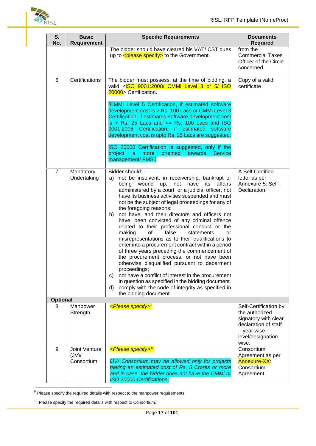

| S.<br>No.       | <b>Basic</b><br>Requirement                | <b>Specific Requirements</b>                                                                                                                                                                                                                                                                                                                                                                                                                                                                                                                                                                                                                                                                                                                                                                                                                                                                                                                                                                    | <b>Documents</b><br><b>Required</b>                                                                                                   |
|-----------------|--------------------------------------------|-------------------------------------------------------------------------------------------------------------------------------------------------------------------------------------------------------------------------------------------------------------------------------------------------------------------------------------------------------------------------------------------------------------------------------------------------------------------------------------------------------------------------------------------------------------------------------------------------------------------------------------------------------------------------------------------------------------------------------------------------------------------------------------------------------------------------------------------------------------------------------------------------------------------------------------------------------------------------------------------------|---------------------------------------------------------------------------------------------------------------------------------------|
|                 |                                            | The bidder should have cleared his VAT/ CST dues<br>up to $\leq$ please specify > to the Government.                                                                                                                                                                                                                                                                                                                                                                                                                                                                                                                                                                                                                                                                                                                                                                                                                                                                                            | from the<br><b>Commercial Taxes</b><br>Officer of the Circle<br>concerned                                                             |
| 6               | Certifications                             | The bidder must possess, at the time of bidding, a<br>valid <iso 3="" 5="" 9001:2008="" cmmi="" iso<br="" level="" or="">20000 &gt; Certification.<br/>[CMMi Level 5 Certification, if estimated software<br/>development cost is &gt; Rs. 100 Lacs or CMMi Level 3<br/>Certification, if estimated software development cost<br/>is <math>&gt;</math> Rs. 25 Lacs and <math>\leq</math> Rs. 100 Lacs and ISO<br/>9001:2008 Certification, if estimated<br/>software<br/>development cost is upto Rs. 25 Lacs are suggested.<br/>ISO 20000 Certification is suggested, only if the<br/>oriented<br/>towards<br/><b>Service</b><br/>project<br/>is.<br/>more<br/>management/ FMS.]</iso>                                                                                                                                                                                                                                                                                                         | Copy of a valid<br>certificate                                                                                                        |
| $\overline{7}$  | Mandatory<br>Undertaking                   | Bidder should: -<br>not be insolvent, in receivership, bankrupt or<br>a)<br>being wound up, not have<br>its<br>affairs<br>administered by a court or a judicial officer, not<br>have its business activities suspended and must<br>not be the subject of legal proceedings for any of<br>the foregoing reasons;<br>not have, and their directors and officers not<br>b)<br>have, been convicted of any criminal offence<br>related to their professional conduct or the<br>false<br>making<br>οf<br>statements<br>or<br>misrepresentations as to their qualifications to<br>enter into a procurement contract within a period<br>of three years preceding the commencement of<br>the procurement process, or not have been<br>otherwise disqualified pursuant to debarment<br>proceedings;<br>not have a conflict of interest in the procurement<br>C)<br>in question as specified in the bidding document.<br>comply with the code of integrity as specified in<br>d)<br>the bidding document. | A Self Certified<br>letter as per<br>Annexure-5: Self-<br>Declaration                                                                 |
| <b>Optional</b> |                                            |                                                                                                                                                                                                                                                                                                                                                                                                                                                                                                                                                                                                                                                                                                                                                                                                                                                                                                                                                                                                 |                                                                                                                                       |
| 8               | Manpower<br>Strength                       | <please specify=""><sup>9</sup></please>                                                                                                                                                                                                                                                                                                                                                                                                                                                                                                                                                                                                                                                                                                                                                                                                                                                                                                                                                        | Self-Certification by<br>the authorized<br>signatory with clear<br>declaration of staff<br>- year wise,<br>level/designation<br>wise. |
| 9               | <b>Joint Venture</b><br>(VU)<br>Consortium | <please specify=""><sup>10</sup><br/>[JV/ Consortium may be allowed only for projects<br/>having an estimated cost of Rs. 5 Crores or more<br/>and in case, the bidder does not have the CMMi or<br/>ISO 20000 Certifications.</please>                                                                                                                                                                                                                                                                                                                                                                                                                                                                                                                                                                                                                                                                                                                                                         | Consortium<br>Agreement as per<br><b>Annexure-XX:</b><br>Consortium<br>Agreement                                                      |

 $9$  Please specify the required details with respect to the manpower requirements.

 $10$  Please specify the required details with respect to Consortium.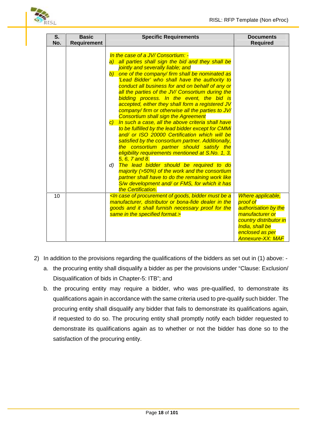

| S.<br>No. | <b>Basic</b><br>Requirement | <b>Specific Requirements</b>                                                                                                                                                                                                                                                                                                                                                                                                                                                                                                                                                                                                                                                                                                                                                                                                                                                                                                                                                                                                                                                                                            | <b>Documents</b><br><b>Required</b>                                                                                                                                 |
|-----------|-----------------------------|-------------------------------------------------------------------------------------------------------------------------------------------------------------------------------------------------------------------------------------------------------------------------------------------------------------------------------------------------------------------------------------------------------------------------------------------------------------------------------------------------------------------------------------------------------------------------------------------------------------------------------------------------------------------------------------------------------------------------------------------------------------------------------------------------------------------------------------------------------------------------------------------------------------------------------------------------------------------------------------------------------------------------------------------------------------------------------------------------------------------------|---------------------------------------------------------------------------------------------------------------------------------------------------------------------|
|           |                             | In the case of a JV/ Consortium: -<br>a) all parties shall sign the bid and they shall be<br>jointly and severally liable; and<br>b) one of the company/firm shall be nominated as<br>'Lead Bidder' who shall have the authority to<br>conduct all business for and on behalf of any or<br>all the parties of the JV/ Consortium during the<br>bidding process. In the event, the bid is<br>accepted, either they shall form a registered JV<br>company/ firm or otherwise all the parties to JV/<br><b>Consortium shall sign the Agreement</b><br>c) In such a case, all the above criteria shall have<br>to be fulfilled by the lead bidder except for CMMi<br>and/ or ISO 20000 Certification which will be<br>satisfied by the consortium partner. Additionally,<br>the consortium partner should satisfy the<br>eligibility requirements mentioned at S.No. 1, 3,<br>5, 6, 7 and 8.<br>The lead bidder should be required to do<br>d)<br>majority (>50%) of the work and the consortium<br>partner shall have to do the remaining work like<br>S/w development and/ or FMS, for which it has<br>the Certification. |                                                                                                                                                                     |
| 10        |                             | <in a<br="" be="" bidder="" case="" goods,="" must="" of="" procurement="">manufacturer, distributor or bona-fide dealer in the<br/>goods and it shall furnish necessary proof for the<br/>same in the specified format.&gt;</in>                                                                                                                                                                                                                                                                                                                                                                                                                                                                                                                                                                                                                                                                                                                                                                                                                                                                                       | Where applicable,<br>proof of<br>authorisation by the<br>manufacturer or<br>country distributor in<br>India, shall be<br>enclosed as per<br><b>Annexure-XX: MAF</b> |

- 2) In addition to the provisions regarding the qualifications of the bidders as set out in (1) above:
	- a. the procuring entity shall disqualify a bidder as per the provisions under "Clause: Exclusion/ Disqualification of bids in Chapter-5: ITB"; and
	- b. the procuring entity may require a bidder, who was pre-qualified, to demonstrate its qualifications again in accordance with the same criteria used to pre-qualify such bidder. The procuring entity shall disqualify any bidder that fails to demonstrate its qualifications again, if requested to do so. The procuring entity shall promptly notify each bidder requested to demonstrate its qualifications again as to whether or not the bidder has done so to the satisfaction of the procuring entity.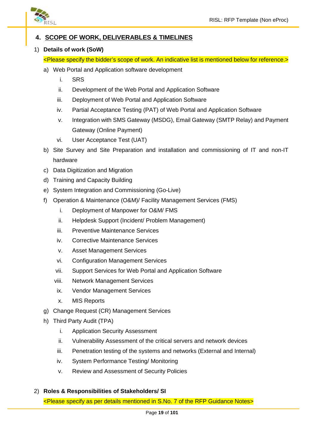

#### **4. SCOPE OF WORK, DELIVERABLES & TIMELINES**

#### 1) **Details of work (SoW)**

- <Please specify the bidder's scope of work. An indicative list is mentioned below for reference.>
- a) Web Portal and Application software development
	- i. SRS
	- ii. Development of the Web Portal and Application Software
	- iii. Deployment of Web Portal and Application Software
	- iv. Partial Acceptance Testing (PAT) of Web Portal and Application Software
	- v. Integration with SMS Gateway (MSDG), Email Gateway (SMTP Relay) and Payment Gateway (Online Payment)
	- vi. User Acceptance Test (UAT)
- b) Site Survey and Site Preparation and installation and commissioning of IT and non-IT hardware
- c) Data Digitization and Migration
- d) Training and Capacity Building
- e) System Integration and Commissioning (Go-Live)
- f) Operation & Maintenance (O&M)/ Facility Management Services (FMS)
	- i. Deployment of Manpower for O&M/ FMS
	- ii. Helpdesk Support (Incident/ Problem Management)
	- iii. Preventive Maintenance Services
	- iv. Corrective Maintenance Services
	- v. Asset Management Services
	- vi. Configuration Management Services
	- vii. Support Services for Web Portal and Application Software
	- viii. Network Management Services
	- ix. Vendor Management Services
	- x. MIS Reports
- g) Change Request (CR) Management Services
- h) Third Party Audit (TPA)
	- i. Application Security Assessment
	- ii. Vulnerability Assessment of the critical servers and network devices
	- iii. Penetration testing of the systems and networks (External and Internal)
	- iv. System Performance Testing/ Monitoring
	- v. Review and Assessment of Security Policies
- 2) **Roles & Responsibilities of Stakeholders/ SI**

<Please specify as per details mentioned in S.No. 7 of the RFP Guidance Notes>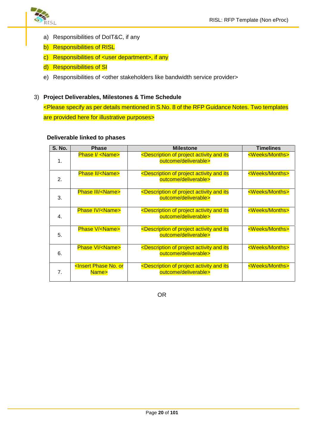

- a) Responsibilities of DoIT&C, if any
- b) Responsibilities of RISL
- c) Responsibilities of <user department>, if any
- d) Responsibilities of SI
- e) Responsibilities of <other stakeholders like bandwidth service provider>

#### 3) **Project Deliverables, Milestones & Time Schedule**

<Please specify as per details mentioned in S.No. 8 of the RFP Guidance Notes. Two templates are provided here for illustrative purposes>

#### **Deliverable linked to phases**

| <b>S. No.</b>    | <b>Phase</b>                                       | <b>Milestone</b>                                                                                 | <b>Timelines</b>          |
|------------------|----------------------------------------------------|--------------------------------------------------------------------------------------------------|---------------------------|
| $\mathbf 1$ .    | <b>Phase I/ <name></name></b>                      | <description activity="" and="" its<br="" of="" project="">outcome/deliverable&gt;</description> | <weeks months=""></weeks> |
| 2.               | <b>Phase II/<name></name></b>                      | <description activity="" and="" its<br="" of="" project="">outcome/deliverable&gt;</description> | <weeks months=""></weeks> |
| 3.               | <b>Phase III/<name></name></b>                     | <description activity="" and="" its<br="" of="" project="">outcome/deliverable&gt;</description> | <weeks months=""></weeks> |
| $\overline{4}$ . | <b>Phase IV/<name></name></b>                      | <description activity="" and="" its<br="" of="" project="">outcome/deliverable&gt;</description> | <weeks months=""></weeks> |
| 5.               | <b>Phase V/<name></name></b>                       | <description activity="" and="" its<br="" of="" project="">outcome/deliverable&gt;</description> | <weeks months=""></weeks> |
| 6.               | <b>Phase VI/<name></name></b>                      | <description activity="" and="" its<br="" of="" project="">outcome/deliverable&gt;</description> | <weeks months=""></weeks> |
| 7 <sub>1</sub>   | <insert no.="" or<br="" phase="">Name&gt;</insert> | <description activity="" and="" its<br="" of="" project="">outcome/deliverable&gt;</description> | <weeks months=""></weeks> |

OR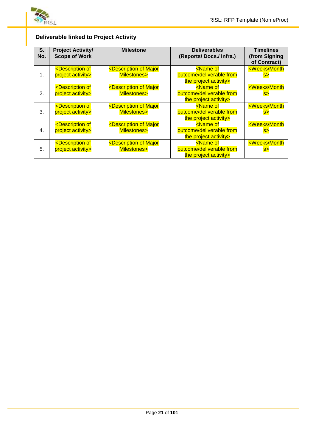

#### **Deliverable linked to Project Activity**

| S.<br>No. | <b>Project Activity/</b><br><b>Scope of Work</b>         | <b>Milestone</b>                                            | <b>Deliverables</b><br>(Reports/ Docs./ Infra.)                             | <b>Timelines</b><br>(from Signing)<br>of Contract) |
|-----------|----------------------------------------------------------|-------------------------------------------------------------|-----------------------------------------------------------------------------|----------------------------------------------------|
| 1.        | <description of<br="">project activity&gt;</description> | <description major<br="" of="">Milestones&gt;</description> | <name of<br="">outcome/deliverable from<br/>the project activity&gt;</name> | <weeks month<br="">S&gt;</weeks>                   |
| 2.        | <description of<br="">project activity&gt;</description> | <description major<br="" of="">Milestones&gt;</description> | <name of<br="">outcome/deliverable from<br/>the project activity&gt;</name> | <weeks month<br="">s&gt;</weeks>                   |
| 3.        | <description of<br="">project activity&gt;</description> | <description major<br="" of="">Milestones&gt;</description> | <name of<br="">outcome/deliverable from<br/>the project activity&gt;</name> | <weeks month<br="">s</weeks>                       |
| 4.        | <description of<br="">project activity&gt;</description> | <description major<br="" of="">Milestones&gt;</description> | <name of<br="">outcome/deliverable from<br/>the project activity&gt;</name> | <weeks month<br="">s</weeks>                       |
| 5.        | <description of<br="">project activity&gt;</description> | <description major<br="" of="">Milestones&gt;</description> | <name of<br="">outcome/deliverable from<br/>the project activity&gt;</name> | <weeks month<br=""><mark>S&gt;</mark></weeks>      |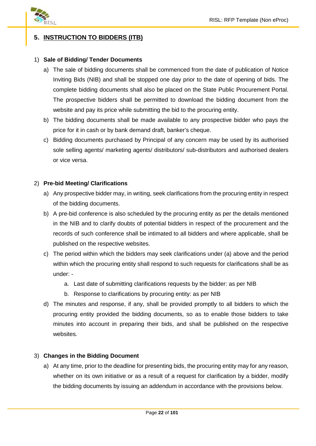

#### **5. INSTRUCTION TO BIDDERS (ITB)**

#### 1) **Sale of Bidding/ Tender Documents**

- a) The sale of bidding documents shall be commenced from the date of publication of Notice Inviting Bids (NIB) and shall be stopped one day prior to the date of opening of bids. The complete bidding documents shall also be placed on the State Public Procurement Portal. The prospective bidders shall be permitted to download the bidding document from the website and pay its price while submitting the bid to the procuring entity.
- b) The bidding documents shall be made available to any prospective bidder who pays the price for it in cash or by bank demand draft, banker's cheque.
- c) Bidding documents purchased by Principal of any concern may be used by its authorised sole selling agents/ marketing agents/ distributors/ sub-distributors and authorised dealers or vice versa.

#### 2) **Pre-bid Meeting/ Clarifications**

- a) Any prospective bidder may, in writing, seek clarifications from the procuring entity in respect of the bidding documents.
- b) A pre-bid conference is also scheduled by the procuring entity as per the details mentioned in the NIB and to clarify doubts of potential bidders in respect of the procurement and the records of such conference shall be intimated to all bidders and where applicable, shall be published on the respective websites.
- c) The period within which the bidders may seek clarifications under (a) above and the period within which the procuring entity shall respond to such requests for clarifications shall be as under:
	- a. Last date of submitting clarifications requests by the bidder: as per NIB
	- b. Response to clarifications by procuring entity: as per NIB
- d) The minutes and response, if any, shall be provided promptly to all bidders to which the procuring entity provided the bidding documents, so as to enable those bidders to take minutes into account in preparing their bids, and shall be published on the respective websites.

#### 3) **Changes in the Bidding Document**

a) At any time, prior to the deadline for presenting bids, the procuring entity may for any reason, whether on its own initiative or as a result of a request for clarification by a bidder, modify the bidding documents by issuing an addendum in accordance with the provisions below.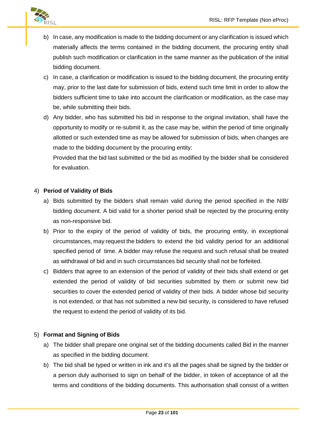

- b) In case, any modification is made to the bidding document or any clarification is issued which materially affects the terms contained in the bidding document, the procuring entity shall publish such modification or clarification in the same manner as the publication of the initial bidding document.
- c) In case, a clarification or modification is issued to the bidding document, the procuring entity may, prior to the last date for submission of bids, extend such time limit in order to allow the bidders sufficient time to take into account the clarification or modification, as the case may be, while submitting their bids.
- d) Any bidder, who has submitted his bid in response to the original invitation, shall have the opportunity to modify or re-submit it, as the case may be, within the period of time originally allotted or such extended time as may be allowed for submission of bids, when changes are made to the bidding document by the procuring entity:

Provided that the bid last submitted or the bid as modified by the bidder shall be considered for evaluation.

#### 4) **Period of Validity of Bids**

- a) Bids submitted by the bidders shall remain valid during the period specified in the NIB/ bidding document. A bid valid for a shorter period shall be rejected by the procuring entity as non-responsive bid.
- b) Prior to the expiry of the period of validity of bids, the procuring entity, in exceptional circumstances, may request the bidders to extend the bid validity period for an additional specified period of time. A bidder may refuse the request and such refusal shall be treated as withdrawal of bid and in such circumstances bid security shall not be forfeited.
- c) Bidders that agree to an extension of the period of validity of their bids shall extend or get extended the period of validity of bid securities submitted by them or submit new bid securities to cover the extended period of validity of their bids. A bidder whose bid security is not extended, or that has not submitted a new bid security, is considered to have refused the request to extend the period of validity of its bid.

#### 5) **Format and Signing of Bids**

- a) The bidder shall prepare one original set of the bidding documents called Bid in the manner as specified in the bidding document.
- b) The bid shall be typed or written in ink and it's all the pages shall be signed by the bidder or a person duly authorised to sign on behalf of the bidder, in token of acceptance of all the terms and conditions of the bidding documents. This authorisation shall consist of a written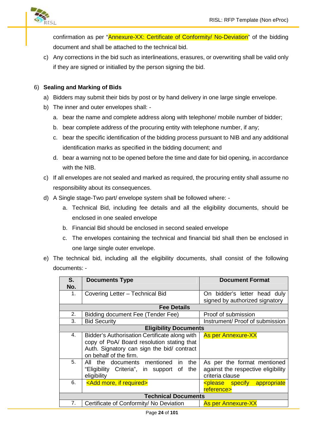

confirmation as per "Annexure-XX: Certificate of Conformity/ No-Deviation" of the bidding document and shall be attached to the technical bid.

c) Any corrections in the bid such as interlineations, erasures, or overwriting shall be valid only if they are signed or initialled by the person signing the bid.

#### 6) **Sealing and Marking of Bids**

- a) Bidders may submit their bids by post or by hand delivery in one large single envelope.
- b) The inner and outer envelopes shall:
	- a. bear the name and complete address along with telephone/ mobile number of bidder;
	- b. bear complete address of the procuring entity with telephone number, if any;
	- c. bear the specific identification of the bidding process pursuant to NIB and any additional identification marks as specified in the bidding document; and
	- d. bear a warning not to be opened before the time and date for bid opening, in accordance with the NIB.
- c) If all envelopes are not sealed and marked as required, the procuring entity shall assume no responsibility about its consequences.
- d) A Single stage-Two part/ envelope system shall be followed where:
	- a. Technical Bid, including fee details and all the eligibility documents, should be enclosed in one sealed envelope
	- b. Financial Bid should be enclosed in second sealed envelope
	- c. The envelopes containing the technical and financial bid shall then be enclosed in one large single outer envelope.
- e) The technical bid, including all the eligibility documents, shall consist of the following documents: -

| S.  | <b>Documents Type</b>                         | <b>Document Format</b>                             |
|-----|-----------------------------------------------|----------------------------------------------------|
| No. |                                               |                                                    |
| 1.  | Covering Letter - Technical Bid               | On bidder's letter head duly                       |
|     |                                               | signed by authorized signatory                     |
|     | <b>Fee Details</b>                            |                                                    |
| 2.  | Bidding document Fee (Tender Fee)             | Proof of submission                                |
| 3.  | <b>Bid Security</b>                           | Instrument/ Proof of submission                    |
|     | <b>Eligibility Documents</b>                  |                                                    |
| 4.  | Bidder's Authorisation Certificate along with | <b>As per Annexure-XX</b>                          |
|     | copy of PoA/ Board resolution stating that    |                                                    |
|     | Auth. Signatory can sign the bid/ contract    |                                                    |
|     | on behalf of the firm.                        |                                                    |
| 5.  | All the documents mentioned in<br>the         | As per the format mentioned                        |
|     | "Eligibility Criteria", in support of<br>the  | against the respective eligibility                 |
|     | eligibility                                   | criteria clause                                    |
| 6.  | <add if="" more,="" required=""></add>        | <please appropriate<="" specify="" td=""></please> |
|     |                                               | reference>                                         |
|     | <b>Technical Documents</b>                    |                                                    |
| 7.  | Certificate of Conformity/ No Deviation       | <b>As per Annexure-XX</b>                          |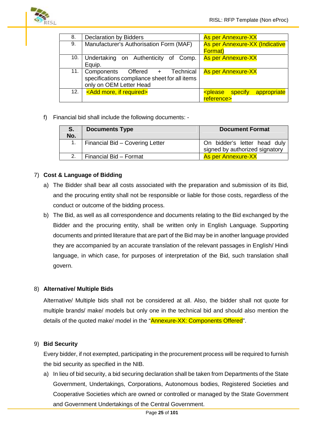

|                                         | <b>As per Annexure-XX</b>                          |
|-----------------------------------------|----------------------------------------------------|
| Manufacturer's Authorisation Form (MAF) | As per Annexure-XX (Indicative                     |
|                                         | <b>Format</b> )                                    |
| Undertaking on Authenticity of Comp.    | <b>As per Annexure-XX</b>                          |
|                                         |                                                    |
| Technical<br>Components Offered +       | <b>As per Annexure-XX</b>                          |
|                                         |                                                    |
|                                         |                                                    |
|                                         | appropriate<br><please specify<="" td=""></please> |
|                                         | reference>                                         |
|                                         | specifications compliance sheet for all items      |

f) Financial bid shall include the following documents: -

| S.  | <b>Documents Type</b>           | <b>Document Format</b>                                         |
|-----|---------------------------------|----------------------------------------------------------------|
| No. |                                 |                                                                |
|     | Financial Bid - Covering Letter | On bidder's letter head duly<br>signed by authorized signatory |
|     | Financial Bid - Format          | <b>As per Annexure-XX</b>                                      |

#### 7) **Cost & Language of Bidding**

- a) The Bidder shall bear all costs associated with the preparation and submission of its Bid, and the procuring entity shall not be responsible or liable for those costs, regardless of the conduct or outcome of the bidding process.
- b) The Bid, as well as all correspondence and documents relating to the Bid exchanged by the Bidder and the procuring entity, shall be written only in English Language. Supporting documents and printed literature that are part of the Bid may be in another language provided they are accompanied by an accurate translation of the relevant passages in English/ Hindi language, in which case, for purposes of interpretation of the Bid, such translation shall govern.

#### 8) **Alternative/ Multiple Bids**

Alternative/ Multiple bids shall not be considered at all. Also, the bidder shall not quote for multiple brands/ make/ models but only one in the technical bid and should also mention the details of the quoted make/ model in the "Annexure-XX: Components Offered".

#### 9) **Bid Security**

Every bidder, if not exempted, participating in the procurement process will be required to furnish the bid security as specified in the NIB.

a) In lieu of bid security, a bid securing declaration shall be taken from Departments of the State Government, Undertakings, Corporations, Autonomous bodies, Registered Societies and Cooperative Societies which are owned or controlled or managed by the State Government and Government Undertakings of the Central Government.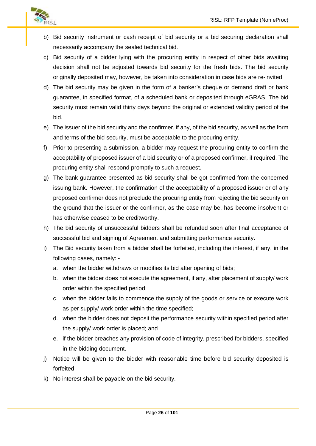

- b) Bid security instrument or cash receipt of bid security or a bid securing declaration shall necessarily accompany the sealed technical bid.
- c) Bid security of a bidder lying with the procuring entity in respect of other bids awaiting decision shall not be adjusted towards bid security for the fresh bids. The bid security originally deposited may, however, be taken into consideration in case bids are re-invited.
- d) The bid security may be given in the form of a banker's cheque or demand draft or bank guarantee, in specified format, of a scheduled bank or deposited through eGRAS. The bid security must remain valid thirty days beyond the original or extended validity period of the bid.
- e) The issuer of the bid security and the confirmer, if any, of the bid security, as well as the form and terms of the bid security, must be acceptable to the procuring entity.
- f) Prior to presenting a submission, a bidder may request the procuring entity to confirm the acceptability of proposed issuer of a bid security or of a proposed confirmer, if required. The procuring entity shall respond promptly to such a request.
- g) The bank guarantee presented as bid security shall be got confirmed from the concerned issuing bank. However, the confirmation of the acceptability of a proposed issuer or of any proposed confirmer does not preclude the procuring entity from rejecting the bid security on the ground that the issuer or the confirmer, as the case may be, has become insolvent or has otherwise ceased to be creditworthy.
- h) The bid security of unsuccessful bidders shall be refunded soon after final acceptance of successful bid and signing of Agreement and submitting performance security.
- i) The Bid security taken from a bidder shall be forfeited, including the interest, if any, in the following cases, namely:
	- a. when the bidder withdraws or modifies its bid after opening of bids;
	- b. when the bidder does not execute the agreement, if any, after placement of supply/ work order within the specified period;
	- c. when the bidder fails to commence the supply of the goods or service or execute work as per supply/ work order within the time specified;
	- d. when the bidder does not deposit the performance security within specified period after the supply/ work order is placed; and
	- e. if the bidder breaches any provision of code of integrity, prescribed for bidders, specified in the bidding document.
- j) Notice will be given to the bidder with reasonable time before bid security deposited is forfeited.
- k) No interest shall be payable on the bid security.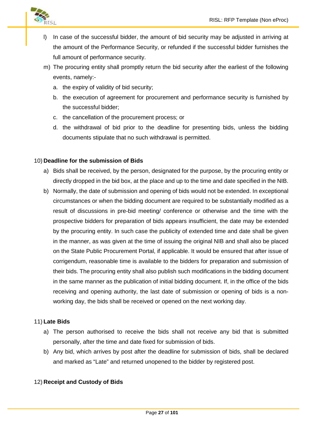

- l) In case of the successful bidder, the amount of bid security may be adjusted in arriving at the amount of the Performance Security, or refunded if the successful bidder furnishes the full amount of performance security.
- m) The procuring entity shall promptly return the bid security after the earliest of the following events, namely:
	- a. the expiry of validity of bid security;
	- b. the execution of agreement for procurement and performance security is furnished by the successful bidder;
	- c. the cancellation of the procurement process; or
	- d. the withdrawal of bid prior to the deadline for presenting bids, unless the bidding documents stipulate that no such withdrawal is permitted.

#### 10) **Deadline for the submission of Bids**

- a) Bids shall be received, by the person, designated for the purpose, by the procuring entity or directly dropped in the bid box, at the place and up to the time and date specified in the NIB.
- b) Normally, the date of submission and opening of bids would not be extended. In exceptional circumstances or when the bidding document are required to be substantially modified as a result of discussions in pre-bid meeting/ conference or otherwise and the time with the prospective bidders for preparation of bids appears insufficient, the date may be extended by the procuring entity. In such case the publicity of extended time and date shall be given in the manner, as was given at the time of issuing the original NIB and shall also be placed on the State Public Procurement Portal, if applicable. It would be ensured that after issue of corrigendum, reasonable time is available to the bidders for preparation and submission of their bids. The procuring entity shall also publish such modifications in the bidding document in the same manner as the publication of initial bidding document. If, in the office of the bids receiving and opening authority, the last date of submission or opening of bids is a non working day, the bids shall be received or opened on the next working day.

#### 11) **Late Bids**

- a) The person authorised to receive the bids shall not receive any bid that is submitted personally, after the time and date fixed for submission of bids.
- b) Any bid, which arrives by post after the deadline for submission of bids, shall be declared and marked as "Late" and returned unopened to the bidder by registered post.

#### 12) **Receipt and Custody of Bids**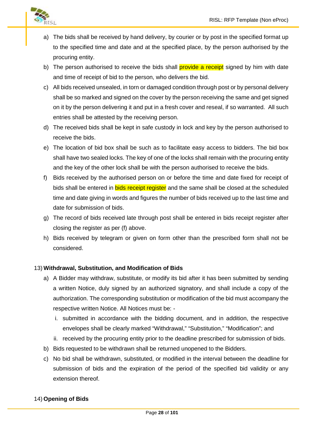

- a) The bids shall be received by hand delivery, by courier or by post in the specified format up to the specified time and date and at the specified place, by the person authorised by the procuring entity.
- b) The person authorised to receive the bids shall **provide a receipt** signed by him with date and time of receipt of bid to the person, who delivers the bid.
- c) All bids received unsealed, in torn or damaged condition through post or by personal delivery shall be so marked and signed on the cover by the person receiving the same and get signed on it by the person delivering it and put in a fresh cover and reseal, if so warranted. All such entries shall be attested by the receiving person.
- d) The received bids shall be kept in safe custody in lock and key by the person authorised to receive the bids.
- e) The location of bid box shall be such as to facilitate easy access to bidders. The bid box shall have two sealed locks. The key of one of the locks shall remain with the procuring entity and the key of the other lock shall be with the person authorised to receive the bids.
- f) Bids received by the authorised person on or before the time and date fixed for receipt of bids shall be entered in **bids receipt register** and the same shall be closed at the scheduled time and date giving in words and figures the number of bids received up to the last time and date for submission of bids.
- g) The record of bids received late through post shall be entered in bids receipt register after closing the register as per (f) above.
- h) Bids received by telegram or given on form other than the prescribed form shall not be considered.

#### 13) **Withdrawal, Substitution, and Modification of Bids**

- a) A Bidder may withdraw, substitute, or modify its bid after it has been submitted by sending a written Notice, duly signed by an authorized signatory, and shall include a copy of the authorization. The corresponding substitution or modification of the bid must accompany the respective written Notice. All Notices must be:
	- i. submitted in accordance with the bidding document, and in addition, the respective envelopes shall be clearly marked "Withdrawal," "Substitution," "Modification"; and
	- ii. received by the procuring entity prior to the deadline prescribed for submission of bids.
- b) Bids requested to be withdrawn shall be returned unopened to the Bidders.
- c) No bid shall be withdrawn, substituted, or modified in the interval between the deadline for submission of bids and the expiration of the period of the specified bid validity or any extension thereof.

#### 14) **Opening of Bids**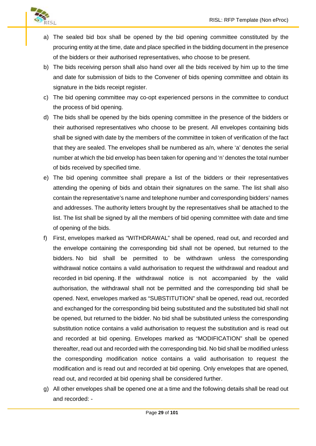

- a) The sealed bid box shall be opened by the bid opening committee constituted by the procuring entity at the time, date and place specified in the bidding document in the presence of the bidders or their authorised representatives, who choose to be present.
- b) The bids receiving person shall also hand over all the bids received by him up to the time and date for submission of bids to the Convener of bids opening committee and obtain its signature in the bids receipt register.
- c) The bid opening committee may co-opt experienced persons in the committee to conduct the process of bid opening.
- d) The bids shall be opened by the bids opening committee in the presence of the bidders or their authorised representatives who choose to be present. All envelopes containing bids shall be signed with date by the members of the committee in token of verification of the fact that they are sealed. The envelopes shall be numbered as a/n, where 'a' denotes the serial number at which the bid envelop has been taken for opening and 'n' denotes the total number of bids received by specified time.
- e) The bid opening committee shall prepare a list of the bidders or their representatives attending the opening of bids and obtain their signatures on the same. The list shall also contain the representative's name and telephone number and corresponding bidders' names and addresses. The authority letters brought by the representatives shall be attached to the list. The list shall be signed by all the members of bid opening committee with date and time of opening of the bids.
- f) First, envelopes marked as "WITHDRAWAL" shall be opened, read out, and recorded and the envelope containing the corresponding bid shall not be opened, but returned to the bidders. No bid shall be permitted to be withdrawn unless the corresponding withdrawal notice contains a valid authorisation to request the withdrawal and readout and recorded in bid opening. If the withdrawal notice is not accompanied by the valid authorisation, the withdrawal shall not be permitted and the corresponding bid shall be opened. Next, envelopes marked as "SUBSTITUTION" shall be opened, read out, recorded and exchanged for the corresponding bid being substituted and the substituted bid shall not be opened, but returned to the bidder. No bid shall be substituted unless the corresponding substitution notice contains a valid authorisation to request the substitution and is read out and recorded at bid opening. Envelopes marked as "MODIFICATION" shall be opened thereafter, read out and recorded with the corresponding bid. No bid shall be modified unless the corresponding modification notice contains a valid authorisation to request the modification and is read out and recorded at bid opening. Only envelopes that are opened, read out, and recorded at bid opening shall be considered further.
- g) All other envelopes shall be opened one at a time and the following details shall be read out and recorded: -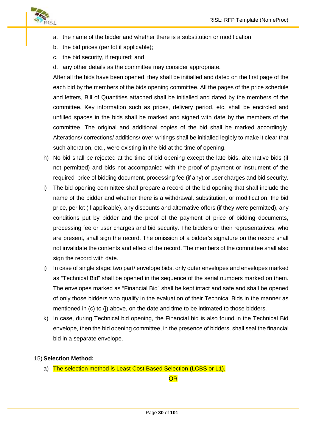

- a. the name of the bidder and whether there is a substitution or modification;
- b. the bid prices (per lot if applicable);
- c. the bid security, if required; and
- d. any other details as the committee may consider appropriate.

After all the bids have been opened, they shall be initialled and dated on the first page of the each bid by the members of the bids opening committee. All the pages of the price schedule and letters, Bill of Quantities attached shall be initialled and dated by the members of the committee. Key information such as prices, delivery period, etc. shall be encircled and unfilled spaces in the bids shall be marked and signed with date by the members of the committee. The original and additional copies of the bid shall be marked accordingly. Alterations/ corrections/ additions/ over-writings shall be initialled legibly to make it clear that such alteration, etc., were existing in the bid at the time of opening.

- h) No bid shall be rejected at the time of bid opening except the late bids, alternative bids (if not permitted) and bids not accompanied with the proof of payment or instrument of the required price of bidding document, processing fee (if any) or user charges and bid security.
- i) The bid opening committee shall prepare a record of the bid opening that shall include the name of the bidder and whether there is a withdrawal, substitution, or modification, the bid price, per lot (if applicable), any discounts and alternative offers (if they were permitted), any conditions put by bidder and the proof of the payment of price of bidding documents, processing fee or user charges and bid security. The bidders or their representatives, who are present, shall sign the record. The omission of a bidder's signature on the record shall not invalidate the contents and effect of the record. The members of the committee shall also sign the record with date.
- j) In case of single stage: two part/ envelope bids, only outer envelopes and envelopes marked as "Technical Bid" shall be opened in the sequence of the serial numbers marked on them. The envelopes marked as "Financial Bid" shall be kept intact and safe and shall be opened of only those bidders who qualify in the evaluation of their Technical Bids in the manner as mentioned in (c) to (j) above, on the date and time to be intimated to those bidders.
- k) In case, during Technical bid opening, the Financial bid is also found in the Technical Bid envelope, then the bid opening committee, in the presence of bidders, shall seal the financial bid in a separate envelope.

#### 15) **Selection Method:**

a) The selection method is Least Cost Based Selection (LCBS or L1).

**OR**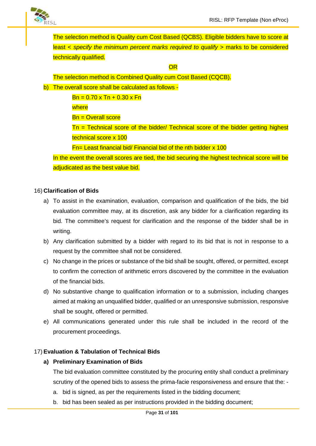The selection method is Quality cum Cost Based (QCBS). Eligible bidders have to score at least < *specify the minimum percent marks required to qualify >* marks to be considered technically qualified.

#### **OR**

The selection method is Combined Quality cum Cost Based (CQCB).

b) The overall score shall be calculated as follows -

 $Bn = 0.70 \times Tn + 0.30 \times Fn$ 

where

Bn = Overall score

Tn = Technical score of the bidder/ Technical score of the bidder getting highest technical score x 100

Fn= Least financial bid/ Financial bid of the nth bidder x 100

In the event the overall scores are tied, the bid securing the highest technical score will be adjudicated as the best value bid.

#### 16) **Clarification of Bids**

- a) To assist in the examination, evaluation, comparison and qualification of the bids, the bid evaluation committee may, at its discretion, ask any bidder for a clarification regarding its bid. The committee's request for clarification and the response of the bidder shall be in writing.
- b) Any clarification submitted by a bidder with regard to its bid that is not in response to a request by the committee shall not be considered.
- c) No change in the prices or substance of the bid shall be sought, offered, or permitted, except to confirm the correction of arithmetic errors discovered by the committee in the evaluation of the financial bids.
- d) No substantive change to qualification information or to a submission, including changes aimed at making an unqualified bidder, qualified or an unresponsive submission, responsive shall be sought, offered or permitted.
- e) All communications generated under this rule shall be included in the record of the procurement proceedings.

#### 17) **Evaluation & Tabulation of Technical Bids**

#### **a) Preliminary Examination of Bids**

The bid evaluation committee constituted by the procuring entity shall conduct a preliminary scrutiny of the opened bids to assess the prima-facie responsiveness and ensure that the: -

- a. bid is signed, as per the requirements listed in the bidding document;
- b. bid has been sealed as per instructions provided in the bidding document;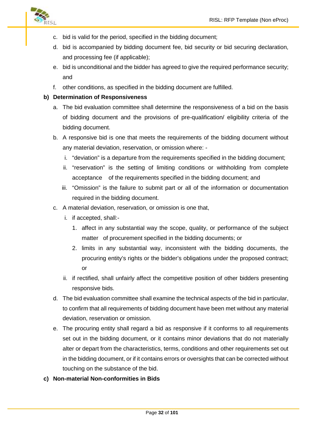

- c. bid is valid for the period, specified in the bidding document;
- d. bid is accompanied by bidding document fee, bid security or bid securing declaration, and processing fee (if applicable);
- e. bid is unconditional and the bidder has agreed to give the required performance security; and
- f. other conditions, as specified in the bidding document are fulfilled.

#### **b) Determination of Responsiveness**

- a. The bid evaluation committee shall determine the responsiveness of a bid on the basis of bidding document and the provisions of pre-qualification/ eligibility criteria of the bidding document.
- b. A responsive bid is one that meets the requirements of the bidding document without any material deviation, reservation, or omission where:
	- i. "deviation" is a departure from the requirements specified in the bidding document;
	- ii. "reservation" is the setting of limiting conditions or withholding from complete acceptance of the requirements specified in the bidding document; and
	- iii. "Omission" is the failure to submit part or all of the information or documentation required in the bidding document.
- c. A material deviation, reservation, or omission is one that,
	- i. if accepted, shall:-
		- 1. affect in any substantial way the scope, quality, or performance of the subject matter of procurement specified in the bidding documents; or
		- 2. limits in any substantial way, inconsistent with the bidding documents, the procuring entity's rights or the bidder's obligations under the proposed contract; or
	- ii. if rectified, shall unfairly affect the competitive position of other bidders presenting responsive bids.
- d. The bid evaluation committee shall examine the technical aspects of the bid in particular, to confirm that all requirements of bidding document have been met without any material deviation, reservation or omission.
- e. The procuring entity shall regard a bid as responsive if it conforms to all requirements set out in the bidding document, or it contains minor deviations that do not materially alter or depart from the characteristics, terms, conditions and other requirements set out in the bidding document, or if it contains errors or oversights that can be corrected without touching on the substance of the bid.

#### **c) Non-material Non-conformities in Bids**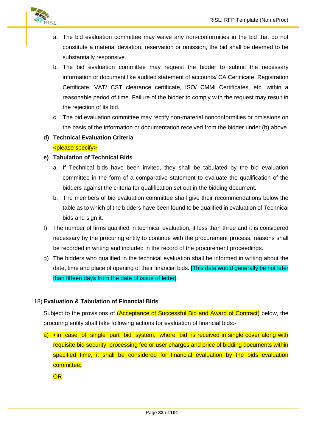

- a. The bid evaluation committee may waive any non-conformities in the bid that do not constitute a material deviation, reservation or omission, the bid shall be deemed to be substantially responsive.
- b. The bid evaluation committee may request the bidder to submit the necessary information or document like audited statement of accounts/ CA Certificate, Registration Certificate, VAT/ CST clearance certificate, ISO/ CMMi Certificates, etc. within a reasonable period of time. Failure of the bidder to comply with the request may result in the rejection of its bid.
- c. The bid evaluation committee may rectify non-material nonconformities or omissions on the basis of the information or documentation received from the bidder under (b) above.
- **d) Technical Evaluation Criteria**

#### <please specify>

#### **e) Tabulation of Technical Bids**

- a. If Technical bids have been invited, they shall be tabulated by the bid evaluation committee in the form of a comparative statement to evaluate the qualification of the bidders against the criteria for qualification set out in the bidding document.
- b. The members of bid evaluation committee shall give their recommendations below the table as to which of the bidders have been found to be qualified in evaluation of Technical bids and sign it.
- f) The number of firms qualified in technical evaluation, if less than three and it is considered necessary by the procuring entity to continue with the procurement process, reasons shall be recorded in writing and included in the record of the procurement proceedings.
- g) The bidders who qualified in the technical evaluation shall be informed in writing about the date, time and place of opening of their financial bids. [This date would generally be not later than fifteen days from the date of issue of letter].

#### 18) **Evaluation & Tabulation of Financial Bids**

Subject to the provisions of (Acceptance of Successful Bid and Award of Contract) below, the procuring entity shall take following actions for evaluation of financial bids:-

a) <in case of single part bid system, where bid is received in single cover along with requisite bid security, processing fee or user charges and price of bidding documents within specified time, it shall be considered for financial evaluation by the bids evaluation committee;

**OR**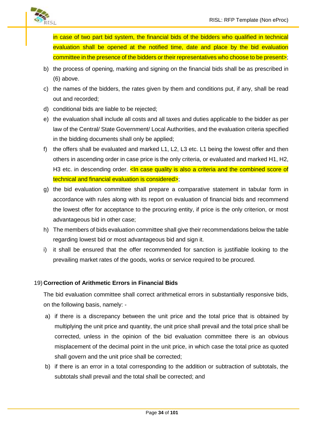

in case of two part bid system, the financial bids of the bidders who qualified in technical evaluation shall be opened at the notified time, date and place by the bid evaluation committee in the presence of the bidders or their representatives who choose to be present>;

- b) the process of opening, marking and signing on the financial bids shall be as prescribed in (6) above.
- c) the names of the bidders, the rates given by them and conditions put, if any, shall be read out and recorded;
- d) conditional bids are liable to be rejected;
- e) the evaluation shall include all costs and all taxes and duties applicable to the bidder as per law of the Central/ State Government/ Local Authorities, and the evaluation criteria specified in the bidding documents shall only be applied;
- f) the offers shall be evaluated and marked L1, L2, L3 etc. L1 being the lowest offer and then others in ascending order in case price is the only criteria, or evaluated and marked H1, H2, H3 etc. in descending order.  $\leq$ In case quality is also a criteria and the combined score of technical and financial evaluation is considered>;
- g) the bid evaluation committee shall prepare a comparative statement in tabular form in accordance with rules along with its report on evaluation of financial bids and recommend the lowest offer for acceptance to the procuring entity, if price is the only criterion, or most advantageous bid in other case;
- h) The members of bids evaluation committee shall give their recommendations below the table regarding lowest bid or most advantageous bid and sign it.
- i) it shall be ensured that the offer recommended for sanction is justifiable looking to the prevailing market rates of the goods, works or service required to be procured.

#### 19) **Correction of Arithmetic Errors in Financial Bids**

The bid evaluation committee shall correct arithmetical errors in substantially responsive bids, on the following basis, namely: -

- a) if there is a discrepancy between the unit price and the total price that is obtained by multiplying the unit price and quantity, the unit price shall prevail and the total price shall be corrected, unless in the opinion of the bid evaluation committee there is an obvious misplacement of the decimal point in the unit price, in which case the total price as quoted shall govern and the unit price shall be corrected;
- b) if there is an error in a total corresponding to the addition or subtraction of subtotals, the subtotals shall prevail and the total shall be corrected; and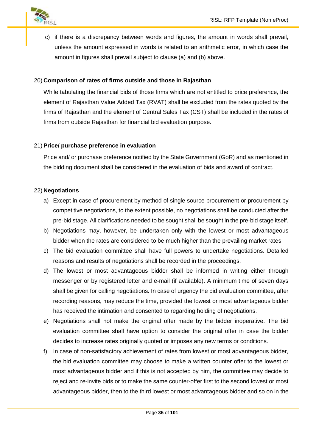

c) if there is a discrepancy between words and figures, the amount in words shall prevail, unless the amount expressed in words is related to an arithmetic error, in which case the amount in figures shall prevail subject to clause (a) and (b) above.

#### 20) **Comparison of rates of firms outside and those in Rajasthan**

While tabulating the financial bids of those firms which are not entitled to price preference, the element of Rajasthan Value Added Tax (RVAT) shall be excluded from the rates quoted by the firms of Rajasthan and the element of Central Sales Tax (CST) shall be included in the rates of firms from outside Rajasthan for financial bid evaluation purpose.

#### 21) **Price/ purchase preference in evaluation**

Price and/ or purchase preference notified by the State Government (GoR) and as mentioned in the bidding document shall be considered in the evaluation of bids and award of contract.

#### 22) **Negotiations**

- a) Except in case of procurement by method of single source procurement or procurement by competitive negotiations, to the extent possible, no negotiations shall be conducted after the pre-bid stage. All clarifications needed to be sought shall be sought in the pre-bid stage itself.
- b) Negotiations may, however, be undertaken only with the lowest or most advantageous bidder when the rates are considered to be much higher than the prevailing market rates.
- c) The bid evaluation committee shall have full powers to undertake negotiations. Detailed reasons and results of negotiations shall be recorded in the proceedings.
- d) The lowest or most advantageous bidder shall be informed in writing either through messenger or by registered letter and e-mail (if available). A minimum time of seven days shall be given for calling negotiations. In case of urgency the bid evaluation committee, after recording reasons, may reduce the time, provided the lowest or most advantageous bidder has received the intimation and consented to regarding holding of negotiations.
- e) Negotiations shall not make the original offer made by the bidder inoperative. The bid evaluation committee shall have option to consider the original offer in case the bidder decides to increase rates originally quoted or imposes any new terms or conditions.
- f) In case of non-satisfactory achievement of rates from lowest or most advantageous bidder, the bid evaluation committee may choose to make a written counter offer to the lowest or most advantageous bidder and if this is not accepted by him, the committee may decide to reject and re-invite bids or to make the same counter-offer first to the second lowest or most advantageous bidder, then to the third lowest or most advantageous bidder and so on in the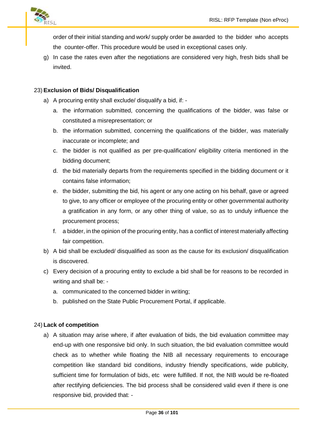

order of their initial standing and work/ supply order be awarded to the bidder who accepts the counter-offer. This procedure would be used in exceptional cases only.

g) In case the rates even after the negotiations are considered very high, fresh bids shall be invited.

#### 23) **Exclusion of Bids/ Disqualification**

- a) A procuring entity shall exclude/ disqualify a bid, if:
	- a. the information submitted, concerning the qualifications of the bidder, was false or constituted a misrepresentation; or
	- b. the information submitted, concerning the qualifications of the bidder, was materially inaccurate or incomplete; and
	- c. the bidder is not qualified as per pre-qualification/ eligibility criteria mentioned in the bidding document;
	- d. the bid materially departs from the requirements specified in the bidding document or it contains false information;
	- e. the bidder, submitting the bid, his agent or any one acting on his behalf, gave or agreed to give, to any officer or employee of the procuring entity or other governmental authority a gratification in any form, or any other thing of value, so as to unduly influence the procurement process;
	- f. a bidder, in the opinion of the procuring entity, has a conflict of interest materially affecting fair competition.
- b) A bid shall be excluded/ disqualified as soon as the cause for its exclusion/ disqualification is discovered.
- c) Every decision of a procuring entity to exclude a bid shall be for reasons to be recorded in writing and shall be:
	- a. communicated to the concerned bidder in writing;
	- b. published on the State Public Procurement Portal, if applicable.

#### 24) **Lack of competition**

a) A situation may arise where, if after evaluation of bids, the bid evaluation committee may end-up with one responsive bid only. In such situation, the bid evaluation committee would check as to whether while floating the NIB all necessary requirements to encourage competition like standard bid conditions, industry friendly specifications, wide publicity, sufficient time for formulation of bids, etc were fulfilled. If not, the NIB would be re-floated after rectifying deficiencies. The bid process shall be considered valid even if there is one responsive bid, provided that: -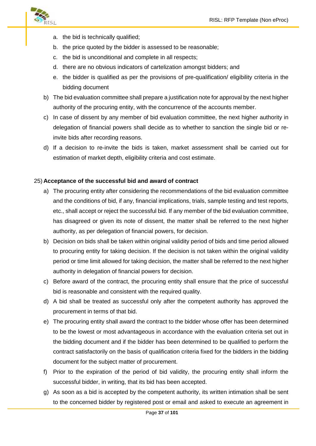

- a. the bid is technically qualified;
- b. the price quoted by the bidder is assessed to be reasonable;
- c. the bid is unconditional and complete in all respects;
- d. there are no obvious indicators of cartelization amongst bidders; and
- e. the bidder is qualified as per the provisions of pre-qualification/ eligibility criteria in the bidding document
- b) The bid evaluation committee shall prepare a justification note for approval by the next higher authority of the procuring entity, with the concurrence of the accounts member.
- c) In case of dissent by any member of bid evaluation committee, the next higher authority in delegation of financial powers shall decide as to whether to sanction the single bid or reinvite bids after recording reasons.
- d) If a decision to re-invite the bids is taken, market assessment shall be carried out for estimation of market depth, eligibility criteria and cost estimate.

### 25) **Acceptance of the successful bid and award of contract**

- a) The procuring entity after considering the recommendations of the bid evaluation committee and the conditions of bid, if any, financial implications, trials, sample testing and test reports, etc., shall accept or reject the successful bid. If any member of the bid evaluation committee, has disagreed or given its note of dissent, the matter shall be referred to the next higher authority, as per delegation of financial powers, for decision.
- b) Decision on bids shall be taken within original validity period of bids and time period allowed to procuring entity for taking decision. If the decision is not taken within the original validity period or time limit allowed for taking decision, the matter shall be referred to the next higher authority in delegation of financial powers for decision.
- c) Before award of the contract, the procuring entity shall ensure that the price of successful bid is reasonable and consistent with the required quality.
- d) A bid shall be treated as successful only after the competent authority has approved the procurement in terms of that bid.
- e) The procuring entity shall award the contract to the bidder whose offer has been determined to be the lowest or most advantageous in accordance with the evaluation criteria set out in the bidding document and if the bidder has been determined to be qualified to perform the contract satisfactorily on the basis of qualification criteria fixed for the bidders in the bidding document for the subject matter of procurement.
- f) Prior to the expiration of the period of bid validity, the procuring entity shall inform the successful bidder, in writing, that its bid has been accepted.
- g) As soon as a bid is accepted by the competent authority, its written intimation shall be sent to the concerned bidder by registered post or email and asked to execute an agreement in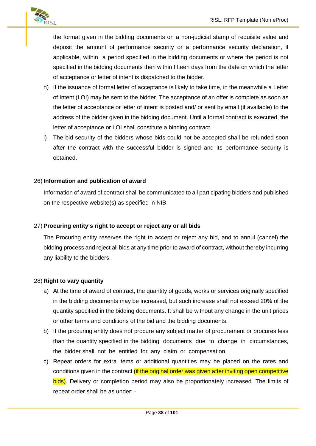

the format given in the bidding documents on a non-judicial stamp of requisite value and deposit the amount of performance security or a performance security declaration, if applicable, within a period specified in the bidding documents or where the period is not specified in the bidding documents then within fifteen days from the date on which the letter of acceptance or letter of intent is dispatched to the bidder.

- h) If the issuance of formal letter of acceptance is likely to take time, in the meanwhile a Letter of Intent (LOI) may be sent to the bidder. The acceptance of an offer is complete as soon as the letter of acceptance or letter of intent is posted and/ or sent by email (if available) to the address of the bidder given in the bidding document. Until a formal contract is executed, the letter of acceptance or LOI shall constitute a binding contract.
- i) The bid security of the bidders whose bids could not be accepted shall be refunded soon after the contract with the successful bidder is signed and its performance security is obtained.

### 26) **Information and publication of award**

Information of award of contract shall be communicated to all participating bidders and published on the respective website(s) as specified in NIB.

#### 27) **Procuring entity's right to accept or reject any or all bids**

The Procuring entity reserves the right to accept or reject any bid, and to annul (cancel) the bidding process and reject all bids at any time prior to award of contract, without thereby incurring any liability to the bidders.

#### 28) **Right to vary quantity**

- a) At the time of award of contract, the quantity of goods, works or services originally specified in the bidding documents may be increased, but such increase shall not exceed 20% of the quantity specified in the bidding documents. It shall be without any change in the unit prices or other terms and conditions of the bid and the bidding documents.
- b) If the procuring entity does not procure any subject matter of procurement or procures less than the quantity specified in the bidding documents due to change in circumstances, the bidder shall not be entitled for any claim or compensation.
- c) Repeat orders for extra items or additional quantities may be placed on the rates and conditions given in the contract *(if the original order was given after inviting open competitive* bids). Delivery or completion period may also be proportionately increased. The limits of repeat order shall be as under: -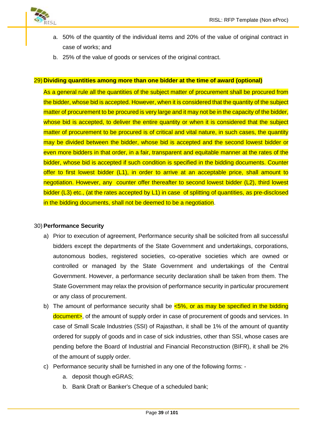

- a. 50% of the quantity of the individual items and 20% of the value of original contract in case of works; and
- b. 25% of the value of goods or services of the original contract.

#### 29) **Dividing quantities among more than one bidder at the time of award (optional)**

As a general rule all the quantities of the subject matter of procurement shall be procured from the bidder, whose bid is accepted. However, when it is considered that the quantity of the subject matter of procurement to be procured is very large and it may not be in the capacity of the bidder, whose bid is accepted, to deliver the entire quantity or when it is considered that the subject matter of procurement to be procured is of critical and vital nature, in such cases, the quantity may be divided between the bidder, whose bid is accepted and the second lowest bidder or even more bidders in that order, in a fair, transparent and equitable manner at the rates of the bidder, whose bid is accepted if such condition is specified in the bidding documents. Counter offer to first lowest bidder (L1), in order to arrive at an acceptable price, shall amount to negotiation. However, any counter offer thereafter to second lowest bidder (L2), third lowest bidder (L3) etc., (at the rates accepted by L1) in case of splitting of quantities, as pre-disclosed in the bidding documents, shall not be deemed to be a negotiation.

#### 30) **Performance Security**

- a) Prior to execution of agreement, Performance security shall be solicited from all successful bidders except the departments of the State Government and undertakings, corporations, autonomous bodies, registered societies, co-operative societies which are owned or controlled or managed by the State Government and undertakings of the Central Government. However, a performance security declaration shall be taken from them. The State Government may relax the provision of performance security in particular procurement or any class of procurement.
- b) The amount of performance security shall be  $\leq 5\%$ , or as may be specified in the bidding document>, of the amount of supply order in case of procurement of goods and services. In case of Small Scale Industries (SSI) of Rajasthan, it shall be 1% of the amount of quantity ordered for supply of goods and in case of sick industries, other than SSI, whose cases are pending before the Board of Industrial and Financial Reconstruction (BIFR), it shall be 2% of the amount of supply order.
- c) Performance security shall be furnished in any one of the following forms:
	- a. deposit though eGRAS;
	- b. Bank Draft or Banker's Cheque of a scheduled bank;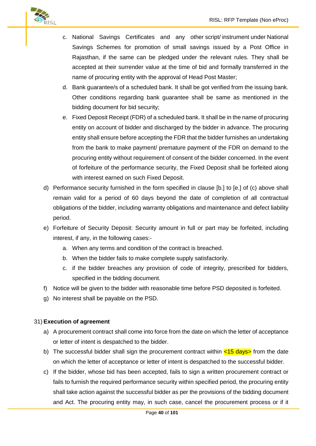

- c. National Savings Certificates and any other script/ instrument under National Savings Schemes for promotion of small savings issued by a Post Office in Rajasthan, if the same can be pledged under the relevant rules. They shall be accepted at their surrender value at the time of bid and formally transferred in the name of procuring entity with the approval of Head Post Master;
- d. Bank guarantee/s of a scheduled bank. It shall be got verified from the issuing bank. Other conditions regarding bank guarantee shall be same as mentioned in the bidding document for bid security;
- e. Fixed Deposit Receipt (FDR) of a scheduled bank. It shall be in the name of procuring entity on account of bidder and discharged by the bidder in advance. The procuring entity shall ensure before accepting the FDR that the bidder furnishes an undertaking from the bank to make payment/ premature payment of the FDR on demand to the procuring entity without requirement of consent of the bidder concerned. In the event of forfeiture of the performance security, the Fixed Deposit shall be forfeited along with interest earned on such Fixed Deposit.
- d) Performance security furnished in the form specified in clause [b.] to [e.] of (c) above shall remain valid for a period of 60 days beyond the date of completion of all contractual obligations of the bidder, including warranty obligations and maintenance and defect liability period.
- e) Forfeiture of Security Deposit: Security amount in full or part may be forfeited, including interest, if any, in the following cases:
	- a. When any terms and condition of the contract is breached.
	- b. When the bidder fails to make complete supply satisfactorily.
	- c. if the bidder breaches any provision of code of integrity, prescribed for bidders, specified in the bidding document.
- f) Notice will be given to the bidder with reasonable time before PSD deposited is forfeited.
- g) No interest shall be payable on the PSD.

# 31) **Execution of agreement**

- a) A procurement contract shall come into force from the date on which the letter of acceptance or letter of intent is despatched to the bidder.
- b) The successful bidder shall sign the procurement contract within  $\langle 15 \text{ days} \rangle$  from the date on which the letter of acceptance or letter of intent is despatched to the successful bidder.
- c) If the bidder, whose bid has been accepted, fails to sign a written procurement contract or fails to furnish the required performance security within specified period, the procuring entity shall take action against the successful bidder as per the provisions of the bidding document and Act. The procuring entity may, in such case, cancel the procurement process or if it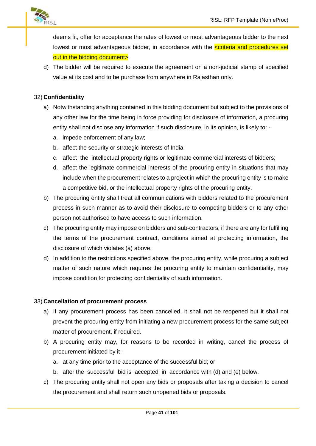

deems fit, offer for acceptance the rates of lowest or most advantageous bidder to the next lowest or most advantageous bidder, in accordance with the  $\leq$ criteria and procedures set out in the bidding document>.

d) The bidder will be required to execute the agreement on a non-judicial stamp of specified value at its cost and to be purchase from anywhere in Rajasthan only.

# 32) **Confidentiality**

- a) Notwithstanding anything contained in this bidding document but subject to the provisions of any other law for the time being in force providing for disclosure of information, a procuring entity shall not disclose any information if such disclosure, in its opinion, is likely to:
	- a. impede enforcement of any law;
	- b. affect the security or strategic interests of India;
	- c. affect the intellectual property rights or legitimate commercial interests of bidders;
	- d. affect the legitimate commercial interests of the procuring entity in situations that may include when the procurement relates to a project in which the procuring entity is to make a competitive bid, or the intellectual property rights of the procuring entity.
- b) The procuring entity shall treat all communications with bidders related to the procurement process in such manner as to avoid their disclosure to competing bidders or to any other person not authorised to have access to such information.
- c) The procuring entity may impose on bidders and sub-contractors, if there are any for fulfilling the terms of the procurement contract, conditions aimed at protecting information, the disclosure of which violates (a) above.
- d) In addition to the restrictions specified above, the procuring entity, while procuring a subject matter of such nature which requires the procuring entity to maintain confidentiality, may impose condition for protecting confidentiality of such information.

# 33) **Cancellation of procurement process**

- a) If any procurement process has been cancelled, it shall not be reopened but it shall not prevent the procuring entity from initiating a new procurement process for the same subject matter of procurement, if required.
- b) A procuring entity may, for reasons to be recorded in writing, cancel the process of procurement initiated by it
	- a. at any time prior to the acceptance of the successful bid; or
	- b. after the successful bid is accepted in accordance with (d) and (e) below.
- c) The procuring entity shall not open any bids or proposals after taking a decision to cancel the procurement and shall return such unopened bids or proposals.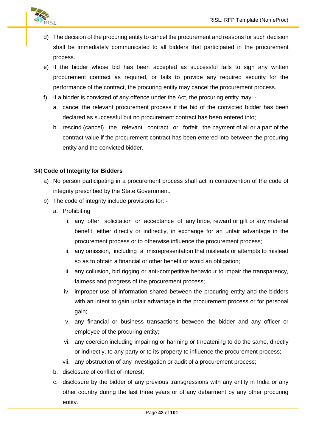

- d) The decision of the procuring entity to cancel the procurement and reasons for such decision shall be immediately communicated to all bidders that participated in the procurement process.
- e) If the bidder whose bid has been accepted as successful fails to sign any written procurement contract as required, or fails to provide any required security for the performance of the contract, the procuring entity may cancel the procurement process.
- f) If a bidder is convicted of any offence under the Act, the procuring entity may:
	- a. cancel the relevant procurement process if the bid of the convicted bidder has been declared as successful but no procurement contract has been entered into;
	- b. rescind (cancel) the relevant contract or forfeit the payment of all or a part of the contract value if the procurement contract has been entered into between the procuring entity and the convicted bidder.

# 34) **Code of Integrity for Bidders**

- a) No person participating in a procurement process shall act in contravention of the code of integrity prescribed by the State Government.
- b) The code of integrity include provisions for:
	- a. Prohibiting
		- i. any offer, solicitation or acceptance of any bribe, reward or gift or any material benefit, either directly or indirectly, in exchange for an unfair advantage in the procurement process or to otherwise influence the procurement process;
		- ii. any omission, including a misrepresentation that misleads or attempts to mislead so as to obtain a financial or other benefit or avoid an obligation;
		- iii. any collusion, bid rigging or anti-competitive behaviour to impair the transparency, fairness and progress of the procurement process;
		- iv. improper use of information shared between the procuring entity and the bidders with an intent to gain unfair advantage in the procurement process or for personal gain;
		- v. any financial or business transactions between the bidder and any officer or employee of the procuring entity;
		- vi. any coercion including impairing or harming or threatening to do the same, directly or indirectly, to any party or to its property to influence the procurement process;
		- vii. any obstruction of any investigation or audit of a procurement process;
	- b. disclosure of conflict of interest;
	- c. disclosure by the bidder of any previous transgressions with any entity in India or any other country during the last three years or of any debarment by any other procuring entity.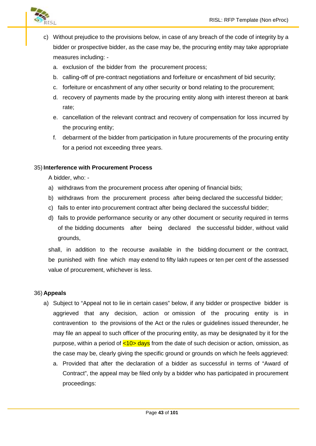

- c) Without prejudice to the provisions below, in case of any breach of the code of integrity by a bidder or prospective bidder, as the case may be, the procuring entity may take appropriate measures including:
	- a. exclusion of the bidder from the procurement process;
	- b. calling-off of pre-contract negotiations and forfeiture or encashment of bid security;
	- c. forfeiture or encashment of any other security or bond relating to the procurement;
	- d. recovery of payments made by the procuring entity along with interest thereon at bank rate;
	- e. cancellation of the relevant contract and recovery of compensation for loss incurred by the procuring entity;
	- f. debarment of the bidder from participation in future procurements of the procuring entity for a period not exceeding three years.

### 35) **Interference with Procurement Process**

A bidder, who: -

- a) withdraws from the procurement process after opening of financial bids;
- b) withdraws from the procurement process after being declared the successful bidder;
- c) fails to enter into procurement contract after being declared the successful bidder;
- d) fails to provide performance security or any other document or security required in terms of the bidding documents after being declared the successful bidder, without valid grounds,

shall, in addition to the recourse available in the bidding document or the contract, be punished with fine which may extend to fifty lakh rupees or ten per cent of the assessed value of procurement, whichever is less.

#### 36) **Appeals**

- a) Subject to "Appeal not to lie in certain cases" below, if any bidder or prospective bidder is aggrieved that any decision, action or omission of the procuring entity is in contravention to the provisions of the Act or the rules or guidelines issued thereunder, he may file an appeal to such officer of the procuring entity, as may be designated by it for the purpose, within a period of  $\langle 10 \rangle$  days from the date of such decision or action, omission, as the case may be, clearly giving the specific ground or grounds on which he feels aggrieved:
	- a. Provided that after the declaration of a bidder as successful in terms of "Award of Contract", the appeal may be filed only by a bidder who has participated in procurement proceedings: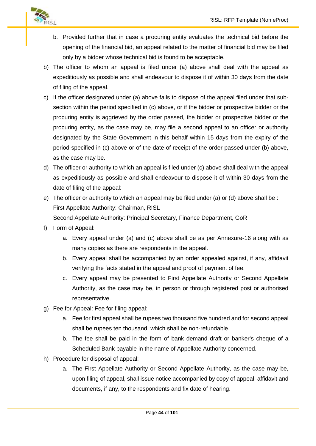

- b. Provided further that in case a procuring entity evaluates the technical bid before the opening of the financial bid, an appeal related to the matter of financial bid may be filed only by a bidder whose technical bid is found to be acceptable.
- b) The officer to whom an appeal is filed under (a) above shall deal with the appeal as expeditiously as possible and shall endeavour to dispose it of within 30 days from the date of filing of the appeal.
- c) If the officer designated under (a) above fails to dispose of the appeal filed under that sub section within the period specified in (c) above, or if the bidder or prospective bidder or the procuring entity is aggrieved by the order passed, the bidder or prospective bidder or the procuring entity, as the case may be, may file a second appeal to an officer or authority designated by the State Government in this behalf within 15 days from the expiry of the period specified in (c) above or of the date of receipt of the order passed under (b) above, as the case may be.
- d) The officer or authority to which an appeal is filed under (c) above shall deal with the appeal as expeditiously as possible and shall endeavour to dispose it of within 30 days from the date of filing of the appeal:
- e) The officer or authority to which an appeal may be filed under (a) or (d) above shall be : First Appellate Authority: Chairman, RISL

Second Appellate Authority: Principal Secretary, Finance Department, GoR

- f) Form of Appeal:
	- a. Every appeal under (a) and (c) above shall be as per Annexure-16 along with as many copies as there are respondents in the appeal.
	- b. Every appeal shall be accompanied by an order appealed against, if any, affidavit verifying the facts stated in the appeal and proof of payment of fee.
	- c. Every appeal may be presented to First Appellate Authority or Second Appellate Authority, as the case may be, in person or through registered post or authorised representative.
- g) Fee for Appeal: Fee for filing appeal:
	- a. Fee for first appeal shall be rupees two thousand five hundred and for second appeal shall be rupees ten thousand, which shall be non-refundable.
	- b. The fee shall be paid in the form of bank demand draft or banker's cheque of a Scheduled Bank payable in the name of Appellate Authority concerned.
- h) Procedure for disposal of appeal:
	- a. The First Appellate Authority or Second Appellate Authority, as the case may be, upon filing of appeal, shall issue notice accompanied by copy of appeal, affidavit and documents, if any, to the respondents and fix date of hearing.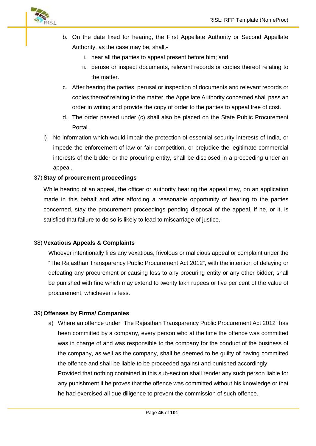

- b. On the date fixed for hearing, the First Appellate Authority or Second Appellate Authority, as the case may be, shall,
	- i. hear all the parties to appeal present before him; and
	- ii. peruse or inspect documents, relevant records or copies thereof relating to the matter.
- c. After hearing the parties, perusal or inspection of documents and relevant records or copies thereof relating to the matter, the Appellate Authority concerned shall pass an order in writing and provide the copy of order to the parties to appeal free of cost.
- d. The order passed under (c) shall also be placed on the State Public Procurement Portal.
- i) No information which would impair the protection of essential security interests of India, or impede the enforcement of law or fair competition, or prejudice the legitimate commercial interests of the bidder or the procuring entity, shall be disclosed in a proceeding under an appeal.

### 37) **Stay of procurement proceedings**

While hearing of an appeal, the officer or authority hearing the appeal may, on an application made in this behalf and after affording a reasonable opportunity of hearing to the parties concerned, stay the procurement proceedings pending disposal of the appeal, if he, or it, is satisfied that failure to do so is likely to lead to miscarriage of justice.

#### 38) **Vexatious Appeals & Complaints**

Whoever intentionally files any vexatious, frivolous or malicious appeal or complaint under the "The Rajasthan Transparency Public Procurement Act 2012", with the intention of delaying or defeating any procurement or causing loss to any procuring entity or any other bidder, shall be punished with fine which may extend to twenty lakh rupees or five per cent of the value of procurement, whichever is less.

#### 39) **Offenses by Firms/ Companies**

a) Where an offence under "The Rajasthan Transparency Public Procurement Act 2012" has been committed by a company, every person who at the time the offence was committed was in charge of and was responsible to the company for the conduct of the business of the company, as well as the company, shall be deemed to be guilty of having committed the offence and shall be liable to be proceeded against and punished accordingly: Provided that nothing contained in this sub-section shall render any such person liable for

any punishment if he proves that the offence was committed without his knowledge or that he had exercised all due diligence to prevent the commission of such offence.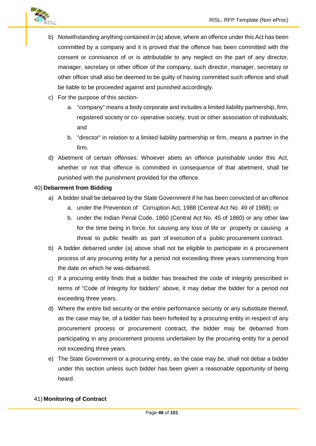

- b) Notwithstanding anything contained in (a) above, where an offence under this Act has been committed by a company and it is proved that the offence has been committed with the consent or connivance of or is attributable to any neglect on the part of any director, manager, secretary or other officer of the company, such director, manager, secretary or other officer shall also be deemed to be guilty of having committed such offence and shall be liable to be proceeded against and punished accordingly.
- c) For the purpose of this section
	- a. "company" means a body corporate and includes a limited liability partnership, firm, registered society or co- operative society, trust or other association of individuals; and
	- b. "director" in relation to a limited liability partnership or firm, means a partner in the firm.
- d) Abetment of certain offenses: Whoever abets an offence punishable under this Act, whether or not that offence is committed in consequence of that abetment, shall be punished with the punishment provided for the offence.

# 40) **Debarment from Bidding**

- a) A bidder shall be debarred by the State Government if he has been convicted of an offence
	- a. under the Prevention of Corruption Act, 1988 (Central Act No. 49 of 1988); or
	- b. under the Indian Penal Code, 1860 (Central Act No. 45 of 1860) or any other law for the time being in force, for causing any loss of life or property or causing a threat to public health as part of execution of a public procurement contract.
- b) A bidder debarred under (a) above shall not be eligible to participate in a procurement process of any procuring entity for a period not exceeding three years commencing from the date on which he was debarred.
- c) If a procuring entity finds that a bidder has breached the code of integrity prescribed in terms of "Code of Integrity for bidders" above, it may debar the bidder for a period not exceeding three years.
- d) Where the entire bid security or the entire performance security or any substitute thereof, as the case may be, of a bidder has been forfeited by a procuring entity in respect of any procurement process or procurement contract, the bidder may be debarred from participating in any procurement process undertaken by the procuring entity for a period not exceeding three years.
- e) The State Government or a procuring entity, as the case may be, shall not debar a bidder under this section unless such bidder has been given a reasonable opportunity of being heard.

#### 41) **Monitoring of Contract**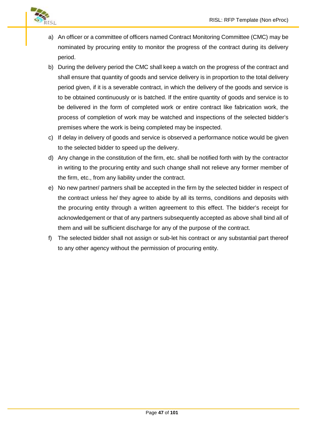

- a) An officer or a committee of officers named Contract Monitoring Committee (CMC) may be nominated by procuring entity to monitor the progress of the contract during its delivery period.
- b) During the delivery period the CMC shall keep a watch on the progress of the contract and shall ensure that quantity of goods and service delivery is in proportion to the total delivery period given, if it is a severable contract, in which the delivery of the goods and service is to be obtained continuously or is batched. If the entire quantity of goods and service is to be delivered in the form of completed work or entire contract like fabrication work, the process of completion of work may be watched and inspections of the selected bidder's premises where the work is being completed may be inspected.
- c) If delay in delivery of goods and service is observed a performance notice would be given to the selected bidder to speed up the delivery.
- d) Any change in the constitution of the firm, etc. shall be notified forth with by the contractor in writing to the procuring entity and such change shall not relieve any former member of the firm, etc., from any liability under the contract.
- e) No new partner/ partners shall be accepted in the firm by the selected bidder in respect of the contract unless he/ they agree to abide by all its terms, conditions and deposits with the procuring entity through a written agreement to this effect. The bidder's receipt for acknowledgement or that of any partners subsequently accepted as above shall bind all of them and will be sufficient discharge for any of the purpose of the contract.
- f) The selected bidder shall not assign or sub-let his contract or any substantial part thereof to any other agency without the permission of procuring entity.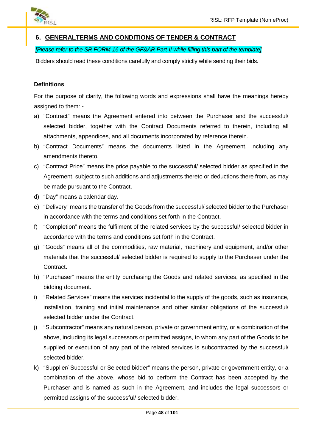

# **6. GENERALTERMS AND CONDITIONS OF TENDER & CONTRACT**

# *[Please refer to the SR FORM-16 of the GF&AR Part-II while filling this part of the template]*

Bidders should read these conditions carefully and comply strictly while sending their bids.

### **Definitions**

For the purpose of clarity, the following words and expressions shall have the meanings hereby assigned to them: -

- a) "Contract" means the Agreement entered into between the Purchaser and the successful/ selected bidder, together with the Contract Documents referred to therein, including all attachments, appendices, and all documents incorporated by reference therein.
- b) "Contract Documents" means the documents listed in the Agreement, including any amendments thereto.
- c) "Contract Price" means the price payable to the successful/ selected bidder as specified in the Agreement, subject to such additions and adjustments thereto or deductions there from, as may be made pursuant to the Contract.
- d) "Day" means a calendar day.
- e) "Delivery" means the transfer of the Goods from the successful/ selected bidder to the Purchaser in accordance with the terms and conditions set forth in the Contract.
- f) "Completion" means the fulfilment of the related services by the successful/ selected bidder in accordance with the terms and conditions set forth in the Contract.
- g) "Goods" means all of the commodities, raw material, machinery and equipment, and/or other materials that the successful/ selected bidder is required to supply to the Purchaser under the Contract.
- h) "Purchaser" means the entity purchasing the Goods and related services, as specified in the bidding document.
- i) "Related Services" means the services incidental to the supply of the goods, such as insurance, installation, training and initial maintenance and other similar obligations of the successful/ selected bidder under the Contract.
- j) "Subcontractor" means any natural person, private or government entity, or a combination of the above, including its legal successors or permitted assigns, to whom any part of the Goods to be supplied or execution of any part of the related services is subcontracted by the successful/ selected bidder.
- k) "Supplier/ Successful or Selected bidder" means the person, private or government entity, or a combination of the above, whose bid to perform the Contract has been accepted by the Purchaser and is named as such in the Agreement, and includes the legal successors or permitted assigns of the successful/ selected bidder.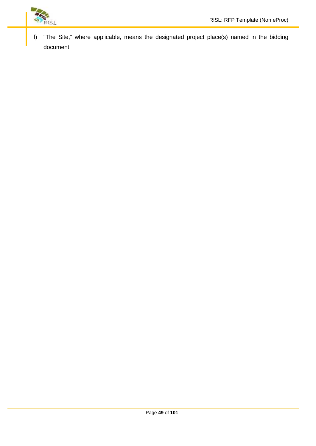

l) "The Site," where applicable, means the designated project place(s) named in the bidding document.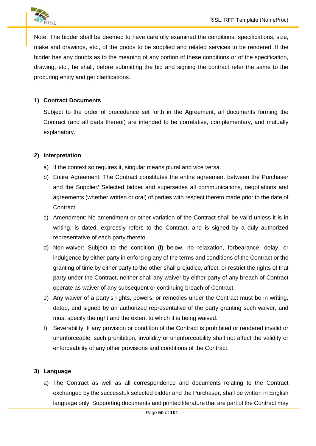

Note: The bidder shall be deemed to have carefully examined the conditions, specifications, size, make and drawings, etc., of the goods to be supplied and related services to be rendered. If the bidder has any doubts as to the meaning of any portion of these conditions or of the specification, drawing, etc., he shall, before submitting the bid and signing the contract refer the same to the procuring entity and get clarifications.

### **1) Contract Documents**

Subject to the order of precedence set forth in the Agreement, all documents forming the Contract (and all parts thereof) are intended to be correlative, complementary, and mutually explanatory.

### **2) Interpretation**

- a) If the context so requires it, singular means plural and vice versa.
- b) Entire Agreement: The Contract constitutes the entire agreement between the Purchaser and the Supplier/ Selected bidder and supersedes all communications, negotiations and agreements (whether written or oral) of parties with respect thereto made prior to the date of Contract.
- c) Amendment: No amendment or other variation of the Contract shall be valid unless it is in writing, is dated, expressly refers to the Contract, and is signed by a duly authorized representative of each party thereto.
- d) Non-waiver: Subject to the condition (f) below, no relaxation, forbearance, delay, or indulgence by either party in enforcing any of the terms and conditions of the Contract or the granting of time by either party to the other shall prejudice, affect, or restrict the rights of that party under the Contract, neither shall any waiver by either party of any breach of Contract operate as waiver of any subsequent or continuing breach of Contract.
- e) Any waiver of a party's rights, powers, or remedies under the Contract must be in writing, dated, and signed by an authorized representative of the party granting such waiver, and must specify the right and the extent to which it is being waived.
- f) Severability: If any provision or condition of the Contract is prohibited or rendered invalid or unenforceable, such prohibition, invalidity or unenforceability shall not affect the validity or enforceability of any other provisions and conditions of the Contract.

# **3) Language**

a) The Contract as well as all correspondence and documents relating to the Contract exchanged by the successful/ selected bidder and the Purchaser, shall be written in English language only. Supporting documents and printed literature that are part of the Contract may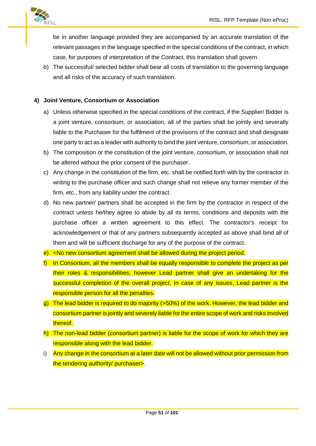

be in another language provided they are accompanied by an accurate translation of the relevant passages in the language specified in the special conditions of the contract, in which case, for purposes of interpretation of the Contract, this translation shall govern.

b) The successful/ selected bidder shall bear all costs of translation to the governing language and all risks of the accuracy of such translation.

### **4) Joint Venture, Consortium or Association**

- a) Unless otherwise specified in the special conditions of the contract, if the Supplier/ Bidder is a joint venture, consortium, or association, all of the parties shall be jointly and severally liable to the Purchaser for the fulfilment of the provisions of the contract and shall designate one party to act as a leader with authority to bind the joint venture, consortium, or association.
- b) The composition or the constitution of the joint venture, consortium, or association shall not be altered without the prior consent of the purchaser.
- c) Any change in the constitution of the firm, etc. shall be notified forth with by the contractor in writing to the purchase officer and such change shall not relieve any former member of the firm, etc., from any liability under the contract.
- d) No new partner/ partners shall be accepted in the firm by the contractor in respect of the contract unless he/they agree to abide by all its terms, conditions and deposits with the purchase officer a written agreement to this effect. The contractor's receipt for acknowledgement or that of any partners subsequently accepted as above shall bind all of them and will be sufficient discharge for any of the purpose of the contract.
- e) <No new consortium agreement shall be allowed during the project period.
- f) In Consortium, all the members shall be equally responsible to complete the project as per their roles & responsibilities; however Lead partner shall give an undertaking for the successful completion of the overall project. In case of any issues, Lead partner is the responsible person for all the penalties.
- g) The lead bidder is required to do majority (>50%) of the work. However, the lead bidder and consortium partner is jointly and severely liable for the entire scope of work and risks involved thereof.
- h) The non-lead bidder (consortium partner) is liable for the scope of work for which they are responsible along with the lead bidder.
- i) Any change in the consortium at a later date will not be allowed without prior permission from the tendering authority/ purchaser>.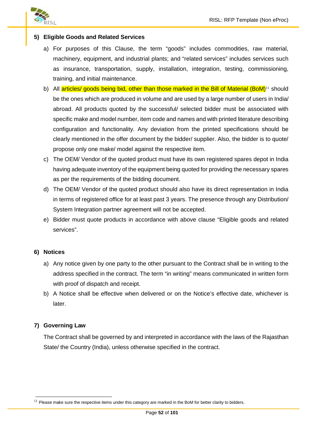

### **5) Eligible Goods and Related Services**

- a) For purposes of this Clause, the term "goods" includes commodities, raw material, machinery, equipment, and industrial plants; and "related services" includes services such as insurance, transportation, supply, installation, integration, testing, commissioning, training, and initial maintenance.
- b) All articles/ goods being bid, other than those marked in the Bill of Material (BoM)<sup>11</sup> should be the ones which are produced in volume and are used by a large number of users in India/ abroad. All products quoted by the successful/ selected bidder must be associated with specific make and model number, item code and names and with printed literature describing configuration and functionality. Any deviation from the printed specifications should be clearly mentioned in the offer document by the bidder/ supplier. Also, the bidder is to quote/ propose only one make/ model against the respective item.
- c) The OEM/ Vendor of the quoted product must have its own registered spares depot in India having adequate inventory of the equipment being quoted for providing the necessary spares as per the requirements of the bidding document.
- d) The OEM/ Vendor of the quoted product should also have its direct representation in India in terms of registered office for at least past 3 years. The presence through any Distribution/ System Integration partner agreement will not be accepted.
- e) Bidder must quote products in accordance with above clause "Eligible goods and related services".

#### **6) Notices**

- a) Any notice given by one party to the other pursuant to the Contract shall be in writing to the address specified in the contract. The term "in writing" means communicated in written form with proof of dispatch and receipt.
- b) A Notice shall be effective when delivered or on the Notice's effective date, whichever is later.

#### **7) Governing Law**

The Contract shall be governed by and interpreted in accordance with the laws of the Rajasthan State/ the Country (India), unless otherwise specified in the contract.

 $11$  Please make sure the respective items under this category are marked in the BoM for better clarity to bidders.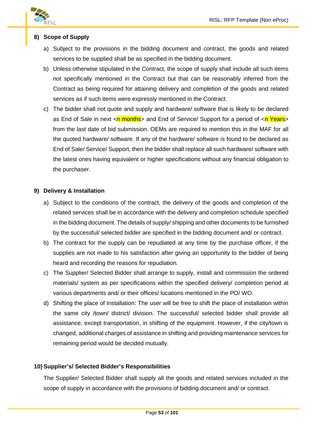

# **8) Scope of Supply**

- a) Subject to the provisions in the bidding document and contract, the goods and related services to be supplied shall be as specified in the bidding document.
- b) Unless otherwise stipulated in the Contract, the scope of supply shall include all such items not specifically mentioned in the Contract but that can be reasonably inferred from the Contract as being required for attaining delivery and completion of the goods and related services as if such items were expressly mentioned in the Contract.
- c) The bidder shall not quote and supply and hardware/ software that is likely to be declared as End of Sale in next  $\langle n \text{ months} \rangle$  and End of Service/ Support for a period of  $\langle n \text{ Years} \rangle$ from the last date of bid submission. OEMs are required to mention this in the MAF for all the quoted hardware/ software. If any of the hardware/ software is found to be declared as End of Sale/ Service/ Support, then the bidder shall replace all such hardware/ software with the latest ones having equivalent or higher specifications without any financial obligation to the purchaser.

### **9) Delivery & Installation**

- a) Subject to the conditions of the contract, the delivery of the goods and completion of the related services shall be in accordance with the delivery and completion schedule specified in the bidding document. The details of supply/ shipping and other documents to be furnished by the successful/ selected bidder are specified in the bidding document and/ or contract.
- b) The contract for the supply can be repudiated at any time by the purchase officer, if the supplies are not made to his satisfaction after giving an opportunity to the bidder of being heard and recording the reasons for repudiation.
- c) The Supplier/ Selected Bidder shall arrange to supply, install and commission the ordered materials/ system as per specifications within the specified delivery/ completion period at various departments and/ or their offices/ locations mentioned in the PO/ WO.
- d) Shifting the place of Installation: The user will be free to shift the place of installation within the same city /town/ district/ division. The successful/ selected bidder shall provide all assistance, except transportation, in shifting of the equipment. However, if the city/town is changed, additional charges of assistance in shifting and providing maintenance services for remaining period would be decided mutually.

# **10) Supplier's/ Selected Bidder's Responsibilities**

The Supplier/ Selected Bidder shall supply all the goods and related services included in the scope of supply in accordance with the provisions of bidding document and/ or contract.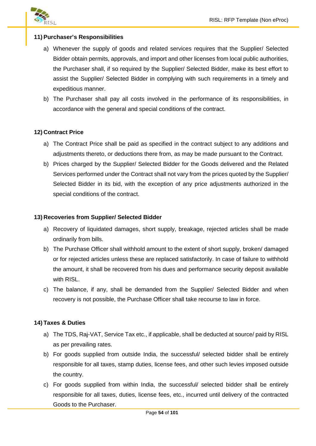

# **11) Purchaser's Responsibilities**

- a) Whenever the supply of goods and related services requires that the Supplier/ Selected Bidder obtain permits, approvals, and import and other licenses from local public authorities, the Purchaser shall, if so required by the Supplier/ Selected Bidder, make its best effort to assist the Supplier/ Selected Bidder in complying with such requirements in a timely and expeditious manner.
- b) The Purchaser shall pay all costs involved in the performance of its responsibilities, in accordance with the general and special conditions of the contract.

### **12) Contract Price**

- a) The Contract Price shall be paid as specified in the contract subject to any additions and adjustments thereto, or deductions there from, as may be made pursuant to the Contract.
- b) Prices charged by the Supplier/ Selected Bidder for the Goods delivered and the Related Services performed under the Contract shall not vary from the prices quoted by the Supplier/ Selected Bidder in its bid, with the exception of any price adjustments authorized in the special conditions of the contract.

#### **13) Recoveries from Supplier/ Selected Bidder**

- a) Recovery of liquidated damages, short supply, breakage, rejected articles shall be made ordinarily from bills.
- b) The Purchase Officer shall withhold amount to the extent of short supply, broken/ damaged or for rejected articles unless these are replaced satisfactorily. In case of failure to withhold the amount, it shall be recovered from his dues and performance security deposit available with RISL.
- c) The balance, if any, shall be demanded from the Supplier/ Selected Bidder and when recovery is not possible, the Purchase Officer shall take recourse to law in force.

#### **14) Taxes & Duties**

- a) The TDS, Raj-VAT, Service Tax etc., if applicable, shall be deducted at source/ paid by RISL as per prevailing rates.
- b) For goods supplied from outside India, the successful/ selected bidder shall be entirely responsible for all taxes, stamp duties, license fees, and other such levies imposed outside the country.
- c) For goods supplied from within India, the successful/ selected bidder shall be entirely responsible for all taxes, duties, license fees, etc., incurred until delivery of the contracted Goods to the Purchaser.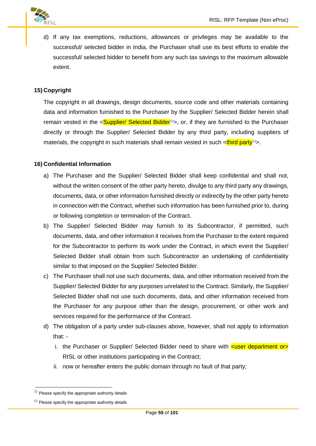

d) If any tax exemptions, reductions, allowances or privileges may be available to the successful/ selected bidder in India, the Purchaser shall use its best efforts to enable the successful/ selected bidder to benefit from any such tax savings to the maximum allowable extent.

# **15) Copyright**

The copyright in all drawings, design documents, source code and other materials containing data and information furnished to the Purchaser by the Supplier/ Selected Bidder herein shall remain vested in the  $\leq$ Supplier/ Selected Bidder<sup>12</sup>>, or, if they are furnished to the Purchaser directly or through the Supplier/ Selected Bidder by any third party, including suppliers of materials, the copyright in such materials shall remain vested in such  $\langle$ third party<sup>13</sup>>.

# **16) Confidential Information**

- a) The Purchaser and the Supplier/ Selected Bidder shall keep confidential and shall not, without the written consent of the other party hereto, divulge to any third party any drawings, documents, data, or other information furnished directly or indirectly by the other party hereto in connection with the Contract, whether such information has been furnished prior to, during or following completion or termination of the Contract.
- b) The Supplier/ Selected Bidder may furnish to its Subcontractor, if permitted, such documents, data, and other information it receives from the Purchaser to the extent required for the Subcontractor to perform its work under the Contract, in which event the Supplier/ Selected Bidder shall obtain from such Subcontractor an undertaking of confidentiality similar to that imposed on the Supplier/ Selected Bidder.
- c) The Purchaser shall not use such documents, data, and other information received from the Supplier/ Selected Bidder for any purposes unrelated to the Contract. Similarly, the Supplier/ Selected Bidder shall not use such documents, data, and other information received from the Purchaser for any purpose other than the design, procurement, or other work and services required for the performance of the Contract.
- d) The obligation of a party under sub-clauses above, however, shall not apply to information that:
	- i. the Purchaser or Supplier/ Selected Bidder need to share with  $\leq$ user department or RISL or other institutions participating in the Contract;
	- ii. now or hereafter enters the public domain through no fault of that party;

 $12$  Please specify the appropriate authority details

 $13$  Please specify the appropriate authority details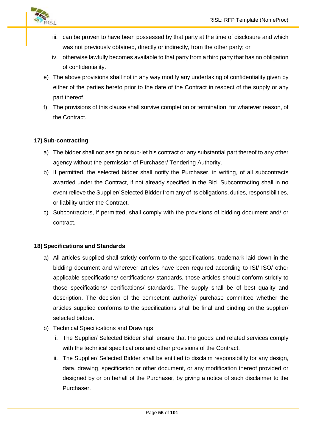

- iii. can be proven to have been possessed by that party at the time of disclosure and which was not previously obtained, directly or indirectly, from the other party; or
- iv. otherwise lawfully becomes available to that party from a third party that has no obligation of confidentiality.
- e) The above provisions shall not in any way modify any undertaking of confidentiality given by either of the parties hereto prior to the date of the Contract in respect of the supply or any part thereof.
- f) The provisions of this clause shall survive completion or termination, for whatever reason, of the Contract.

# **17) Sub-contracting**

- a) The bidder shall not assign or sub-let his contract or any substantial part thereof to any other agency without the permission of Purchaser/ Tendering Authority.
- b) If permitted, the selected bidder shall notify the Purchaser, in writing, of all subcontracts awarded under the Contract, if not already specified in the Bid. Subcontracting shall in no event relieve the Supplier/ Selected Bidder from any of its obligations, duties, responsibilities, or liability under the Contract.
- c) Subcontractors, if permitted, shall comply with the provisions of bidding document and/ or contract.

# **18) Specifications and Standards**

- a) All articles supplied shall strictly conform to the specifications, trademark laid down in the bidding document and wherever articles have been required according to ISI/ ISO/ other applicable specifications/ certifications/ standards, those articles should conform strictly to those specifications/ certifications/ standards. The supply shall be of best quality and description. The decision of the competent authority/ purchase committee whether the articles supplied conforms to the specifications shall be final and binding on the supplier/ selected bidder.
- b) Technical Specifications and Drawings
	- i. The Supplier/ Selected Bidder shall ensure that the goods and related services comply with the technical specifications and other provisions of the Contract.
	- ii. The Supplier/ Selected Bidder shall be entitled to disclaim responsibility for any design, data, drawing, specification or other document, or any modification thereof provided or designed by or on behalf of the Purchaser, by giving a notice of such disclaimer to the Purchaser.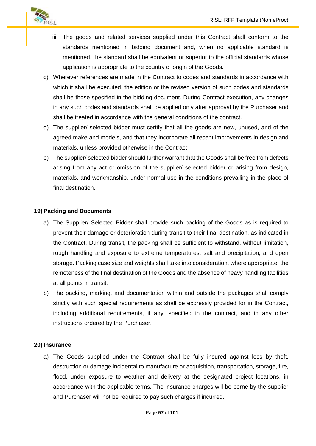

- iii. The goods and related services supplied under this Contract shall conform to the standards mentioned in bidding document and, when no applicable standard is mentioned, the standard shall be equivalent or superior to the official standards whose application is appropriate to the country of origin of the Goods.
- c) Wherever references are made in the Contract to codes and standards in accordance with which it shall be executed, the edition or the revised version of such codes and standards shall be those specified in the bidding document. During Contract execution, any changes in any such codes and standards shall be applied only after approval by the Purchaser and shall be treated in accordance with the general conditions of the contract.
- d) The supplier/ selected bidder must certify that all the goods are new, unused, and of the agreed make and models, and that they incorporate all recent improvements in design and materials, unless provided otherwise in the Contract.
- e) The supplier/ selected bidder should further warrant that the Goods shall be free from defects arising from any act or omission of the supplier/ selected bidder or arising from design, materials, and workmanship, under normal use in the conditions prevailing in the place of final destination.

# **19) Packing and Documents**

- a) The Supplier/ Selected Bidder shall provide such packing of the Goods as is required to prevent their damage or deterioration during transit to their final destination, as indicated in the Contract. During transit, the packing shall be sufficient to withstand, without limitation, rough handling and exposure to extreme temperatures, salt and precipitation, and open storage. Packing case size and weights shall take into consideration, where appropriate, the remoteness of the final destination of the Goods and the absence of heavy handling facilities at all points in transit.
- b) The packing, marking, and documentation within and outside the packages shall comply strictly with such special requirements as shall be expressly provided for in the Contract, including additional requirements, if any, specified in the contract, and in any other instructions ordered by the Purchaser.

#### **20) Insurance**

a) The Goods supplied under the Contract shall be fully insured against loss by theft, destruction or damage incidental to manufacture or acquisition, transportation, storage, fire, flood, under exposure to weather and delivery at the designated project locations, in accordance with the applicable terms. The insurance charges will be borne by the supplier and Purchaser will not be required to pay such charges if incurred.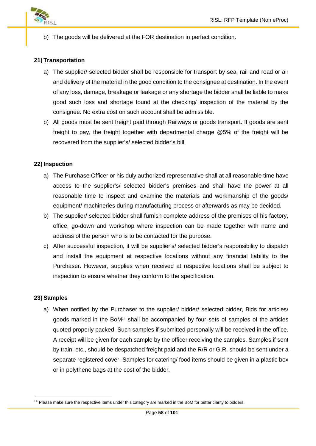

b) The goods will be delivered at the FOR destination in perfect condition.

### **21) Transportation**

- a) The supplier/ selected bidder shall be responsible for transport by sea, rail and road or air and delivery of the material in the good condition to the consignee at destination. In the event of any loss, damage, breakage or leakage or any shortage the bidder shall be liable to make good such loss and shortage found at the checking/ inspection of the material by the consignee. No extra cost on such account shall be admissible.
- b) All goods must be sent freight paid through Railways or goods transport. If goods are sent freight to pay, the freight together with departmental charge @5% of the freight will be recovered from the supplier's/ selected bidder's bill.

#### **22) Inspection**

- a) The Purchase Officer or his duly authorized representative shall at all reasonable time have access to the supplier's/ selected bidder's premises and shall have the power at all reasonable time to inspect and examine the materials and workmanship of the goods/ equipment/ machineries during manufacturing process or afterwards as may be decided.
- b) The supplier/ selected bidder shall furnish complete address of the premises of his factory, office, go-down and workshop where inspection can be made together with name and address of the person who is to be contacted for the purpose.
- c) After successful inspection, it will be supplier's/ selected bidder's responsibility to dispatch and install the equipment at respective locations without any financial liability to the Purchaser. However, supplies when received at respective locations shall be subject to inspection to ensure whether they conform to the specification.

#### **23) Samples**

a) When notified by the Purchaser to the supplier/ bidder/ selected bidder, Bids for articles/ goods marked in the BoM $14$  shall be accompanied by four sets of samples of the articles quoted properly packed. Such samples if submitted personally will be received in the office. A receipt will be given for each sample by the officer receiving the samples. Samples if sent by train, etc., should be despatched freight paid and the R/R or G.R. should be sent under a separate registered cover. Samples for catering/ food items should be given in a plastic box or in polythene bags at the cost of the bidder.

 $14$  Please make sure the respective items under this category are marked in the BoM for better clarity to bidders.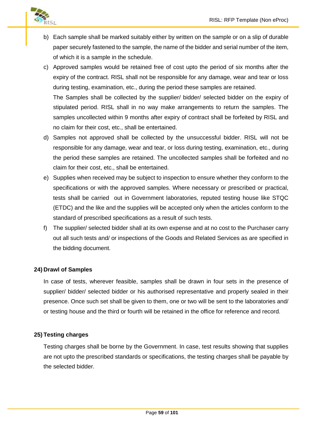

- b) Each sample shall be marked suitably either by written on the sample or on a slip of durable paper securely fastened to the sample, the name of the bidder and serial number of the item, of which it is a sample in the schedule.
- c) Approved samples would be retained free of cost upto the period of six months after the expiry of the contract. RISL shall not be responsible for any damage, wear and tear or loss during testing, examination, etc., during the period these samples are retained. The Samples shall be collected by the supplier/ bidder/ selected bidder on the expiry of stipulated period. RISL shall in no way make arrangements to return the samples. The samples uncollected within 9 months after expiry of contract shall be forfeited by RISL and no claim for their cost, etc., shall be entertained.
- d) Samples not approved shall be collected by the unsuccessful bidder. RISL will not be responsible for any damage, wear and tear, or loss during testing, examination, etc., during the period these samples are retained. The uncollected samples shall be forfeited and no claim for their cost, etc., shall be entertained.
- e) Supplies when received may be subject to inspection to ensure whether they conform to the specifications or with the approved samples. Where necessary or prescribed or practical, tests shall be carried out in Government laboratories, reputed testing house like STQC (ETDC) and the like and the supplies will be accepted only when the articles conform to the standard of prescribed specifications as a result of such tests.
- f) The supplier/ selected bidder shall at its own expense and at no cost to the Purchaser carry out all such tests and/ or inspections of the Goods and Related Services as are specified in the bidding document.

# **24) Drawl of Samples**

In case of tests, wherever feasible, samples shall be drawn in four sets in the presence of supplier/ bidder/ selected bidder or his authorised representative and properly sealed in their presence. Once such set shall be given to them, one or two will be sent to the laboratories and/ or testing house and the third or fourth will be retained in the office for reference and record.

# **25) Testing charges**

Testing charges shall be borne by the Government. In case, test results showing that supplies are not upto the prescribed standards or specifications, the testing charges shall be payable by the selected bidder.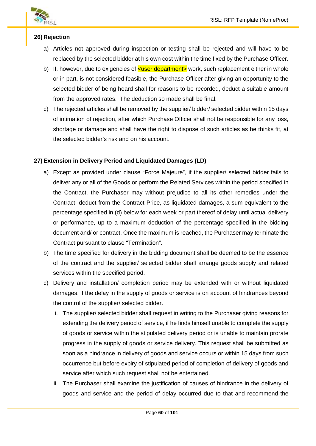

# **26) Rejection**

- a) Articles not approved during inspection or testing shall be rejected and will have to be replaced by the selected bidder at his own cost within the time fixed by the Purchase Officer.
- b) If, however, due to exigencies of  $\leq$ user department $\geq$  work, such replacement either in whole or in part, is not considered feasible, the Purchase Officer after giving an opportunity to the selected bidder of being heard shall for reasons to be recorded, deduct a suitable amount from the approved rates. The deduction so made shall be final.
- c) The rejected articles shall be removed by the supplier/ bidder/ selected bidder within 15 days of intimation of rejection, after which Purchase Officer shall not be responsible for any loss, shortage or damage and shall have the right to dispose of such articles as he thinks fit, at the selected bidder's risk and on his account.

# **27) Extension in Delivery Period and Liquidated Damages (LD)**

- a) Except as provided under clause "Force Majeure", if the supplier/ selected bidder fails to deliver any or all of the Goods or perform the Related Services within the period specified in the Contract, the Purchaser may without prejudice to all its other remedies under the Contract, deduct from the Contract Price, as liquidated damages, a sum equivalent to the percentage specified in (d) below for each week or part thereof of delay until actual delivery or performance, up to a maximum deduction of the percentage specified in the bidding document and/ or contract. Once the maximum is reached, the Purchaser may terminate the Contract pursuant to clause "Termination".
- b) The time specified for delivery in the bidding document shall be deemed to be the essence of the contract and the supplier/ selected bidder shall arrange goods supply and related services within the specified period.
- c) Delivery and installation/ completion period may be extended with or without liquidated damages, if the delay in the supply of goods or service is on account of hindrances beyond the control of the supplier/ selected bidder.
	- i. The supplier/ selected bidder shall request in writing to the Purchaser giving reasons for extending the delivery period of service, if he finds himself unable to complete the supply of goods or service within the stipulated delivery period or is unable to maintain prorate progress in the supply of goods or service delivery. This request shall be submitted as soon as a hindrance in delivery of goods and service occurs or within 15 days from such occurrence but before expiry of stipulated period of completion of delivery of goods and service after which such request shall not be entertained.
	- ii. The Purchaser shall examine the justification of causes of hindrance in the delivery of goods and service and the period of delay occurred due to that and recommend the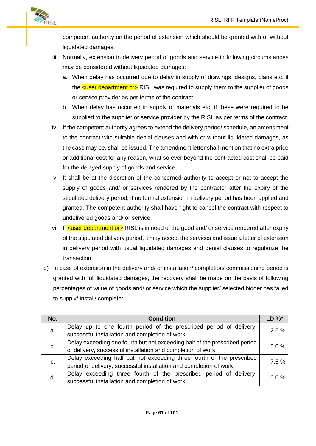

competent authority on the period of extension which should be granted with or without liquidated damages.

- iii. Normally, extension in delivery period of goods and service in following circumstances may be considered without liquidated damages:
	- a. When delay has occurred due to delay in supply of drawings, designs, plans etc. if the  $\leq$ user department or  $\geq$  RISL was required to supply them to the supplier of goods or service provider as per terms of the contract.
	- b. When delay has occurred in supply of materials etc. if these were required to be supplied to the supplier or service provider by the RISL as per terms of the contract.
- iv. If the competent authority agrees to extend the delivery period/ schedule, an amendment to the contract with suitable denial clauses and with or without liquidated damages, as the case may be, shall be issued. The amendment letter shall mention that no extra price or additional cost for any reason, what so ever beyond the contracted cost shall be paid for the delayed supply of goods and service.
- v. It shall be at the discretion of the concerned authority to accept or not to accept the supply of goods and/ or services rendered by the contractor after the expiry of the stipulated delivery period, if no formal extension in delivery period has been applied and granted. The competent authority shall have right to cancel the contract with respect to undelivered goods and/ or service.
- vi. If  $\leq$ user department or RISL is in need of the good and/ or service rendered after expiry of the stipulated delivery period, it may accept the services and issue a letter of extension in delivery period with usual liquidated damages and denial clauses to regularize the transaction.
- d) In case of extension in the delivery and/ or installation/ completion/ commissioning period is granted with full liquidated damages, the recovery shall be made on the basis of following percentages of value of goods and/ or service which the supplier/ selected bidder has failed to supply/ install/ complete: -

| No. | <b>Condition</b>                                                                                                                            | LD $\%^*$ |  |
|-----|---------------------------------------------------------------------------------------------------------------------------------------------|-----------|--|
| а.  | Delay up to one fourth period of the prescribed period of delivery,<br>successful installation and completion of work                       |           |  |
| b.  | Delay exceeding one fourth but not exceeding half of the prescribed period<br>of delivery, successful installation and completion of work   |           |  |
| C.  | Delay exceeding half but not exceeding three fourth of the prescribed<br>period of delivery, successful installation and completion of work |           |  |
| d.  | Delay exceeding three fourth of the prescribed period of delivery,<br>10.0%<br>successful installation and completion of work               |           |  |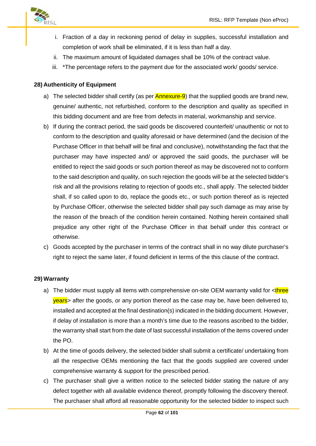

- i. Fraction of a day in reckoning period of delay in supplies, successful installation and completion of work shall be eliminated, if it is less than half a day.
- ii. The maximum amount of liquidated damages shall be 10% of the contract value.
- iii. \*The percentage refers to the payment due for the associated work/ goods/ service.

# **28) Authenticity of Equipment**

- a) The selected bidder shall certify (as per  $\Delta n$ nexure-9) that the supplied goods are brand new, genuine/ authentic, not refurbished, conform to the description and quality as specified in this bidding document and are free from defects in material, workmanship and service.
- b) If during the contract period, the said goods be discovered counterfeit/ unauthentic or not to conform to the description and quality aforesaid or have determined (and the decision of the Purchase Officer in that behalf will be final and conclusive), notwithstanding the fact that the purchaser may have inspected and/ or approved the said goods, the purchaser will be entitled to reject the said goods or such portion thereof as may be discovered not to conform to the said description and quality, on such rejection the goods will be at the selected bidder's risk and all the provisions relating to rejection of goods etc., shall apply. The selected bidder shall, if so called upon to do, replace the goods etc., or such portion thereof as is rejected by Purchase Officer, otherwise the selected bidder shall pay such damage as may arise by the reason of the breach of the condition herein contained. Nothing herein contained shall prejudice any other right of the Purchase Officer in that behalf under this contract or otherwise.
- c) Goods accepted by the purchaser in terms of the contract shall in no way dilute purchaser's right to reject the same later, if found deficient in terms of the this clause of the contract.

# **29) Warranty**

- a) The bidder must supply all items with comprehensive on-site OEM warranty valid for  $\lt^{\text{three}}$ years> after the goods, or any portion thereof as the case may be, have been delivered to, installed and accepted at the final destination(s) indicated in the bidding document. However, if delay of installation is more than a month's time due to the reasons ascribed to the bidder, the warranty shall start from the date of last successful installation of the items covered under the PO.
- b) At the time of goods delivery, the selected bidder shall submit a certificate/ undertaking from all the respective OEMs mentioning the fact that the goods supplied are covered under comprehensive warranty & support for the prescribed period.
- c) The purchaser shall give a written notice to the selected bidder stating the nature of any defect together with all available evidence thereof, promptly following the discovery thereof. The purchaser shall afford all reasonable opportunity for the selected bidder to inspect such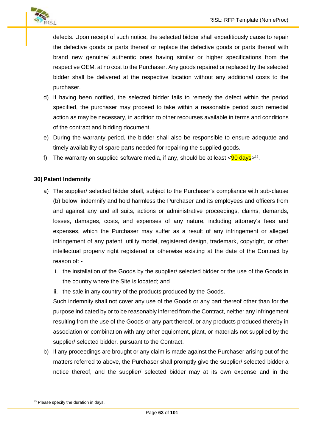

defects. Upon receipt of such notice, the selected bidder shall expeditiously cause to repair the defective goods or parts thereof or replace the defective goods or parts thereof with brand new genuine/ authentic ones having similar or higher specifications from the respective OEM, at no cost to the Purchaser. Any goods repaired or replaced by the selected bidder shall be delivered at the respective location without any additional costs to the purchaser.

- d) If having been notified, the selected bidder fails to remedy the defect within the period specified, the purchaser may proceed to take within a reasonable period such remedial action as may be necessary, in addition to other recourses available in terms and conditions of the contract and bidding document.
- e) During the warranty period, the bidder shall also be responsible to ensure adequate and timely availability of spare parts needed for repairing the supplied goods.
- f) The warranty on supplied software media, if any, should be at least <<mark>90 days</mark>><sup>15</sup>.

# **30) Patent Indemnity**

- a) The supplier/ selected bidder shall, subject to the Purchaser's compliance with sub-clause (b) below, indemnify and hold harmless the Purchaser and its employees and officers from and against any and all suits, actions or administrative proceedings, claims, demands, losses, damages, costs, and expenses of any nature, including attorney's fees and expenses, which the Purchaser may suffer as a result of any infringement or alleged infringement of any patent, utility model, registered design, trademark, copyright, or other intellectual property right registered or otherwise existing at the date of the Contract by reason of:
	- i. the installation of the Goods by the supplier/ selected bidder or the use of the Goods in the country where the Site is located; and
	- ii. the sale in any country of the products produced by the Goods.

Such indemnity shall not cover any use of the Goods or any part thereof other than for the purpose indicated by or to be reasonably inferred from the Contract, neither any infringement resulting from the use of the Goods or any part thereof, or any products produced thereby in association or combination with any other equipment, plant, or materials not supplied by the supplier/ selected bidder, pursuant to the Contract.

b) If any proceedings are brought or any claim is made against the Purchaser arising out of the matters referred to above, the Purchaser shall promptly give the supplier/ selected bidder a notice thereof, and the supplier/ selected bidder may at its own expense and in the

<sup>&</sup>lt;sup>15</sup> Please specify the duration in days.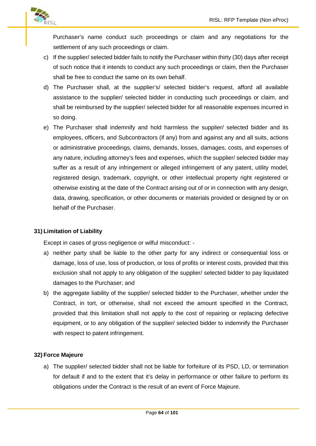

Purchaser's name conduct such proceedings or claim and any negotiations for the settlement of any such proceedings or claim.

- c) If the supplier/ selected bidder fails to notify the Purchaser within thirty (30) days after receipt of such notice that it intends to conduct any such proceedings or claim, then the Purchaser shall be free to conduct the same on its own behalf.
- d) The Purchaser shall, at the supplier's/ selected bidder's request, afford all available assistance to the supplier/ selected bidder in conducting such proceedings or claim, and shall be reimbursed by the supplier/ selected bidder for all reasonable expenses incurred in so doing.
- e) The Purchaser shall indemnify and hold harmless the supplier/ selected bidder and its employees, officers, and Subcontractors (if any) from and against any and all suits, actions or administrative proceedings, claims, demands, losses, damages, costs, and expenses of any nature, including attorney's fees and expenses, which the supplier/ selected bidder may suffer as a result of any infringement or alleged infringement of any patent, utility model, registered design, trademark, copyright, or other intellectual property right registered or otherwise existing at the date of the Contract arising out of or in connection with any design, data, drawing, specification, or other documents or materials provided or designed by or on behalf of the Purchaser.

# **31) Limitation of Liability**

Except in cases of gross negligence or wilful misconduct: -

- a) neither party shall be liable to the other party for any indirect or consequential loss or damage, loss of use, loss of production, or loss of profits or interest costs, provided that this exclusion shall not apply to any obligation of the supplier/ selected bidder to pay liquidated damages to the Purchaser; and
- b) the aggregate liability of the supplier/ selected bidder to the Purchaser, whether under the Contract, in tort, or otherwise, shall not exceed the amount specified in the Contract, provided that this limitation shall not apply to the cost of repairing or replacing defective equipment, or to any obligation of the supplier/ selected bidder to indemnify the Purchaser with respect to patent infringement.

# **32) Force Majeure**

a) The supplier/ selected bidder shall not be liable for forfeiture of its PSD, LD, or termination for default if and to the extent that it's delay in performance or other failure to perform its obligations under the Contract is the result of an event of Force Majeure.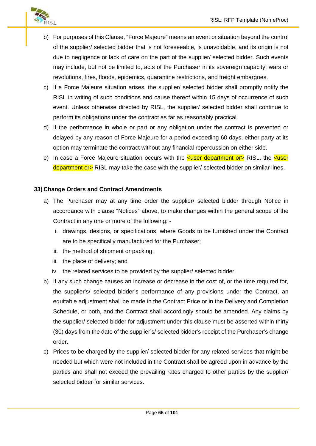

- b) For purposes of this Clause, "Force Majeure" means an event or situation beyond the control of the supplier/ selected bidder that is not foreseeable, is unavoidable, and its origin is not due to negligence or lack of care on the part of the supplier/ selected bidder. Such events may include, but not be limited to, acts of the Purchaser in its sovereign capacity, wars or revolutions, fires, floods, epidemics, quarantine restrictions, and freight embargoes.
- c) If a Force Majeure situation arises, the supplier/ selected bidder shall promptly notify the RISL in writing of such conditions and cause thereof within 15 days of occurrence of such event. Unless otherwise directed by RISL, the supplier/ selected bidder shall continue to perform its obligations under the contract as far as reasonably practical.
- d) If the performance in whole or part or any obligation under the contract is prevented or delayed by any reason of Force Majeure for a period exceeding 60 days, either party at its option may terminate the contract without any financial repercussion on either side.
- e) In case a Force Majeure situation occurs with the **sume department or** RISL, the sumer department or RISL may take the case with the supplier/ selected bidder on similar lines.

### **33) Change Orders and Contract Amendments**

- a) The Purchaser may at any time order the supplier/ selected bidder through Notice in accordance with clause "Notices" above, to make changes within the general scope of the Contract in any one or more of the following:
	- i. drawings, designs, or specifications, where Goods to be furnished under the Contract are to be specifically manufactured for the Purchaser;
	- ii. the method of shipment or packing;
	- iii. the place of delivery; and
	- iv. the related services to be provided by the supplier/ selected bidder.
- b) If any such change causes an increase or decrease in the cost of, or the time required for, the supplier's/ selected bidder's performance of any provisions under the Contract, an equitable adjustment shall be made in the Contract Price or in the Delivery and Completion Schedule, or both, and the Contract shall accordingly should be amended. Any claims by the supplier/ selected bidder for adjustment under this clause must be asserted within thirty (30) days from the date of the supplier's/ selected bidder's receipt of the Purchaser's change order.
- c) Prices to be charged by the supplier/ selected bidder for any related services that might be needed but which were not included in the Contract shall be agreed upon in advance by the parties and shall not exceed the prevailing rates charged to other parties by the supplier/ selected bidder for similar services.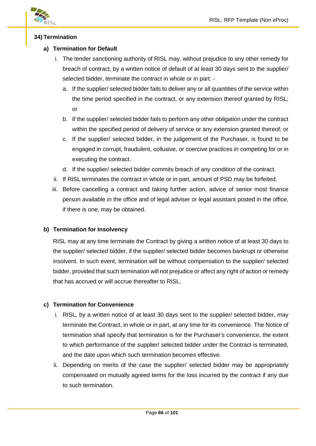

# **34) Termination**

# **a) Termination for Default**

- i. The tender sanctioning authority of RISL may, without prejudice to any other remedy for breach of contract, by a written notice of default of at least 30 days sent to the supplier/ selected bidder, terminate the contract in whole or in part:
	- a. If the supplier/ selected bidder fails to deliver any or all quantities of the service within the time period specified in the contract, or any extension thereof granted by RISL; or
	- b. If the supplier/ selected bidder fails to perform any other obligation under the contract within the specified period of delivery of service or any extension granted thereof; or
	- c. If the supplier/ selected bidder, in the judgement of the Purchaser, is found to be engaged in corrupt, fraudulent, collusive, or coercive practices in competing for or in executing the contract.
	- d. If the supplier/ selected bidder commits breach of any condition of the contract.
- ii. If RISL terminates the contract in whole or in part, amount of PSD may be forfeited.
- iii. Before cancelling a contract and taking further action, advice of senior most finance person available in the office and of legal adviser or legal assistant posted in the office, if there is one, may be obtained.

# **b) Termination for Insolvency**

RISL may at any time terminate the Contract by giving a written notice of at least 30 days to the supplier/ selected bidder, if the supplier/ selected bidder becomes bankrupt or otherwise insolvent. In such event, termination will be without compensation to the supplier/ selected bidder, provided that such termination will not prejudice or affect any right of action or remedy that has accrued or will accrue thereafter to RISL.

# **c) Termination for Convenience**

- i. RISL, by a written notice of at least 30 days sent to the supplier/ selected bidder, may terminate the Contract, in whole or in part, at any time for its convenience. The Notice of termination shall specify that termination is for the Purchaser's convenience, the extent to which performance of the supplier/ selected bidder under the Contract is terminated, and the date upon which such termination becomes effective.
- ii. Depending on merits of the case the supplier/ selected bidder may be appropriately compensated on mutually agreed terms for the loss incurred by the contract if any due to such termination.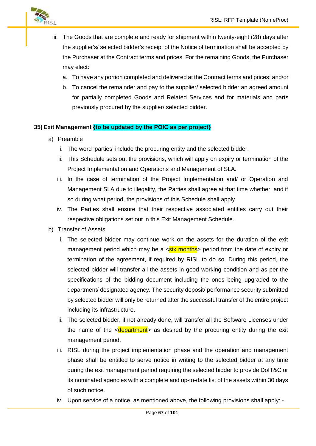

- iii. The Goods that are complete and ready for shipment within twenty-eight (28) days after the supplier's/ selected bidder's receipt of the Notice of termination shall be accepted by the Purchaser at the Contract terms and prices. For the remaining Goods, the Purchaser may elect:
	- a. To have any portion completed and delivered at the Contract terms and prices; and/or
	- b. To cancel the remainder and pay to the supplier/ selected bidder an agreed amount for partially completed Goods and Related Services and for materials and parts previously procured by the supplier/ selected bidder.

# **35) Exit Management {to be updated by the POIC as per project}**

- a) Preamble
	- i. The word 'parties' include the procuring entity and the selected bidder.
	- ii. This Schedule sets out the provisions, which will apply on expiry or termination of the Project Implementation and Operations and Management of SLA.
	- iii. In the case of termination of the Project Implementation and/ or Operation and Management SLA due to illegality, the Parties shall agree at that time whether, and if so during what period, the provisions of this Schedule shall apply.
	- iv. The Parties shall ensure that their respective associated entities carry out their respective obligations set out in this Exit Management Schedule.
- b) Transfer of Assets
	- i. The selected bidder may continue work on the assets for the duration of the exit management period which may be a  $\leq$  six months period from the date of expiry or termination of the agreement, if required by RISL to do so. During this period, the selected bidder will transfer all the assets in good working condition and as per the specifications of the bidding document including the ones being upgraded to the department/ designated agency. The security deposit/ performance security submitted by selected bidder will only be returned after the successful transfer of the entire project including its infrastructure.
	- ii. The selected bidder, if not already done, will transfer all the Software Licenses under the name of the  $\leq$  department as desired by the procuring entity during the exit management period.
	- iii. RISL during the project implementation phase and the operation and management phase shall be entitled to serve notice in writing to the selected bidder at any time during the exit management period requiring the selected bidder to provide DoIT&C or its nominated agencies with a complete and up-to-date list of the assets within 30 days of such notice.
	- iv. Upon service of a notice, as mentioned above, the following provisions shall apply: -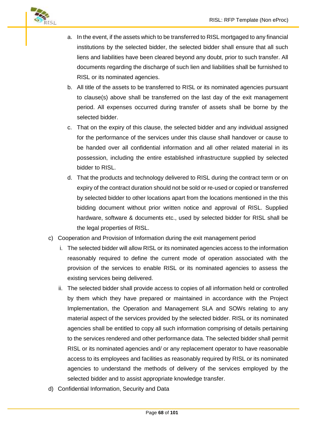

- a. In the event, if the assets which to be transferred to RISL mortgaged to any financial institutions by the selected bidder, the selected bidder shall ensure that all such liens and liabilities have been cleared beyond any doubt, prior to such transfer. All documents regarding the discharge of such lien and liabilities shall be furnished to RISL or its nominated agencies.
- b. All title of the assets to be transferred to RISL or its nominated agencies pursuant to clause(s) above shall be transferred on the last day of the exit management period. All expenses occurred during transfer of assets shall be borne by the selected bidder.
- c. That on the expiry of this clause, the selected bidder and any individual assigned for the performance of the services under this clause shall handover or cause to be handed over all confidential information and all other related material in its possession, including the entire established infrastructure supplied by selected bidder to RISL.
- d. That the products and technology delivered to RISL during the contract term or on expiry of the contract duration should not be sold or re-used or copied or transferred by selected bidder to other locations apart from the locations mentioned in the this bidding document without prior written notice and approval of RISL. Supplied hardware, software & documents etc., used by selected bidder for RISL shall be the legal properties of RISL.
- c) Cooperation and Provision of Information during the exit management period
	- i. The selected bidder will allow RISL or its nominated agencies access to the information reasonably required to define the current mode of operation associated with the provision of the services to enable RISL or its nominated agencies to assess the existing services being delivered.
	- ii. The selected bidder shall provide access to copies of all information held or controlled by them which they have prepared or maintained in accordance with the Project Implementation, the Operation and Management SLA and SOWs relating to any material aspect of the services provided by the selected bidder. RISL or its nominated agencies shall be entitled to copy all such information comprising of details pertaining to the services rendered and other performance data. The selected bidder shall permit RISL or its nominated agencies and/ or any replacement operator to have reasonable access to its employees and facilities as reasonably required by RISL or its nominated agencies to understand the methods of delivery of the services employed by the selected bidder and to assist appropriate knowledge transfer.
- d) Confidential Information, Security and Data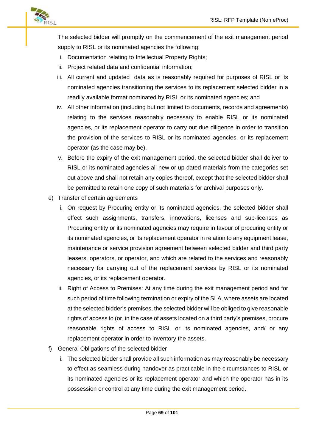

The selected bidder will promptly on the commencement of the exit management period supply to RISL or its nominated agencies the following:

- i. Documentation relating to Intellectual Property Rights;
- ii. Project related data and confidential information;
- iii. All current and updated data as is reasonably required for purposes of RISL or its nominated agencies transitioning the services to its replacement selected bidder in a readily available format nominated by RISL or its nominated agencies; and
- iv. All other information (including but not limited to documents, records and agreements) relating to the services reasonably necessary to enable RISL or its nominated agencies, or its replacement operator to carry out due diligence in order to transition the provision of the services to RISL or its nominated agencies, or its replacement operator (as the case may be).
- v. Before the expiry of the exit management period, the selected bidder shall deliver to RISL or its nominated agencies all new or up-dated materials from the categories set out above and shall not retain any copies thereof, except that the selected bidder shall be permitted to retain one copy of such materials for archival purposes only.
- e) Transfer of certain agreements
	- i. On request by Procuring entity or its nominated agencies, the selected bidder shall effect such assignments, transfers, innovations, licenses and sub-licenses as Procuring entity or its nominated agencies may require in favour of procuring entity or its nominated agencies, or its replacement operator in relation to any equipment lease, maintenance or service provision agreement between selected bidder and third party leasers, operators, or operator, and which are related to the services and reasonably necessary for carrying out of the replacement services by RISL or its nominated agencies, or its replacement operator.
	- ii. Right of Access to Premises: At any time during the exit management period and for such period of time following termination or expiry of the SLA, where assets are located at the selected bidder's premises, the selected bidder will be obliged to give reasonable rights of access to (or, in the case of assets located on a third party's premises, procure reasonable rights of access to RISL or its nominated agencies, and/ or any replacement operator in order to inventory the assets.
- f) General Obligations of the selected bidder
	- i. The selected bidder shall provide all such information as may reasonably be necessary to effect as seamless during handover as practicable in the circumstances to RISL or its nominated agencies or its replacement operator and which the operator has in its possession or control at any time during the exit management period.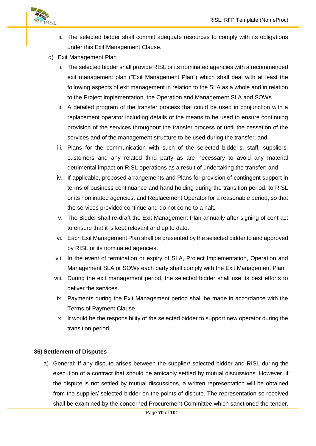

- ii. The selected bidder shall commit adequate resources to comply with its obligations under this Exit Management Clause.
- g) Exit Management Plan
	- i. The selected bidder shall provide RISL or its nominated agencies with a recommended exit management plan ("Exit Management Plan") which shall deal with at least the following aspects of exit management in relation to the SLA as a whole and in relation to the Project Implementation, the Operation and Management SLA and SOWs.
	- ii. A detailed program of the transfer process that could be used in conjunction with a replacement operator including details of the means to be used to ensure continuing provision of the services throughout the transfer process or until the cessation of the services and of the management structure to be used during the transfer; and
	- iii. Plans for the communication with such of the selected bidder's, staff, suppliers, customers and any related third party as are necessary to avoid any material detrimental impact on RISL operations as a result of undertaking the transfer; and
	- iv. If applicable, proposed arrangements and Plans for provision of contingent support in terms of business continuance and hand holding during the transition period, to RISL or its nominated agencies, and Replacement Operator for a reasonable period, so that the services provided continue and do not come to a halt.
	- v. The Bidder shall re-draft the Exit Management Plan annually after signing of contract to ensure that it is kept relevant and up to date.
	- vi. Each Exit Management Plan shall be presented by the selected bidder to and approved by RISL or its nominated agencies.
	- vii. In the event of termination or expiry of SLA, Project Implementation, Operation and Management SLA or SOWs each party shall comply with the Exit Management Plan.
	- viii. During the exit management period, the selected bidder shall use its best efforts to deliver the services.
	- ix. Payments during the Exit Management period shall be made in accordance with the Terms of Payment Clause.
	- x. It would be the responsibility of the selected bidder to support new operator during the transition period.

#### **36) Settlement of Disputes**

a) General: If any dispute arises between the supplier/ selected bidder and RISL during the execution of a contract that should be amicably settled by mutual discussions. However, if the dispute is not settled by mutual discussions, a written representation will be obtained from the supplier/ selected bidder on the points of dispute. The representation so received shall be examined by the concerned Procurement Committee which sanctioned the tender.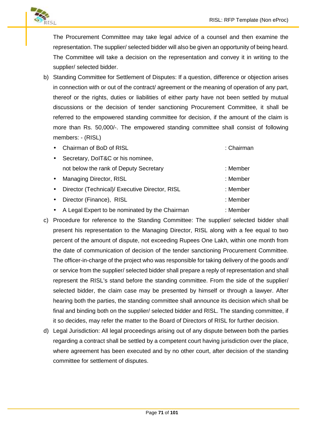

The Procurement Committee may take legal advice of a counsel and then examine the representation. The supplier/ selected bidder will also be given an opportunity of being heard. The Committee will take a decision on the representation and convey it in writing to the supplier/ selected bidder.

- b) Standing Committee for Settlement of Disputes: If a question, difference or objection arises in connection with or out of the contract/ agreement or the meaning of operation of any part, thereof or the rights, duties or liabilities of either party have not been settled by mutual discussions or the decision of tender sanctioning Procurement Committee, it shall be referred to the empowered standing committee for decision, if the amount of the claim is more than Rs. 50,000/-. The empowered standing committee shall consist of following members: - (RISL)
	- Chairman of BoD of RISL **in the Chairman** : Chairman
	- Secretary, DoIT&C or his nominee, not below the rank of Deputy Secretary **: Member** : Member • Managing Director, RISL : Member • Director (Technical)/ Executive Director, RISL : Member Director (Finance), RISL : Member
	- A Legal Expert to be nominated by the Chairman : Member
- c) Procedure for reference to the Standing Committee: The supplier/ selected bidder shall present his representation to the Managing Director, RISL along with a fee equal to two percent of the amount of dispute, not exceeding Rupees One Lakh, within one month from the date of communication of decision of the tender sanctioning Procurement Committee. The officer-in-charge of the project who was responsible for taking delivery of the goods and/ or service from the supplier/ selected bidder shall prepare a reply of representation and shall represent the RISL's stand before the standing committee. From the side of the supplier/ selected bidder, the claim case may be presented by himself or through a lawyer. After hearing both the parties, the standing committee shall announce its decision which shall be final and binding both on the supplier/ selected bidder and RISL. The standing committee, if it so decides, may refer the matter to the Board of Directors of RISL for further decision.
- d) Legal Jurisdiction: All legal proceedings arising out of any dispute between both the parties regarding a contract shall be settled by a competent court having jurisdiction over the place, where agreement has been executed and by no other court, after decision of the standing committee for settlement of disputes.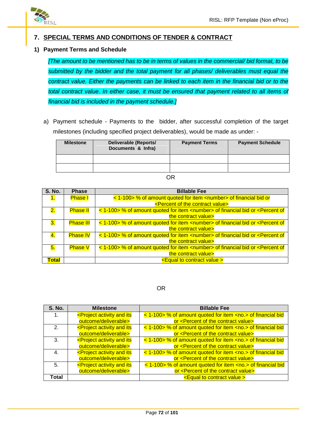

# **7. SPECIAL TERMS AND CONDITIONS OF TENDER & CONTRACT**

# **1) Payment Terms and Schedule**

*[The amount to be mentioned has to be in terms of values in the commercial/ bid format, to be submitted by the bidder and the total payment for all phases/ deliverables must equal the contract value. Either the payments can be linked to each item in the financial bid or to the total contract value. In either case, it must be ensured that payment related to all items of financial bid is included in the payment schedule.]*

a) Payment schedule - Payments to the bidder, after successful completion of the target milestones (including specified project deliverables), would be made as under: -

| <b>Milestone</b> | Deliverable (Reports/<br>Documents & Infra) | <b>Payment Terms</b> | <b>Payment Schedule</b> |
|------------------|---------------------------------------------|----------------------|-------------------------|
|                  |                                             |                      |                         |
|                  |                                             |                      |                         |

#### OR

| <b>S. No.</b> | <b>Phase</b>     | <b>Billable Fee</b>                                                                                         |  |
|---------------|------------------|-------------------------------------------------------------------------------------------------------------|--|
| 1.            | <b>Phase I</b>   | < 1-100> % of amount quoted for item <number> of financial bid or</number>                                  |  |
|               |                  | <percent contract="" of="" the="" value=""></percent>                                                       |  |
| 2.            | <b>Phase II</b>  | < 1-100> % of amount quoted for item <number> of financial bid or <percent of<="" th=""></percent></number> |  |
|               |                  | the contract value>                                                                                         |  |
| 3.            | <b>Phase III</b> | < 1-100> % of amount quoted for item <number> of financial bid or <percent of<="" th=""></percent></number> |  |
|               |                  | the contract value>                                                                                         |  |
| 4.            | <b>Phase IV</b>  | < 1-100> % of amount quoted for item <number> of financial bid or <percent of<="" th=""></percent></number> |  |
|               |                  | the contract value>                                                                                         |  |
| 5.            | <b>Phase V</b>   | < 1-100> % of amount quoted for item <number> of financial bid or <percent of<="" th=""></percent></number> |  |
|               |                  | the contract value>                                                                                         |  |
| Total         |                  | <equal contract="" to="" value=""></equal>                                                                  |  |

#### OR

| <b>S. No.</b>  | <b>Milestone</b>                                                                                                                     | <b>Billable Fee</b>                                               |
|----------------|--------------------------------------------------------------------------------------------------------------------------------------|-------------------------------------------------------------------|
|                | <project activity="" and="" its<="" th=""><th>&lt; 1-100&gt; % of amount quoted for item <no.> of financial bid</no.></th></project> | < 1-100> % of amount quoted for item <no.> of financial bid</no.> |
|                | outcome/deliverable>                                                                                                                 | or <percent contract="" of="" the="" value=""></percent>          |
| 2 <sub>1</sub> | <project activity="" and="" its<="" th=""><th>&lt; 1-100&gt; % of amount quoted for item <no.> of financial bid</no.></th></project> | < 1-100> % of amount quoted for item <no.> of financial bid</no.> |
|                | outcome/deliverable>                                                                                                                 | or <percent contract="" of="" the="" value=""></percent>          |
| 3.             | <project activity="" and="" its<="" th=""><th>&lt; 1-100&gt; % of amount quoted for item <no.> of financial bid</no.></th></project> | < 1-100> % of amount quoted for item <no.> of financial bid</no.> |
|                | outcome/deliverable>                                                                                                                 | or <percent contract="" of="" the="" value=""></percent>          |
| 4.             | <project activity="" and="" its<="" th=""><th>&lt; 1-100&gt; % of amount quoted for item <no.> of financial bid</no.></th></project> | < 1-100> % of amount quoted for item <no.> of financial bid</no.> |
|                | outcome/deliverable>                                                                                                                 | or <percent contract="" of="" the="" value=""></percent>          |
| 5.             | <project activity="" and="" its<="" th=""><th>&lt; 1-100&gt; % of amount quoted for item <no.> of financial bid</no.></th></project> | < 1-100> % of amount quoted for item <no.> of financial bid</no.> |
|                | outcome/deliverable>                                                                                                                 | or <percent contract="" of="" the="" value=""></percent>          |
| Total          |                                                                                                                                      | <equal contract="" to="" value=""></equal>                        |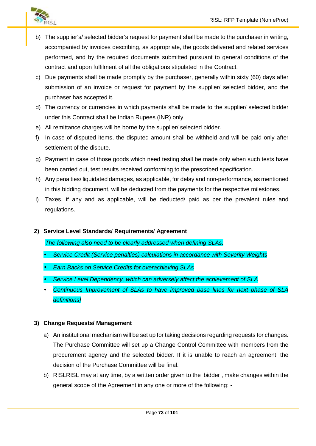

- b) The supplier's/ selected bidder's request for payment shall be made to the purchaser in writing, accompanied by invoices describing, as appropriate, the goods delivered and related services performed, and by the required documents submitted pursuant to general conditions of the contract and upon fulfilment of all the obligations stipulated in the Contract.
- c) Due payments shall be made promptly by the purchaser, generally within sixty (60) days after submission of an invoice or request for payment by the supplier/ selected bidder, and the purchaser has accepted it.
- d) The currency or currencies in which payments shall be made to the supplier/ selected bidder under this Contract shall be Indian Rupees (INR) only.
- e) All remittance charges will be borne by the supplier/ selected bidder.
- f) In case of disputed items, the disputed amount shall be withheld and will be paid only after settlement of the dispute.
- g) Payment in case of those goods which need testing shall be made only when such tests have been carried out, test results received conforming to the prescribed specification.
- h) Any penalties/ liquidated damages, as applicable, for delay and non-performance, as mentioned in this bidding document, will be deducted from the payments for the respective milestones.
- i) Taxes, if any and as applicable, will be deducted/ paid as per the prevalent rules and regulations.
- **2) Service Level Standards/ Requirements/ Agreement**

*The following also need to be clearly addressed when defining SLAs:*

- *Service Credit (Service penalties) calculations in accordance with Severity Weights*
- *Earn Backs on Service Credits for overachieving SLAs*
- *Service Level Dependency, which can adversely affect the achievement of SLA*
- *Continuous Improvement of SLAs to have improved base lines for next phase of SLA definitions]*

## **3) Change Requests/ Management**

- a) An institutional mechanism will be set up for taking decisions regarding requests for changes. The Purchase Committee will set up a Change Control Committee with members from the procurement agency and the selected bidder. If it is unable to reach an agreement, the decision of the Purchase Committee will be final.
- b) RISLRISL may at any time, by a written order given to the bidder , make changes within the general scope of the Agreement in any one or more of the following: -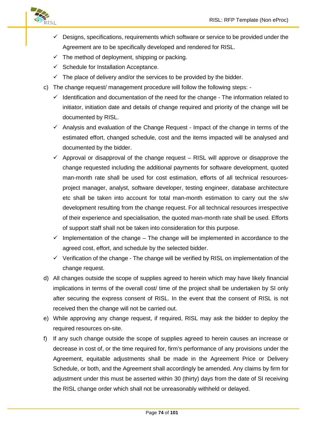

- $\checkmark$  Designs, specifications, requirements which software or service to be provided under the Agreement are to be specifically developed and rendered for RISL.
- $\checkmark$  The method of deployment, shipping or packing.
- $\checkmark$  Schedule for Installation Acceptance.
- $\checkmark$  The place of delivery and/or the services to be provided by the bidder.
- c) The change request/ management procedure will follow the following steps:
	- $\checkmark$  Identification and documentation of the need for the change The information related to initiator, initiation date and details of change required and priority of the change will be documented by RISL.
	- $\checkmark$  Analysis and evaluation of the Change Request Impact of the change in terms of the estimated effort, changed schedule, cost and the items impacted will be analysed and documented by the bidder.
	- Approval or disapproval of the change request RISL will approve or disapprove the change requested including the additional payments for software development, quoted man-month rate shall be used for cost estimation, efforts of all technical resources project manager, analyst, software developer, testing engineer, database architecture etc shall be taken into account for total man-month estimation to carry out the s/w development resulting from the change request. For all technical resources irrespective of their experience and specialisation, the quoted man-month rate shall be used. Efforts of support staff shall not be taken into consideration for this purpose.
	- $\checkmark$  Implementation of the change The change will be implemented in accordance to the agreed cost, effort, and schedule by the selected bidder.
	- $\checkmark$  Verification of the change The change will be verified by RISL on implementation of the change request.
- d) All changes outside the scope of supplies agreed to herein which may have likely financial implications in terms of the overall cost/ time of the project shall be undertaken by SI only after securing the express consent of RISL. In the event that the consent of RISL is not received then the change will not be carried out.
- e) While approving any change request, if required, RISL may ask the bidder to deploy the required resources on-site.
- f) If any such change outside the scope of supplies agreed to herein causes an increase or decrease in cost of, or the time required for, firm's performance of any provisions under the Agreement, equitable adjustments shall be made in the Agreement Price or Delivery Schedule, or both, and the Agreement shall accordingly be amended. Any claims by firm for adjustment under this must be asserted within 30 (thirty) days from the date of SI receiving the RISL change order which shall not be unreasonably withheld or delayed.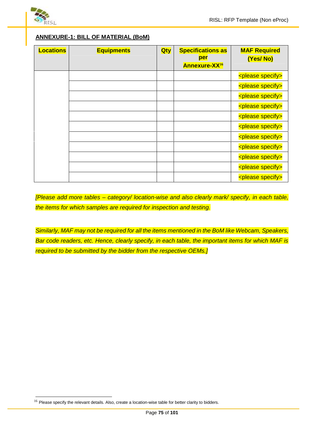

# **ANNEXURE-1: BILL OF MATERIAL (BoM)**

| <b>Locations</b> | <b>Equipments</b> | <b>Qty</b> | <b>Specifications as</b><br>per<br><b>Annexure-XX16</b> | <b>MAF Required</b><br>(Yes/No) |
|------------------|-------------------|------------|---------------------------------------------------------|---------------------------------|
|                  |                   |            |                                                         | <please specify=""></please>    |
|                  |                   |            |                                                         | <please specify=""></please>    |
|                  |                   |            |                                                         | <please specify=""></please>    |
|                  |                   |            |                                                         | <please specify=""></please>    |
|                  |                   |            |                                                         | <please specify=""></please>    |
|                  |                   |            |                                                         | <please specify=""></please>    |
|                  |                   |            |                                                         | <please specify=""></please>    |
|                  |                   |            |                                                         | <please specify=""></please>    |
|                  |                   |            |                                                         | <please specify=""></please>    |
|                  |                   |            |                                                         | <please specify=""></please>    |
|                  |                   |            |                                                         | <please specify=""></please>    |

*[Please add more tables – category/ location-wise and also clearly mark/ specify, in each table, the items for which samples are required for inspection and testing.*

*Similarly, MAF may not be required for all the items mentioned in the BoM like Webcam, Speakers, Bar code readers, etc. Hence, clearly specify, in each table, the important items for which MAF is required to be submitted by the bidder from the respective OEMs.]*

 $16$  Please specify the relevant details. Also, create a location-wise table for better clarity to bidders.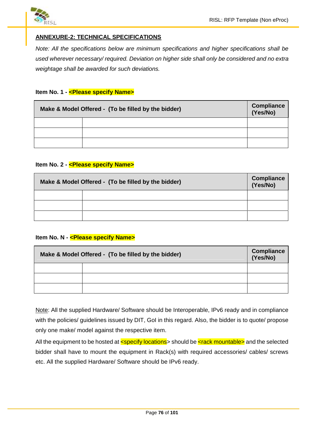

# **ANNEXURE-2: TECHNICAL SPECIFICATIONS**

*Note: All the specifications below are minimum specifications and higher specifications shall be used wherever necessary/ required. Deviation on higher side shall only be considered and no extra weightage shall be awarded for such deviations.*

### **Item No. 1 - <Please specify Name>**

| Make & Model Offered - (To be filled by the bidder) | Compliance<br>(Yes/No) |  |  |
|-----------------------------------------------------|------------------------|--|--|
|                                                     |                        |  |  |
|                                                     |                        |  |  |
|                                                     |                        |  |  |

### **Item No. 2 - <Please specify Name>**

| Make & Model Offered - (To be filled by the bidder) | Compliance<br>(Yes/No) |  |  |
|-----------------------------------------------------|------------------------|--|--|
|                                                     |                        |  |  |
|                                                     |                        |  |  |
|                                                     |                        |  |  |

### **Item No. N - < Please specify Name>**

| Make & Model Offered - (To be filled by the bidder) | <b>Compliance</b><br>(Yes/No) |  |  |
|-----------------------------------------------------|-------------------------------|--|--|
|                                                     |                               |  |  |
|                                                     |                               |  |  |
|                                                     |                               |  |  |

Note: All the supplied Hardware/ Software should be Interoperable, IPv6 ready and in compliance with the policies/ guidelines issued by DIT, GoI in this regard. Also, the bidder is to quote/ propose only one make/ model against the respective item.

All the equipment to be hosted at  $\leq$  specify locations > should be  $\leq$  rack mountable > and the selected bidder shall have to mount the equipment in Rack(s) with required accessories/ cables/ screws etc. All the supplied Hardware/ Software should be IPv6 ready.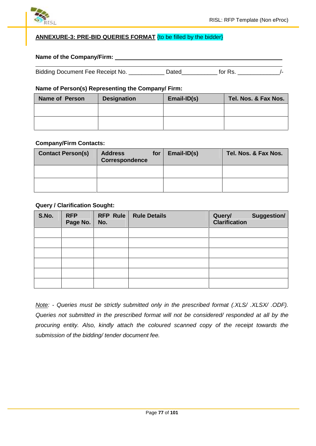

# **ANNEXURE-3: PRE-BID QUERIES FORMAT** {to be filled by the bidder}

### **Name of the Company/Firm:**

| Bidding Document Fee Receipt No. | Jated | tor Rs |  |
|----------------------------------|-------|--------|--|
|                                  |       |        |  |

### **Name of Person(s) Representing the Company/ Firm:**

| <b>Name of Person</b> | <b>Designation</b> | $Email-ID(s)$ | Tel. Nos. & Fax Nos. |
|-----------------------|--------------------|---------------|----------------------|
|                       |                    |               |                      |
|                       |                    |               |                      |
|                       |                    |               |                      |

### **Company/Firm Contacts:**

| <b>Contact Person(s)</b> | <b>Address</b><br>Correspondence | for | Email-ID(s) | Tel. Nos. & Fax Nos. |
|--------------------------|----------------------------------|-----|-------------|----------------------|
|                          |                                  |     |             |                      |
|                          |                                  |     |             |                      |

### **Query / Clarification Sought:**

| S.No. | <b>RFP</b><br>Page No. | <b>RFP Rule</b><br>No. | <b>Rule Details</b> | Query/<br><b>Clarification</b> | Suggestion/ |
|-------|------------------------|------------------------|---------------------|--------------------------------|-------------|
|       |                        |                        |                     |                                |             |
|       |                        |                        |                     |                                |             |
|       |                        |                        |                     |                                |             |
|       |                        |                        |                     |                                |             |
|       |                        |                        |                     |                                |             |
|       |                        |                        |                     |                                |             |

*Note: - Queries must be strictly submitted only in the prescribed format (.XLS/ .XLSX/ .ODF). Queries not submitted in the prescribed format will not be considered/ responded at all by the procuring entity. Also, kindly attach the coloured scanned copy of the receipt towards the submission of the bidding/ tender document fee.*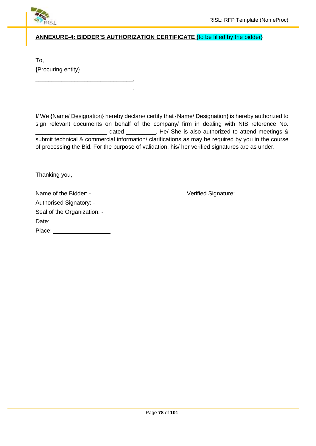

# **ANNEXURE-4: BIDDER'S AUTHORIZATION CERTIFICATE** {to be filled by the bidder}

To, {Procuring entity},

\_\_\_\_\_\_\_\_\_\_\_\_\_\_\_\_\_\_\_\_\_\_\_\_\_\_\_\_\_\_, \_\_\_\_\_\_\_\_\_\_\_\_\_\_\_\_\_\_\_\_\_\_\_\_\_\_\_\_\_\_,

I/ We {Name/ Designation} hereby declare/ certify that {Name/ Designation} is hereby authorized to sign relevant documents on behalf of the company/ firm in dealing with NIB reference No. dated The Ashe is also authorized to attend meetings & submit technical & commercial information/ clarifications as may be required by you in the course of processing the Bid. For the purpose of validation, his/ her verified signatures are as under.

Thanking you,

Name of the Bidder: - Verified Signature: Authorised Signatory: - Seal of the Organization: - Date: \_\_\_\_\_\_\_\_\_\_\_\_\_\_ Place: **Place: Place: Place: Place:**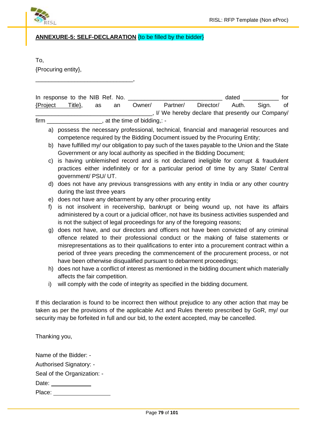

**ANNEXURE-5: SELF-DECLARATION** {to be filled by the bidder}

To,

{Procuring entity},

\_\_\_\_\_\_\_\_\_\_\_\_\_\_\_\_\_\_\_\_\_\_\_\_\_\_\_\_\_\_,

| In response to the NIB Ref. No. |          |    |    |                            |                                                    |           | dated |       | tor |
|---------------------------------|----------|----|----|----------------------------|----------------------------------------------------|-----------|-------|-------|-----|
| {Project                        | Title ?. | as | an | Owner/                     | Partner/                                           | Director/ | Auth. | Sian. | 0t  |
|                                 |          |    |    |                            | . I/ We hereby declare that presently our Company/ |           |       |       |     |
| firm                            |          |    |    | at the time of bidding,: - |                                                    |           |       |       |     |

- a) possess the necessary professional, technical, financial and managerial resources and competence required by the Bidding Document issued by the Procuring Entity;
- b) have fulfilled my/ our obligation to pay such of the taxes payable to the Union and the State Government or any local authority as specified in the Bidding Document;
- c) is having unblemished record and is not declared ineligible for corrupt & fraudulent practices either indefinitely or for a particular period of time by any State/ Central government/ PSU/ UT.
- d) does not have any previous transgressions with any entity in India or any other country during the last three years
- e) does not have any debarment by any other procuring entity
- f) is not insolvent in receivership, bankrupt or being wound up, not have its affairs administered by a court or a judicial officer, not have its business activities suspended and is not the subject of legal proceedings for any of the foregoing reasons;
- g) does not have, and our directors and officers not have been convicted of any criminal offence related to their professional conduct or the making of false statements or misrepresentations as to their qualifications to enter into a procurement contract within a period of three years preceding the commencement of the procurement process, or not have been otherwise disqualified pursuant to debarment proceedings;
- h) does not have a conflict of interest as mentioned in the bidding document which materially affects the fair competition.
- i) will comply with the code of integrity as specified in the bidding document.

If this declaration is found to be incorrect then without prejudice to any other action that may be taken as per the provisions of the applicable Act and Rules thereto prescribed by GoR, my/ our security may be forfeited in full and our bid, to the extent accepted, may be cancelled.

Thanking you,

| Name of the Bidder: -       |  |
|-----------------------------|--|
| Authorised Signatory: -     |  |
| Seal of the Organization: - |  |
| Date:                       |  |
| Place:                      |  |
|                             |  |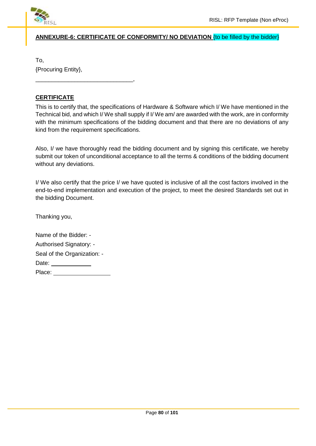

# **ANNEXURE-6: CERTIFICATE OF CONFORMITY/ NO DEVIATION** {to be filled by the bidder}

To, {Procuring Entity},

\_\_\_\_\_\_\_\_\_\_\_\_\_\_\_\_\_\_\_\_\_\_\_\_\_\_\_\_\_\_,

# **CERTIFICATE**

This is to certify that, the specifications of Hardware & Software which I/ We have mentioned in the Technical bid, and which I/ We shall supply if I/ We am/ are awarded with the work, are in conformity with the minimum specifications of the bidding document and that there are no deviations of any kind from the requirement specifications.

Also, I/ we have thoroughly read the bidding document and by signing this certificate, we hereby submit our token of unconditional acceptance to all the terms & conditions of the bidding document without any deviations.

I/ We also certify that the price I/ we have quoted is inclusive of all the cost factors involved in the end-to-end implementation and execution of the project, to meet the desired Standards set out in the bidding Document.

Thanking you,

| Name of the Bidder: -          |  |
|--------------------------------|--|
| <b>Authorised Signatory: -</b> |  |
| Seal of the Organization: -    |  |
| Date:                          |  |
| Place:                         |  |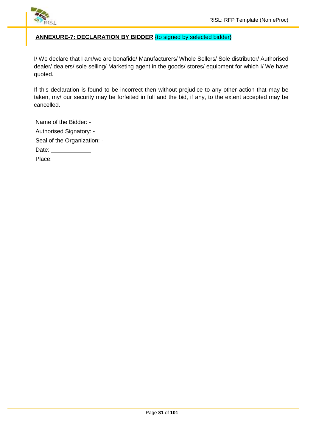

# **ANNEXURE-7: DECLARATION BY BIDDER** {to signed by selected bidder}

I/ We declare that I am/we are bonafide/ Manufacturers/ Whole Sellers/ Sole distributor/ Authorised dealer/ dealers/ sole selling/ Marketing agent in the goods/ stores/ equipment for which I/ We have quoted.

If this declaration is found to be incorrect then without prejudice to any other action that may be taken, my/ our security may be forfeited in full and the bid, if any, to the extent accepted may be cancelled.

| Name of the Bidder: -       |  |
|-----------------------------|--|
| Authorised Signatory: -     |  |
| Seal of the Organization: - |  |
| Date:                       |  |
| Place:                      |  |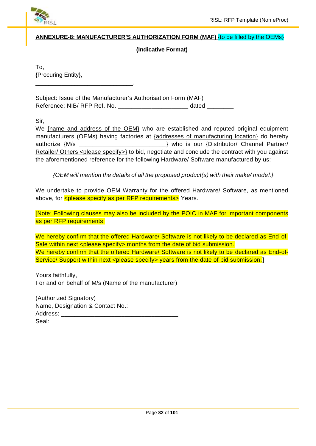

# **ANNEXURE-8: MANUFACTURER'S AUTHORIZATION FORM (MAF)** {to be filled by the OEMs}

# **(Indicative Format)**

To, {Procuring Entity}, \_\_\_\_\_\_\_\_\_\_\_\_\_\_\_\_\_\_\_\_\_\_\_\_\_\_\_\_\_\_,

Subject: Issue of the Manufacturer's Authorisation Form (MAF) Reference: NIB/ RFP Ref. No. \_\_\_\_\_\_\_\_\_\_\_\_\_\_\_\_\_\_\_\_\_\_\_\_\_\_ dated \_\_\_\_\_\_\_\_\_\_

Sir,

We {name and address of the OEM} who are established and reputed original equipment manufacturers (OEMs) having factories at {addresses of manufacturing location} do hereby authorize {M/s \_\_\_\_\_\_\_\_\_\_\_\_\_\_\_\_\_\_\_\_\_\_\_\_\_\_} who is our {Distributor/ Channel Partner/ Retailer/ Others <please specify>} to bid, negotiate and conclude the contract with you against the aforementioned reference for the following Hardware/ Software manufactured by us: -

*{OEM will mention the details of all the proposed product(s) with their make/ model.}*

We undertake to provide OEM Warranty for the offered Hardware/ Software, as mentioned above, for *<please specify as per RFP requirements>* Years.

[Note: Following clauses may also be included by the POIC in MAF for important components as per RFP requirements.

We hereby confirm that the offered Hardware/ Software is not likely to be declared as End-of-Sale within next <please specify> months from the date of bid submission. We hereby confirm that the offered Hardware/ Software is not likely to be declared as End-of-Service/ Support within next <please specify> years from the date of bid submission.]

Yours faithfully, For and on behalf of M/s (Name of the manufacturer)

(Authorized Signatory) Name, Designation & Contact No.: Address: Seal: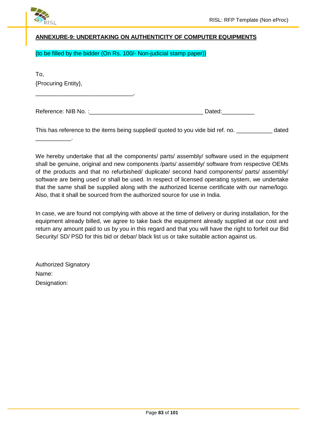

# **ANNEXURE-9: UNDERTAKING ON AUTHENTICITY OF COMPUTER EQUIPMENTS**

{to be filled by the bidder (On Rs. 100/- Non-judicial stamp paper)}

To, {Procuring Entity},

 $\overline{\phantom{a}}$  . The set of the set of the set of the set of the set of the set of the set of the set of the set of the set of the set of the set of the set of the set of the set of the set of the set of the set of the set o

\_\_\_\_\_\_\_\_\_\_\_\_\_\_\_\_\_\_\_\_\_\_\_\_\_\_\_\_\_\_,

| Reference: NIB No. | Jated |
|--------------------|-------|
|--------------------|-------|

This has reference to the items being supplied/ quoted to you vide bid ref. no. \_\_\_\_\_\_\_\_\_\_\_ dated

We hereby undertake that all the components/ parts/ assembly/ software used in the equipment shall be genuine, original and new components /parts/ assembly/ software from respective OEMs of the products and that no refurbished/ duplicate/ second hand components/ parts/ assembly/ software are being used or shall be used. In respect of licensed operating system, we undertake that the same shall be supplied along with the authorized license certificate with our name/logo. Also, that it shall be sourced from the authorized source for use in India.

In case, we are found not complying with above at the time of delivery or during installation, for the equipment already billed, we agree to take back the equipment already supplied at our cost and return any amount paid to us by you in this regard and that you will have the right to forfeit our Bid Security/ SD/ PSD for this bid or debar/ black list us or take suitable action against us.

Authorized Signatory Name: Designation: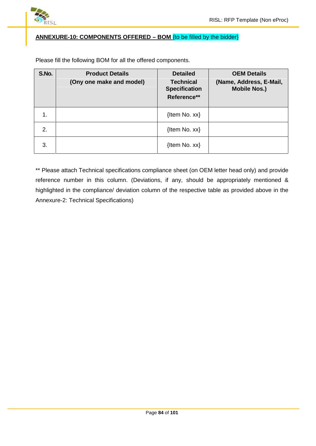

# **ANNEXURE-10: COMPONENTS OFFERED – BOM** {to be filled by the bidder}

Please fill the following BOM for all the offered components.

| S.No. | <b>Product Details</b><br>(Ony one make and model) | <b>Detailed</b><br><b>Technical</b><br><b>Specification</b><br>Reference** | <b>OEM Details</b><br>(Name, Address, E-Mail,<br><b>Mobile Nos.)</b> |
|-------|----------------------------------------------------|----------------------------------------------------------------------------|----------------------------------------------------------------------|
| 1.    |                                                    | $\{$ ltem No. xx $\}$                                                      |                                                                      |
| 2.    |                                                    | {Item No. xx}                                                              |                                                                      |
| 3.    |                                                    | $\{$ ltem No. xx $\}$                                                      |                                                                      |

\*\* Please attach Technical specifications compliance sheet (on OEM letter head only) and provide reference number in this column. (Deviations, if any, should be appropriately mentioned & highlighted in the compliance/ deviation column of the respective table as provided above in the Annexure-2: Technical Specifications)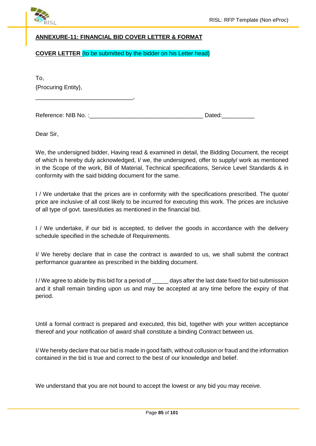

# **ANNEXURE-11: FINANCIAL BID COVER LETTER & FORMAT**

### **COVER LETTER** {to be submitted by the bidder on his Letter head}

To, {Procuring Entity},

\_\_\_\_\_\_\_\_\_\_\_\_\_\_\_\_\_\_\_\_\_\_\_\_\_\_\_\_\_\_,

Reference: NIB No. :\_\_\_\_\_\_\_\_\_\_\_\_\_\_\_\_\_\_\_\_\_\_\_\_\_\_\_\_\_\_\_\_\_\_\_ Dated:\_\_\_\_\_\_\_\_\_\_

Dear Sir,

We, the undersigned bidder, Having read & examined in detail, the Bidding Document, the receipt of which is hereby duly acknowledged, I/ we, the undersigned, offer to supply/ work as mentioned in the Scope of the work, Bill of Material, Technical specifications, Service Level Standards & in conformity with the said bidding document for the same.

I / We undertake that the prices are in conformity with the specifications prescribed. The quote/ price are inclusive of all cost likely to be incurred for executing this work. The prices are inclusive of all type of govt. taxes/duties as mentioned in the financial bid.

I / We undertake, if our bid is accepted, to deliver the goods in accordance with the delivery schedule specified in the schedule of Requirements.

I/ We hereby declare that in case the contract is awarded to us, we shall submit the contract performance guarantee as prescribed in the bidding document.

I/We agree to abide by this bid for a period of \_\_\_\_\_ days after the last date fixed for bid submission and it shall remain binding upon us and may be accepted at any time before the expiry of that period.

Until a formal contract is prepared and executed, this bid, together with your written acceptance thereof and your notification of award shall constitute a binding Contract between us.

I/ We hereby declare that our bid is made in good faith, without collusion or fraud and the information contained in the bid is true and correct to the best of our knowledge and belief.

We understand that you are not bound to accept the lowest or any bid you may receive.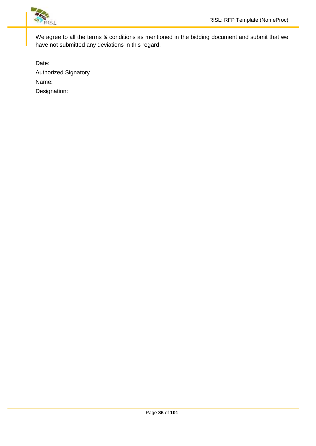

We agree to all the terms & conditions as mentioned in the bidding document and submit that we have not submitted any deviations in this regard.

Date: Authorized Signatory Name: Designation: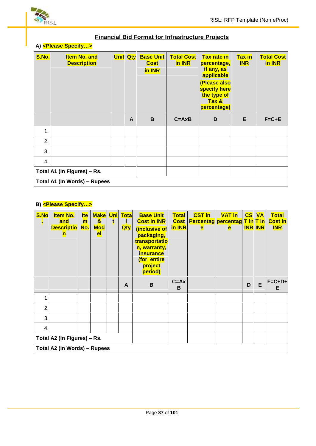

# **A) <Please Specify…>**

| S.No.                               | <b>Item No. and</b><br><b>Description</b> | <b>Unit Qty</b> |   | <b>Base Unit</b><br><b>Cost</b><br>in INR | <b>Total Cost</b><br>in INR | <b>Tax rate in</b><br>percentage,<br>if any, as<br>applicable<br>(Please also<br>specify here<br>the type of<br>Tax &<br>percentage) | <b>Tax in</b><br><b>INR</b> | <b>Total Cost</b><br>in INR |  |  |
|-------------------------------------|-------------------------------------------|-----------------|---|-------------------------------------------|-----------------------------|--------------------------------------------------------------------------------------------------------------------------------------|-----------------------------|-----------------------------|--|--|
|                                     |                                           |                 | A | B                                         | $C = A \times B$            | D                                                                                                                                    | E                           | $F = C + E$                 |  |  |
| 1.                                  |                                           |                 |   |                                           |                             |                                                                                                                                      |                             |                             |  |  |
| 2.                                  |                                           |                 |   |                                           |                             |                                                                                                                                      |                             |                             |  |  |
| 3.                                  |                                           |                 |   |                                           |                             |                                                                                                                                      |                             |                             |  |  |
| 4.                                  |                                           |                 |   |                                           |                             |                                                                                                                                      |                             |                             |  |  |
| Total A1 (In Figures) - Rs.         |                                           |                 |   |                                           |                             |                                                                                                                                      |                             |                             |  |  |
| <b>Total A1 (In Words) - Rupees</b> |                                           |                 |   |                                           |                             |                                                                                                                                      |                             |                             |  |  |

**Financial Bid Format for Infrastructure Projects**

# **B) <Please Specify…>**

| S.No<br>×                    | <b>Item No.</b><br>and<br><b>Descriptio</b><br>n | <b>Ite</b><br>m<br>No. | <b>Make</b><br>$\mathbf{a}$<br><b>Mod</b><br><b>el</b> | t | <b>Uni</b> Tota<br><b>Qty</b> | <b>Base Unit</b><br><b>Cost in INR</b><br>(inclusive of<br>packaging,<br>transportatio<br>n, warranty,<br><b>insurance</b><br>(for entire<br>project<br>period) | <b>Total</b><br><b>Cost</b><br>in INR | <b>CST in</b><br><b>Percentag percentag T in T in</b><br>e | <b>VAT in</b><br>e | CS | <b>VA</b><br><b>INR INR</b> | <b>Total</b><br><b>Cost in</b><br><b>INR</b> |
|------------------------------|--------------------------------------------------|------------------------|--------------------------------------------------------|---|-------------------------------|-----------------------------------------------------------------------------------------------------------------------------------------------------------------|---------------------------------------|------------------------------------------------------------|--------------------|----|-----------------------------|----------------------------------------------|
|                              |                                                  |                        |                                                        |   | A                             | $\mathbf B$                                                                                                                                                     | $C = Ax$<br>B                         |                                                            |                    | D  | E                           | $F = C + D +$<br>E                           |
| $\mathbf 1$                  |                                                  |                        |                                                        |   |                               |                                                                                                                                                                 |                                       |                                                            |                    |    |                             |                                              |
| 2.                           |                                                  |                        |                                                        |   |                               |                                                                                                                                                                 |                                       |                                                            |                    |    |                             |                                              |
| 3.                           |                                                  |                        |                                                        |   |                               |                                                                                                                                                                 |                                       |                                                            |                    |    |                             |                                              |
| 4.                           |                                                  |                        |                                                        |   |                               |                                                                                                                                                                 |                                       |                                                            |                    |    |                             |                                              |
| Total A2 (In Figures) - Rs.  |                                                  |                        |                                                        |   |                               |                                                                                                                                                                 |                                       |                                                            |                    |    |                             |                                              |
| Total A2 (In Words) - Rupees |                                                  |                        |                                                        |   |                               |                                                                                                                                                                 |                                       |                                                            |                    |    |                             |                                              |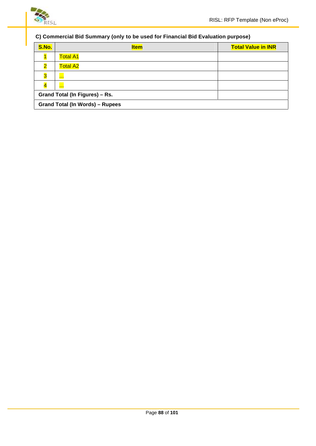

# **C) Commercial Bid Summary (only to be used for Financial Bid Evaluation purpose)**

| S.No.                                  | <b>Item</b>     | <b>Total Value in INR</b> |  |  |  |  |  |  |
|----------------------------------------|-----------------|---------------------------|--|--|--|--|--|--|
|                                        | <b>Total A1</b> |                           |  |  |  |  |  |  |
| $\overline{\mathbf{2}}$                | <b>Total A2</b> |                           |  |  |  |  |  |  |
| $\overline{\mathbf{3}}$                | $\blacksquare$  |                           |  |  |  |  |  |  |
|                                        | <b>COLOR</b>    |                           |  |  |  |  |  |  |
| Grand Total (In Figures) - Rs.         |                 |                           |  |  |  |  |  |  |
| <b>Grand Total (In Words) - Rupees</b> |                 |                           |  |  |  |  |  |  |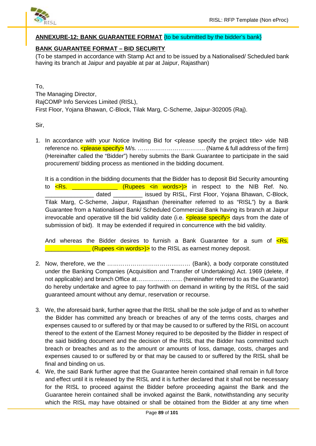

### **ANNEXURE-12: BANK GUARANTEE FORMAT** {to be submitted by the bidder's bank}

# **BANK GUARANTEE FORMAT – BID SECURITY**

(To be stamped in accordance with Stamp Act and to be issued by a Nationalised/ Scheduled bank having its branch at Jaipur and payable at par at Jaipur, Rajasthan)

To, The Managing Director, RajCOMP Info Services Limited (RISL), First Floor, Yojana Bhawan, C-Block, Tilak Marg, C-Scheme, Jaipur-302005 (Raj).

Sir,

1. In accordance with your Notice Inviting Bid for <please specify the project title> vide NIB reference no.  $\leq$  please specify> M/s.  $\ldots$   $\ldots$   $\ldots$   $\ldots$   $\ldots$   $\ldots$   $\ldots$   $\ldots$  (Name & full address of the firm) (Hereinafter called the "Bidder") hereby submits the Bank Guarantee to participate in the said procurement/ bidding process as mentioned in the bidding document.

It is a condition in the bidding documents that the Bidder has to deposit Bid Security amounting to  $\overline{\text{R}}$ . \_\_\_\_\_\_\_\_\_\_\_\_\_\_\_\_\_\_\_(Rupees  $\text{C}$  /n words>)> in respect to the NIB Ref. No. dated **Example 2** issued by RISL, First Floor, Yojana Bhawan, C-Block, Tilak Marg, C-Scheme, Jaipur, Rajasthan (hereinafter referred to as "RISL") by a Bank Guarantee from a Nationalised Bank/ Scheduled Commercial Bank having its branch at Jaipur irrevocable and operative till the bid validity date (i.e.  $\leq$ please specify> days from the date of submission of bid). It may be extended if required in concurrence with the bid validity.

And whereas the Bidder desires to furnish a Bank Guarantee for a sum of  $\leq$ Rs.  $\blacksquare$  (Rupees  $\ltimes$ in words>)> to the RISL as earnest money deposit.

- 2. Now, therefore, we the ……………………………….…… (Bank), a body corporate constituted under the Banking Companies (Acquisition and Transfer of Undertaking) Act. 1969 (delete, if not applicable) and branch Office at…………………... (hereinafter referred to as the Guarantor) do hereby undertake and agree to pay forthwith on demand in writing by the RISL of the said guaranteed amount without any demur, reservation or recourse.
- 3. We, the aforesaid bank, further agree that the RISL shall be the sole judge of and as to whether the Bidder has committed any breach or breaches of any of the terms costs, charges and expenses caused to or suffered by or that may be caused to or suffered by the RISL on account thereof to the extent of the Earnest Money required to be deposited by the Bidder in respect of the said bidding document and the decision of the RISL that the Bidder has committed such breach or breaches and as to the amount or amounts of loss, damage, costs, charges and expenses caused to or suffered by or that may be caused to or suffered by the RISL shall be final and binding on us.
- 4. We, the said Bank further agree that the Guarantee herein contained shall remain in full force and effect until it is released by the RISL and it is further declared that it shall not be necessary for the RISL to proceed against the Bidder before proceeding against the Bank and the Guarantee herein contained shall be invoked against the Bank, notwithstanding any security which the RISL may have obtained or shall be obtained from the Bidder at any time when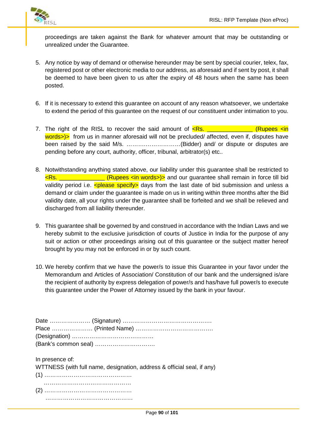

proceedings are taken against the Bank for whatever amount that may be outstanding or unrealized under the Guarantee.

- 5. Any notice by way of demand or otherwise hereunder may be sent by special courier, telex, fax, registered post or other electronic media to our address, as aforesaid and if sent by post, it shall be deemed to have been given to us after the expiry of 48 hours when the same has been posted.
- 6. If it is necessary to extend this guarantee on account of any reason whatsoever, we undertake to extend the period of this guarantee on the request of our constituent under intimation to you.
- 7. The right of the RISL to recover the said amount of  $\leq$ Rs.  $\leq$  (Rupees  $\leq$ in words>)> from us in manner aforesaid will not be precluded/ affected, even if, disputes have been raised by the said M/s. ……….………………(Bidder) and/ or dispute or disputes are pending before any court, authority, officer, tribunal, arbitrator(s) etc..
- 8. Notwithstanding anything stated above, our liability under this guarantee shall be restricted to <Rs. \_\_\_\_\_\_\_\_\_\_\_\_\_\_ (Rupees <in words>)> and our guarantee shall remain in force till bid validity period i.e.  $\leq$  please specify> days from the last date of bid submission and unless a demand or claim under the guarantee is made on us in writing within three months after the Bid validity date, all your rights under the guarantee shall be forfeited and we shall be relieved and discharged from all liability thereunder.
- 9. This guarantee shall be governed by and construed in accordance with the Indian Laws and we hereby submit to the exclusive jurisdiction of courts of Justice in India for the purpose of any suit or action or other proceedings arising out of this guarantee or the subject matter hereof brought by you may not be enforced in or by such count.
- 10. We hereby confirm that we have the power/s to issue this Guarantee in your favor under the Memorandum and Articles of Association/ Constitution of our bank and the undersigned is/are the recipient of authority by express delegation of power/s and has/have full power/s to execute this guarantee under the Power of Attorney issued by the bank in your favour.

| In presence of:<br>WTTNESS (with full name, designation, address & official seal, if any) |
|-------------------------------------------------------------------------------------------|
|                                                                                           |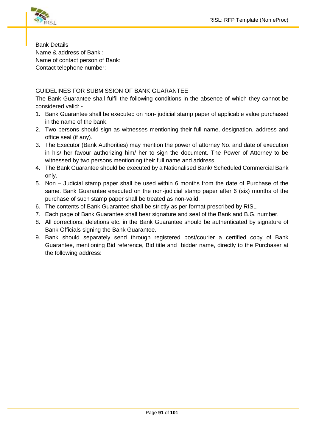

Bank Details Name & address of Bank : Name of contact person of Bank: Contact telephone number:

# GUIDELINES FOR SUBMISSION OF BANK GUARANTEE

The Bank Guarantee shall fulfil the following conditions in the absence of which they cannot be considered valid: -

- 1. Bank Guarantee shall be executed on non- judicial stamp paper of applicable value purchased in the name of the bank.
- 2. Two persons should sign as witnesses mentioning their full name, designation, address and office seal (if any).
- 3. The Executor (Bank Authorities) may mention the power of attorney No. and date of execution in his/ her favour authorizing him/ her to sign the document. The Power of Attorney to be witnessed by two persons mentioning their full name and address.
- 4. The Bank Guarantee should be executed by a Nationalised Bank/ Scheduled Commercial Bank only.
- 5. Non Judicial stamp paper shall be used within 6 months from the date of Purchase of the same. Bank Guarantee executed on the non-judicial stamp paper after 6 (six) months of the purchase of such stamp paper shall be treated as non-valid.
- 6. The contents of Bank Guarantee shall be strictly as per format prescribed by RISL
- 7. Each page of Bank Guarantee shall bear signature and seal of the Bank and B.G. number.
- 8. All corrections, deletions etc. in the Bank Guarantee should be authenticated by signature of Bank Officials signing the Bank Guarantee.
- 9. Bank should separately send through registered post/courier a certified copy of Bank Guarantee, mentioning Bid reference, Bid title and bidder name, directly to the Purchaser at the following address: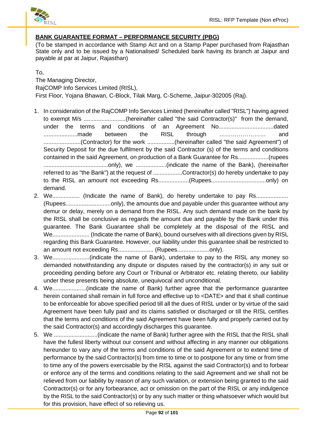

# **BANK GUARANTEE FORMAT – PERFORMANCE SECURITY (PBG)**

(To be stamped in accordance with Stamp Act and on a Stamp Paper purchased from Rajasthan State only and to be issued by a Nationalised/ Scheduled bank having its branch at Jaipur and payable at par at Jaipur, Rajasthan)

## To,

The Managing Director, RajCOMP Info Services Limited (RISL), First Floor, Yojana Bhawan, C-Block, Tilak Marg, C-Scheme, Jaipur-302005 (Raj).

- 1. In consideration of the RajCOMP Info Services Limited (hereinafter called "RISL") having agreed to exempt M/s ..........................(hereinafter called "the said Contractor(s)" from the demand, under the terms and conditions of an Agreement No..................................dated .....................made between the RISL through …………………… and .......................(Contractor) for the work .................(hereinafter called "the said Agreement") of Security Deposit for the due fulfilment by the said Contractor (s) of the terms and conditions contained in the said Agreement, on production of a Bank Guarantee for Rs...................(rupees ........................................only), we ...................(indicate the name of the Bank), (hereinafter referred to as "the Bank") at the request of ..................Contractor(s) do hereby undertake to pay to the RISL an amount not exceeding Rs...................(Rupees..................................only) on demand.
- 2. We................... (Indicate the name of Bank), do hereby undertake to pay Rs.......................... (Rupees............................only), the amounts due and payable under this guarantee without any demur or delay, merely on a demand from the RISL. Any such demand made on the bank by the RISL shall be conclusive as regards the amount due and payable by the Bank under this guarantee. The Bank Guarantee shall be completely at the disposal of the RISL and We....................... (Indicate the name of Bank), bound ourselves with all directions given by RISL regarding this Bank Guarantee. However, our liability under this guarantee shall be restricted to an amount not exceeding Rs...................... (Rupees....................only).
- 3. We.......................(indicate the name of Bank), undertake to pay to the RISL any money so demanded notwithstanding any dispute or disputes raised by the contractor(s) in any suit or proceeding pending before any Court or Tribunal or Arbitrator etc. relating thereto, our liability under these presents being absolute, unequivocal and unconditional.
- 4. We.....................(indicate the name of Bank) further agree that the performance guarantee herein contained shall remain in full force and effective up to <DATE> and that it shall continue to be enforceable for above specified period till all the dues of RISL under or by virtue of the said Agreement have been fully paid and its claims satisfied or discharged or till the RISL certifies that the terms and conditions of the said Agreement have been fully and properly carried out by the said Contractor(s) and accordingly discharges this guarantee.
- 5. We ...........................(indicate the name of Bank) further agree with the RISL that the RISL shall have the fullest liberty without our consent and without affecting in any manner our obligations hereunder to vary any of the terms and conditions of the said Agreement or to extend time of performance by the said Contractor(s) from time to time or to postpone for any time or from time to time any of the powers exercisable by the RISL against the said Contractor(s) and to forbear or enforce any of the terms and conditions relating to the said Agreement and we shall not be relieved from our liability by reason of any such variation, or extension being granted to the said Contractor(s) or for any forbearance, act or omission on the part of the RISL or any indulgence by the RISL to the said Contractor(s) or by any such matter or thing whatsoever which would but for this provision, have effect of so relieving us.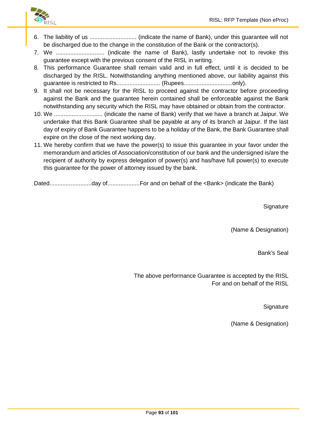

- 6. The liability of us ............................. (indicate the name of Bank), under this guarantee will not be discharged due to the change in the constitution of the Bank or the contractor(s).
- 7. We .............................. (indicate the name of Bank), lastly undertake not to revoke this guarantee except with the previous consent of the RISL in writing.
- 8. This performance Guarantee shall remain valid and in full effect, until it is decided to be discharged by the RISL. Notwithstanding anything mentioned above, our liability against this guarantee is restricted to Rs........................... (Rupees..............................only).
- 9. It shall not be necessary for the RISL to proceed against the contractor before proceeding against the Bank and the guarantee herein contained shall be enforceable against the Bank notwithstanding any security which the RISL may have obtained or obtain from the contractor.
- 10. We .............................. (indicate the name of Bank) verify that we have a branch at Jaipur. We undertake that this Bank Guarantee shall be payable at any of its branch at Jaipur. If the last day of expiry of Bank Guarantee happens to be a holiday of the Bank, the Bank Guarantee shall expire on the close of the next working day.
- 11. We hereby confirm that we have the power(s) to issue this guarantee in your favor under the memorandum and articles of Association/constitution of our bank and the undersigned is/are the recipient of authority by express delegation of power(s) and has/have full power(s) to execute this guarantee for the power of attorney issued by the bank.

Dated..........................day of....................For and on behalf of the <Bank> (indicate the Bank)

**Signature** 

(Name & Designation)

Bank's Seal

The above performance Guarantee is accepted by the RISL For and on behalf of the RISL

**Signature** 

(Name & Designation)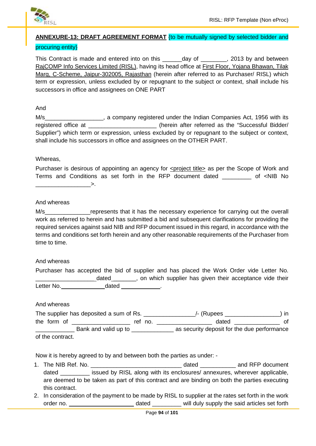

## **ANNEXURE-13: DRAFT AGREEMENT FORMAT** {to be mutually signed by selected bidder and

### procuring entity}

This Contract is made and entered into on this \_\_\_\_\_\_day of \_\_\_\_\_\_\_, 2013 by and between RajCOMP Info Services Limited (RISL), having its head office at First Floor, Yojana Bhawan, Tilak Marg, C-Scheme, Jaipur-302005, Rajasthan (herein after referred to as Purchaser/ RISL) which term or expression, unless excluded by or repugnant to the subject or context, shall include his successors in office and assignees on ONE PART

### And

M/s\_\_\_\_\_\_\_\_\_\_\_\_\_\_\_\_\_\_\_\_, a company registered under the Indian Companies Act, 1956 with its registered office at  $\qquad \qquad$  (herein after referred as the "Successful Bidder/ Supplier") which term or expression, unless excluded by or repugnant to the subject or context, shall include his successors in office and assignees on the OTHER PART.

### Whereas,

Purchaser is desirous of appointing an agency for <project title> as per the Scope of Work and Terms and Conditions as set forth in the RFP document dated \_\_\_\_\_\_\_\_\_ of <NIB No  $\longrightarrow$ 

### And whereas

M/s Tepresents that it has the necessary experience for carrying out the overall work as referred to herein and has submitted a bid and subsequent clarifications for providing the required services against said NIB and RFP document issued in this regard, in accordance with the terms and conditions set forth herein and any other reasonable requirements of the Purchaser from time to time.

#### And whereas

| Purchaser has accepted the bid of supplier and has placed the Work Order vide Letter No. |  |       |  |  |                                                           |  |  |  |
|------------------------------------------------------------------------------------------|--|-------|--|--|-----------------------------------------------------------|--|--|--|
|                                                                                          |  | dated |  |  | , on which supplier has given their acceptance vide their |  |  |  |
| Letter No.                                                                               |  | dated |  |  |                                                           |  |  |  |

### And whereas

|                  | The supplier has deposited a sum of Rs. |         | /- (Rupees                                  | ın |
|------------------|-----------------------------------------|---------|---------------------------------------------|----|
| the form of      |                                         | ref no. | dated                                       | 0t |
|                  | Bank and valid up to                    |         | as security deposit for the due performance |    |
| of the contract. |                                         |         |                                             |    |

Now it is hereby agreed to by and between both the parties as under: -

- 1. The NIB Ref. No. \_\_\_\_\_\_\_\_\_\_\_\_\_\_\_\_\_\_\_\_\_\_\_\_\_\_\_\_ dated \_\_\_\_\_\_\_\_\_\_\_ and RFP document dated \_\_\_\_\_\_\_\_\_ issued by RISL along with its enclosures/ annexures, wherever applicable, are deemed to be taken as part of this contract and are binding on both the parties executing this contract.
- 2. In consideration of the payment to be made by RISL to supplier at the rates set forth in the work order no. \_\_\_\_\_\_\_\_\_\_\_\_\_\_\_\_\_\_\_\_\_\_\_\_\_\_\_\_\_\_\_\_ dated \_\_\_\_\_\_\_\_\_\_\_\_\_ will duly supply the said articles set forth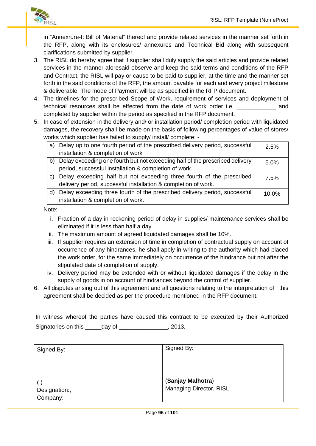

in "Annexrure-I: Bill of Material" thereof and provide related services in the manner set forth in the RFP, along with its enclosures/ annexures and Technical Bid along with subsequent clarifications submitted by supplier.

- 3. The RISL do hereby agree that if supplier shall duly supply the said articles and provide related services in the manner aforesaid observe and keep the said terms and conditions of the RFP and Contract, the RISL will pay or cause to be paid to supplier, at the time and the manner set forth in the said conditions of the RFP, the amount payable for each and every project milestone & deliverable. The mode of Payment will be as specified in the RFP document.
- 4. The timelines for the prescribed Scope of Work, requirement of services and deployment of technical resources shall be effected from the date of work order i.e. \_\_\_\_\_\_\_\_\_\_\_\_ and completed by supplier within the period as specified in the RFP document.
- 5. In case of extension in the delivery and/ or installation period/ completion period with liquidated damages, the recovery shall be made on the basis of following percentages of value of stores/ works which supplier has failed to supply/ install/ complete: -

| a) | Delay up to one fourth period of the prescribed delivery period, successful  | 2.5%  |
|----|------------------------------------------------------------------------------|-------|
|    | installation & completion of work                                            |       |
| b) | Delay exceeding one fourth but not exceeding half of the prescribed delivery | 5.0%  |
|    | period, successful installation & completion of work.                        |       |
|    | c) Delay exceeding half but not exceeding three fourth of the prescribed     | 7.5%  |
|    | delivery period, successful installation & completion of work.               |       |
| d) | Delay exceeding three fourth of the prescribed delivery period, successful   | 10.0% |
|    | installation & completion of work.                                           |       |

Note:

- i. Fraction of a day in reckoning period of delay in supplies/ maintenance services shall be eliminated if it is less than half a day.
- ii. The maximum amount of agreed liquidated damages shall be 10%.
- iii. If supplier requires an extension of time in completion of contractual supply on account of occurrence of any hindrances, he shall apply in writing to the authority which had placed the work order, for the same immediately on occurrence of the hindrance but not after the stipulated date of completion of supply.
- iv. Delivery period may be extended with or without liquidated damages if the delay in the supply of goods in on account of hindrances beyond the control of supplier.
- 6. All disputes arising out of this agreement and all questions relating to the interpretation of this agreement shall be decided as per the procedure mentioned in the RFP document.

|                     |        | In witness whereof the parties have caused this contract to be executed by their Authorized |       |  |  |  |
|---------------------|--------|---------------------------------------------------------------------------------------------|-------|--|--|--|
| Signatories on this | dav of |                                                                                             | 2013. |  |  |  |

| Signed By:    | Signed By:              |
|---------------|-------------------------|
| Designation:, | (Sanjay Malhotra)       |
| Company:      | Managing Director, RISL |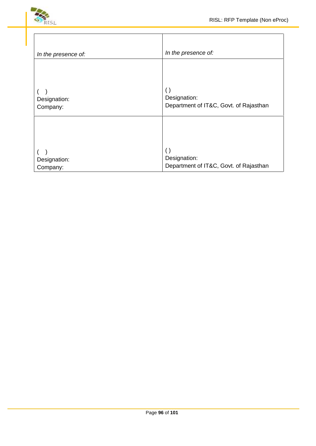



| In the presence of:      | In the presence of:                                                          |
|--------------------------|------------------------------------------------------------------------------|
|                          |                                                                              |
| Designation:<br>Company: | $\left( \right)$<br>Designation:<br>Department of IT&C, Govt. of Rajasthan   |
|                          |                                                                              |
| Designation:<br>Company: | $\left( \ \right)$<br>Designation:<br>Department of IT&C, Govt. of Rajasthan |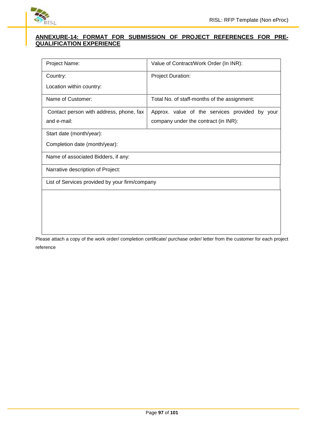

### **ANNEXURE-14: FORMAT FOR SUBMISSION OF PROJECT REFERENCES FOR PRE- QUALIFICATION EXPERIENCE**

| Project Name:                                  | Value of Contract/Work Order (In INR):         |  |
|------------------------------------------------|------------------------------------------------|--|
| Country:                                       | <b>Project Duration:</b>                       |  |
| Location within country:                       |                                                |  |
| Name of Customer:                              | Total No. of staff-months of the assignment:   |  |
| Contact person with address, phone, fax        | Approx. value of the services provided by your |  |
| and e-mail:                                    | company under the contract (in INR):           |  |
| Start date (month/year):                       |                                                |  |
| Completion date (month/year):                  |                                                |  |
| Name of associated Bidders, if any:            |                                                |  |
| Narrative description of Project:              |                                                |  |
| List of Services provided by your firm/company |                                                |  |
|                                                |                                                |  |
|                                                |                                                |  |
|                                                |                                                |  |
|                                                |                                                |  |

Please attach a copy of the work order/ completion certificate/ purchase order/ letter from the customer for each project reference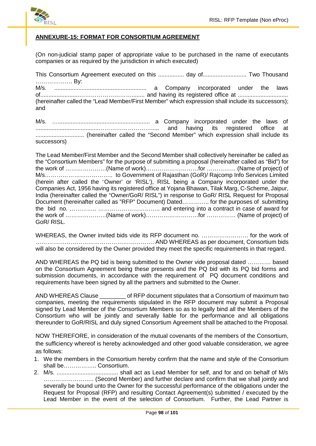

### **ANNEXURE-15: FORMAT FOR CONSORTIUM AGREEMENT**

(On non-judicial stamp paper of appropriate value to be purchased in the name of executants companies or as required by the jurisdiction in which executed)

This Consortium Agreement executed on this ................ day of........................... Two Thousand ………………. By: M/s. ......................................................... a Company incorporated under the laws of........................………………………........ and having its registered office at ............................... (hereinafter called the "Lead Member/First Member" which expression shall include its successors); and

M/s. …......................................................... a Company incorporated under the laws of .......................................………………………..... and having its registered office at .............................. (hereinafter called the "Second Member" which expression shall include its successors)

The Lead Member/First Member and the Second Member shall collectively hereinafter be called as the "Consortium Members" for the purpose of submitting a proposal (hereinafter called as "Bid") for the work of …………………(Name of work)………………………for …………… (Name of project) of M/s…………………………….. to Government of Rajasthan (GoR)/ Rajcomp Info Services Limited (herein after called the `Owner' or 'RISL'), RISL being a Company incorporated under the Companies Act, 1956 having its registered office at Yojana Bhawan, Tilak Marg, C-Scheme, Jaipur, India (hereinafter called the "Owner/GoR/ RISL") in response to GoR/ RISL Request for Proposal Document (hereinafter called as "RFP" Document) Dated………….. for the purposes of submitting the bid no. ………….. ………………………….. and entering into a contract in case of award for the work of …………………(Name of work)………………………for …………… (Name of project) of GoR/ RISL.

WHEREAS, the Owner invited bids vide its RFP document no. …………………… for the work of ……………………………………………………. AND WHEREAS as per document, Consortium bids will also be considered by the Owner provided they meet the specific requirements in that regard.

AND WHEREAS the PQ bid is being submitted to the Owner vide proposal dated ………… based on the Consortium Agreement being these presents and the PQ bid with its PQ bid forms and submission documents, in accordance with the requirement of PQ document conditions and requirements have been signed by all the partners and submitted to the Owner.

AND WHEREAS Clause \_\_\_\_\_\_\_\_ of RFP document stipulates that a Consortium of maximum two companies, meeting the requirements stipulated in the RFP document may submit a Proposal signed by Lead Member of the Consortium Members so as to legally bind all the Members of the Consortium who will be jointly and severally liable for the performance and all obligations thereunder to GoR/RISL and duly signed Consortium Agreement shall be attached to the Proposal.

NOW THEREFORE, in consideration of the mutual covenants of the members of the Consortium, the sufficiency whereof is hereby acknowledged and other good valuable consideration, we agree as follows:

- 1. We the members in the Consortium hereby confirm that the name and style of the Consortium shall be…………….. Consortium.
- 2. M/s. ...................................... shall act as Lead Member for self, and for and on behalf of M/s …………………….. (Second Member) and further declare and confirm that we shall jointly and severally be bound unto the Owner for the successful performance of the obligations under the Request for Proposal (RFP) and resulting Contact Agreement(s) submitted / executed by the Lead Member in the event of the selection of Consortium. Further, the Lead Partner is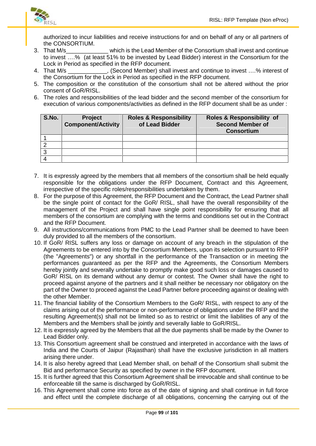

authorized to incur liabilities and receive instructions for and on behalf of any or all partners of the CONSORTIUM.

- 3. That M/s That M/s which is the Lead Member of the Consortium shall invest and continue to invest ….% (at least 51% to be invested by Lead Bidder) interest in the Consortium for the Lock in Period as specified in the RFP document.
- 4. That M/s **Example 2. Second Member) shall invest and continue to invest …. % interest of** the Consortium for the Lock in Period as specified in the RFP document.
- 5. The composition or the constitution of the consortium shall not be altered without the prior consent of GoR/RISL.
- 6. The roles and responsibilities of the lead bidder and the second member of the consortium for execution of various components/activities as defined in the RFP document shall be as under :

| S.No. | <b>Project</b><br><b>Component/Activity</b> | <b>Roles &amp; Responsibility</b><br>of Lead Bidder | <b>Roles &amp; Responsibility of</b><br><b>Second Member of</b><br><b>Consortium</b> |
|-------|---------------------------------------------|-----------------------------------------------------|--------------------------------------------------------------------------------------|
|       |                                             |                                                     |                                                                                      |
|       |                                             |                                                     |                                                                                      |
|       |                                             |                                                     |                                                                                      |
|       |                                             |                                                     |                                                                                      |

- 7. It is expressly agreed by the members that all members of the consortium shall be held equally responsible for the obligations under the RFP Document, Contract and this Agreement, irrespective of the specific roles/responsibilities undertaken by them.
- 8. For the purpose of this Agreement, the RFP Document and the Contract, the Lead Partner shall be the single point of contact for the GoR/ RISL, shall have the overall responsibility of the management of the Project and shall have single point responsibility for ensuring that all members of the consortium are complying with the terms and conditions set out in the Contract and the RFP Document.
- 9. All instructions/communications from PMC to the Lead Partner shall be deemed to have been duly provided to all the members of the consortium.
- 10. If GoR/ RISL suffers any loss or damage on account of any breach in the stipulation of the Agreements to be entered into by the Consortium Members, upon its selection pursuant to RFP (the "Agreements") or any shortfall in the performance of the Transaction or in meeting the performances guaranteed as per the RFP and the Agreements, the Consortium Members hereby jointly and severally undertake to promptly make good such loss or damages caused to GoR/ RISL on its demand without any demur or contest. The Owner shall have the right to proceed against anyone of the partners and it shall neither be necessary nor obligatory on the part of the Owner to proceed against the Lead Partner before proceeding against or dealing with the other Member.
- 11. The financial liability of the Consortium Members to the GoR/ RISL, with respect to any of the claims arising out of the performance or non-performance of obligations under the RFP and the resulting Agreement(s) shall not be limited so as to restrict or limit the liabilities of any of the Members and the Members shall be jointly and severally liable to GoR/RISL.
- 12. It is expressly agreed by the Members that all the due payments shall be made by the Owner to Lead Bidder only.
- 13. This Consortium agreement shall be construed and interpreted in accordance with the laws of India and the Courts of Jaipur (Rajasthan) shall have the exclusive jurisdiction in all matters arising there under.
- 14. It is also hereby agreed that Lead Member shall, on behalf of the Consortium shall submit the Bid and performance Security as specified by owner in the RFP document.
- 15. It is further agreed that this Consortium Agreement shall be irrevocable and shall continue to be enforceable till the same is discharged by GoR/RISL.
- 16. This Agreement shall come into force as of the date of signing and shall continue in full force and effect until the complete discharge of all obligations, concerning the carrying out of the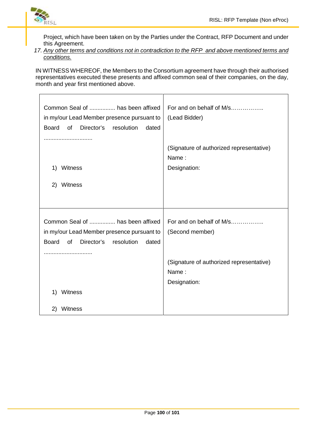

Project, which have been taken on by the Parties under the Contract, RFP Document and under this Agreement.

*17. Any other terms and conditions not in contradiction to the RFP and above mentioned terms and conditions.*

IN WITNESS WHEREOF, the Members to the Consortium agreement have through their authorised representatives executed these presents and affixed common seal of their companies, on the day, month and year first mentioned above.

| Common Seal of  has been affixed<br>in my/our Lead Member presence pursuant to<br>Board<br>of Director's<br>resolution<br>dated           | For and on behalf of M/s<br>(Lead Bidder)                         |
|-------------------------------------------------------------------------------------------------------------------------------------------|-------------------------------------------------------------------|
| 1)<br>Witness<br>Witness<br>2)                                                                                                            | (Signature of authorized representative)<br>Name:<br>Designation: |
|                                                                                                                                           |                                                                   |
| Common Seal of  has been affixed<br>in my/our Lead Member presence pursuant to<br>of<br>Director's<br><b>Board</b><br>resolution<br>dated | For and on behalf of M/s<br>(Second member)                       |
|                                                                                                                                           | (Signature of authorized representative)                          |
|                                                                                                                                           | Name:<br>Designation:                                             |
| 1)<br>Witness                                                                                                                             |                                                                   |
| Witness<br>2)                                                                                                                             |                                                                   |